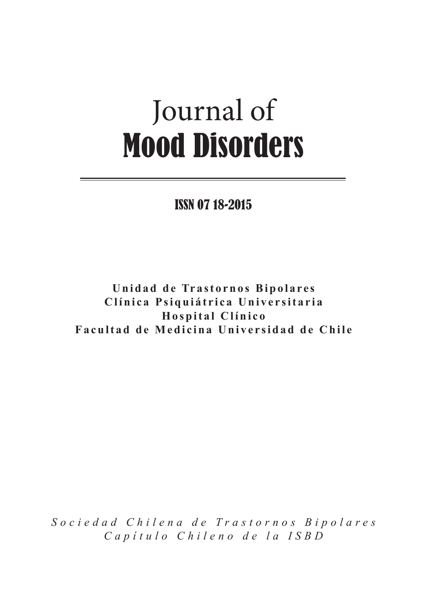# Journal of Mood Disorders

ISSN 07 18-2015

**Unidad de Trastornos Bipolares Clínica Psiquiátrica Universitaria Hospital Clínico Facultad de Medicina Universidad de Chile**

*Sociedad Chilena de Trastornos Bipolares Capítulo Chileno de la ISBD*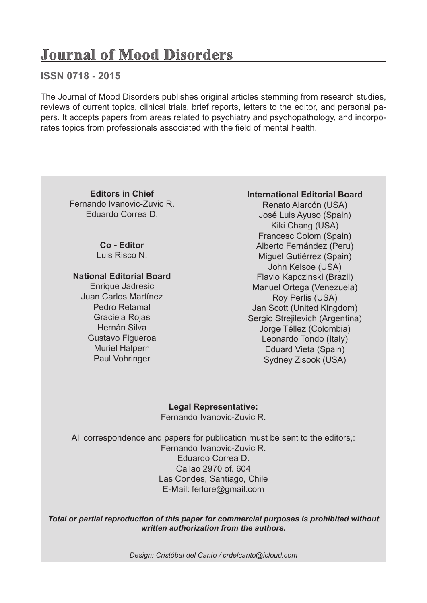# **Journal of Mood Disorders**

### **ISSN 0718 - 2015**

The Journal of Mood Disorders publishes original articles stemming from research studies, reviews of current topics, clinical trials, brief reports, letters to the editor, and personal papers. It accepts papers from areas related to psychiatry and psychopathology, and incorporates topics from professionals associated with the field of mental health.

**Editors in Chief** Fernando Ivanovic-Zuvic R. Eduardo Correa D.

> **Co - Editor** Luis Risco N.

**National Editorial Board**

Enrique Jadresic Juan Carlos Martínez Pedro Retamal Graciela Rojas Hernán Silva Gustavo Figueroa Muriel Halpern Paul Vohringer

#### **International Editorial Board**

Renato Alarcón (USA) José Luis Ayuso (Spain) Kiki Chang (USA) Francesc Colom (Spain) Alberto Fernández (Peru) Miguel Gutiérrez (Spain) John Kelsoe (USA) Flavio Kapczinski (Brazil) Manuel Ortega (Venezuela) Roy Perlis (USA) Jan Scott (United Kingdom) Sergio Strejilevich (Argentina) Jorge Téllez (Colombia) Leonardo Tondo (Italy) Eduard Vieta (Spain) Sydney Zisook (USA)

**Legal Representative:** Fernando Ivanovic-Zuvic R.

All correspondence and papers for publication must be sent to the editors,: Fernando Ivanovic-Zuvic R. Eduardo Correa D. Callao 2970 of. 604 Las Condes, Santiago, Chile E-Mail: ferlore@gmail.com

*Total or partial reproduction of this paper for commercial purposes is prohibited without written authorization from the authors.*

*Design: Cristóbal del Canto / crdelcanto@icloud.com*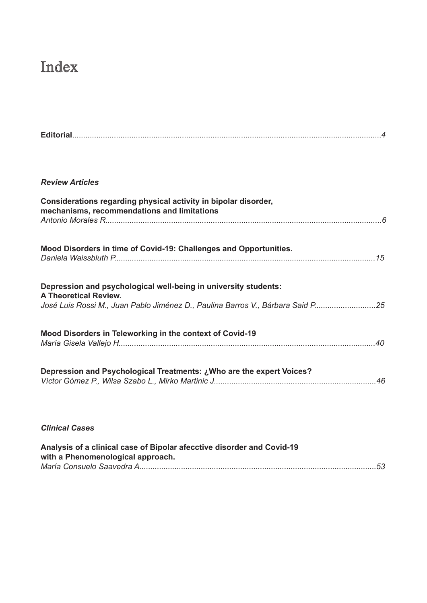# Index

| <b>Review Articles</b>                                                                                                                                                            |  |
|-----------------------------------------------------------------------------------------------------------------------------------------------------------------------------------|--|
| Considerations regarding physical activity in bipolar disorder,<br>mechanisms, recommendations and limitations                                                                    |  |
| Mood Disorders in time of Covid-19: Challenges and Opportunities.                                                                                                                 |  |
| Depression and psychological well-being in university students:<br><b>A Theoretical Review.</b><br>José Luis Rossi M., Juan Pablo Jiménez D., Paulina Barros V., Bárbara Said P25 |  |
| Mood Disorders in Teleworking in the context of Covid-19                                                                                                                          |  |
| Depression and Psychological Treatments: ¿Who are the expert Voices?                                                                                                              |  |

### *Clinical Cases*

| Analysis of a clinical case of Bipolar afecctive disorder and Covid-19 |  |
|------------------------------------------------------------------------|--|
| with a Phenomenological approach.                                      |  |
|                                                                        |  |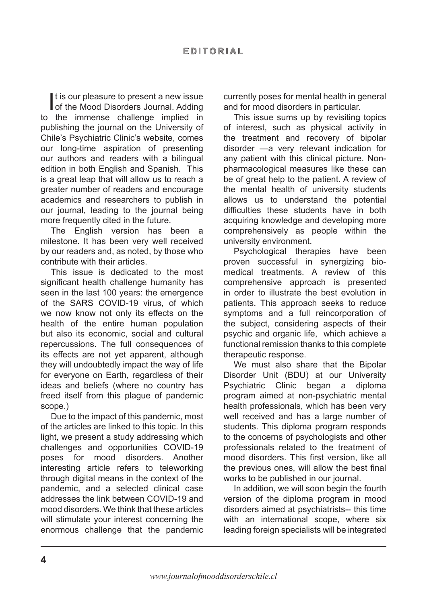It is our pleasure to present a new issue<br>of the Mood Disorders Journal. Adding t is our pleasure to present a new issue to the immense challenge implied in publishing the journal on the University of Chile's Psychiatric Clinic's website, comes our long-time aspiration of presenting our authors and readers with a bilingual edition in both English and Spanish. This is a great leap that will allow us to reach a greater number of readers and encourage academics and researchers to publish in our journal, leading to the journal being more frequently cited in the future.

The English version has been a milestone. It has been very well received by our readers and, as noted, by those who contribute with their articles.

This issue is dedicated to the most significant health challenge humanity has seen in the last 100 years: the emergence of the SARS COVID-19 virus, of which we now know not only its effects on the health of the entire human population but also its economic, social and cultural repercussions. The full consequences of its effects are not yet apparent, although they will undoubtedly impact the way of life for everyone on Earth, regardless of their ideas and beliefs (where no country has freed itself from this plague of pandemic scope.)

Due to the impact of this pandemic, most of the articles are linked to this topic. In this light, we present a study addressing which challenges and opportunities COVID-19 poses for mood disorders. Another interesting article refers to teleworking through digital means in the context of the pandemic, and a selected clinical case addresses the link between COVID-19 and mood disorders. We think that these articles will stimulate your interest concerning the enormous challenge that the pandemic currently poses for mental health in general and for mood disorders in particular.

This issue sums up by revisiting topics of interest, such as physical activity in the treatment and recovery of bipolar disorder —a very relevant indication for any patient with this clinical picture. Nonpharmacological measures like these can be of great help to the patient. A review of the mental health of university students allows us to understand the potential difficulties these students have in both acquiring knowledge and developing more comprehensively as people within the university environment.

Psychological therapies have been proven successful in synergizing biomedical treatments. A review of this comprehensive approach is presented in order to illustrate the best evolution in patients. This approach seeks to reduce symptoms and a full reincorporation of the subject, considering aspects of their psychic and organic life, which achieve a functional remission thanks to this complete therapeutic response.

We must also share that the Bipolar Disorder Unit (BDU) at our University Psychiatric Clinic began a diploma program aimed at non-psychiatric mental health professionals, which has been very well received and has a large number of students. This diploma program responds to the concerns of psychologists and other professionals related to the treatment of mood disorders. This first version, like all the previous ones, will allow the best final works to be published in our journal.

In addition, we will soon begin the fourth version of the diploma program in mood disorders aimed at psychiatrists-- this time with an international scope, where six leading foreign specialists will be integrated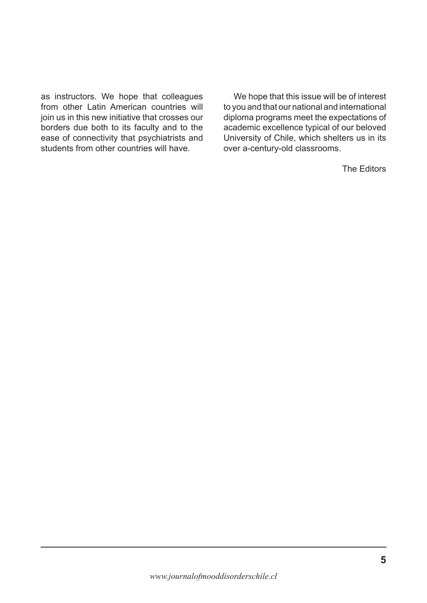as instructors. We hope that colleagues from other Latin American countries will join us in this new initiative that crosses our borders due both to its faculty and to the ease of connectivity that psychiatrists and students from other countries will have.

We hope that this issue will be of interest to you and that our national and international diploma programs meet the expectations of academic excellence typical of our beloved University of Chile, which shelters us in its over a-century-old classrooms.

The Editors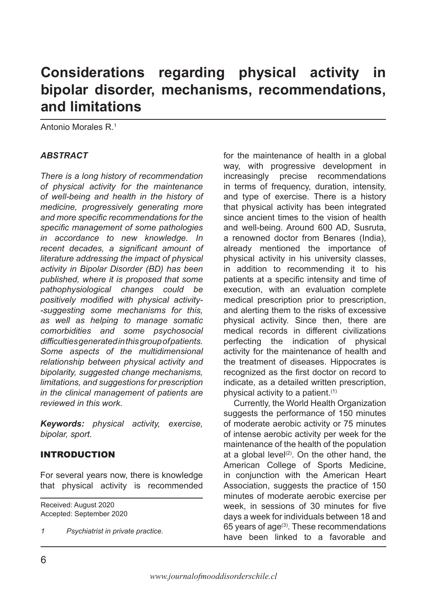# **Considerations regarding physical activity in bipolar disorder, mechanisms, recommendations, and limitations**

Antonio Morales R.1

### *ABSTRACT*

*There is a long history of recommendation of physical activity for the maintenance of well-being and health in the history of medicine, progressively generating more and more specific recommendations for the specific management of some pathologies in accordance to new knowledge. In recent decades, a significant amount of literature addressing the impact of physical activity in Bipolar Disorder (BD) has been published, where it is proposed that some pathophysiological changes could be positively modified with physical activity- -suggesting some mechanisms for this, as well as helping to manage somatic comorbidities and some psychosocial difficulties generated in this group of patients. Some aspects of the multidimensional relationship between physical activity and bipolarity, suggested change mechanisms, limitations, and suggestions for prescription in the clinical management of patients are reviewed in this work.*

*Keywords: physical activity, exercise, bipolar, sport.*

### INTRODUCTION

For several years now, there is knowledge that physical activity is recommended

Received: August 2020 Accepted: September 2020

*1 Psychiatrist in private practice.*

for the maintenance of health in a global way, with progressive development in increasingly precise recommendations in terms of frequency, duration, intensity, and type of exercise. There is a history that physical activity has been integrated since ancient times to the vision of health and well-being. Around 600 AD, Susruta, a renowned doctor from Benares (India), already mentioned the importance of physical activity in his university classes, in addition to recommending it to his patients at a specific intensity and time of execution, with an evaluation complete medical prescription prior to prescription, and alerting them to the risks of excessive physical activity. Since then, there are medical records in different civilizations perfecting the indication of physical activity for the maintenance of health and the treatment of diseases. Hippocrates is recognized as the first doctor on record to indicate, as a detailed written prescription, physical activity to a patient.(1)

Currently, the World Health Organization suggests the performance of 150 minutes of moderate aerobic activity or 75 minutes of intense aerobic activity per week for the maintenance of the health of the population at a global level<sup>(2)</sup>. On the other hand, the American College of Sports Medicine, in conjunction with the American Heart Association, suggests the practice of 150 minutes of moderate aerobic exercise per week, in sessions of 30 minutes for five days a week for individuals between 18 and 65 years of age(3). These recommendations have been linked to a favorable and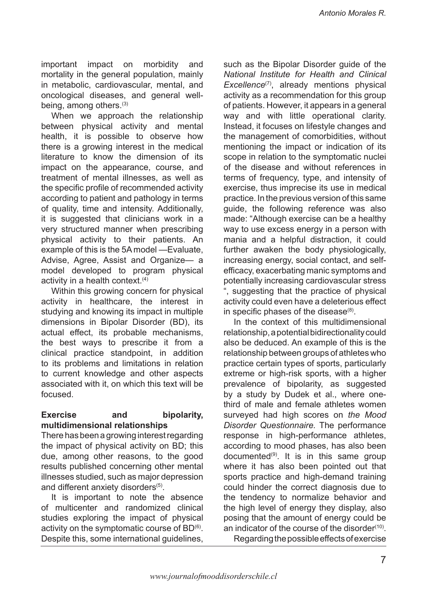important impact on morbidity and mortality in the general population, mainly in metabolic, cardiovascular, mental, and oncological diseases, and general wellbeing, among others.(3)

When we approach the relationship between physical activity and mental health, it is possible to observe how there is a growing interest in the medical literature to know the dimension of its impact on the appearance, course, and treatment of mental illnesses, as well as the specific profile of recommended activity according to patient and pathology in terms of quality, time and intensity. Additionally, it is suggested that clinicians work in a very structured manner when prescribing physical activity to their patients. An example of this is the 5A model —Evaluate, Advise, Agree, Assist and Organize— a model developed to program physical activity in a health context.(4)

Within this growing concern for physical activity in healthcare, the interest in studying and knowing its impact in multiple dimensions in Bipolar Disorder (BD), its actual effect, its probable mechanisms, the best ways to prescribe it from a clinical practice standpoint, in addition to its problems and limitations in relation to current knowledge and other aspects associated with it, on which this text will be focused.

#### **Exercise and bipolarity, multidimensional relationships**

There has been a growing interest regarding the impact of physical activity on BD; this due, among other reasons, to the good results published concerning other mental illnesses studied, such as major depression and different anxiety disorders<sup>(5)</sup>.

It is important to note the absence of multicenter and randomized clinical studies exploring the impact of physical activity on the symptomatic course of  $BD^{(6)}$ . Despite this, some international guidelines,

such as the Bipolar Disorder guide of the *National Institute for Health and Clinical Excellence*(7), already mentions physical activity as a recommendation for this group of patients. However, it appears in a general way and with little operational clarity. Instead, it focuses on lifestyle changes and the management of comorbidities, without mentioning the impact or indication of its scope in relation to the symptomatic nuclei of the disease and without references in terms of frequency, type, and intensity of exercise, thus imprecise its use in medical practice. In the previous version of this same guide, the following reference was also made: "Although exercise can be a healthy way to use excess energy in a person with mania and a helpful distraction, it could further awaken the body physiologically, increasing energy, social contact, and selfefficacy, exacerbating manic symptoms and potentially increasing cardiovascular stress ", suggesting that the practice of physical activity could even have a deleterious effect in specific phases of the disease $(8)$ .

In the context of this multidimensional relationship, a potential bidirectionality could also be deduced. An example of this is the relationship between groups of athletes who practice certain types of sports, particularly extreme or high-risk sports, with a higher prevalence of bipolarity, as suggested by a study by Dudek et al., where onethird of male and female athletes women surveyed had high scores on *the Mood Disorder Questionnaire.* The performance response in high-performance athletes, according to mood phases, has also been documented $(9)$ . It is in this same group where it has also been pointed out that sports practice and high-demand training could hinder the correct diagnosis due to the tendency to normalize behavior and the high level of energy they display, also posing that the amount of energy could be an indicator of the course of the disorder $(10)$ .

Regarding the possible effects of exercise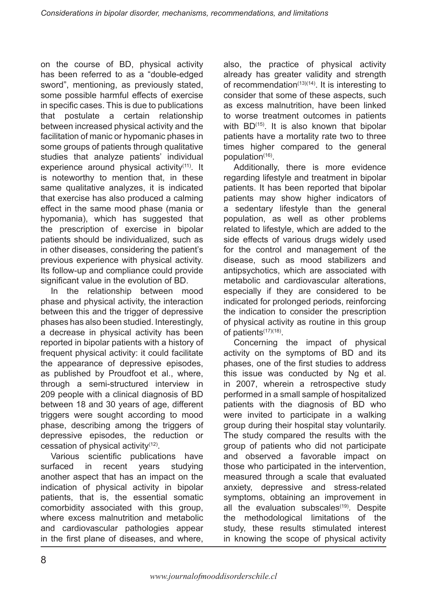on the course of BD, physical activity has been referred to as a "double-edged sword", mentioning, as previously stated, some possible harmful effects of exercise in specific cases. This is due to publications that postulate a certain relationship between increased physical activity and the facilitation of manic or hypomanic phases in some groups of patients through qualitative studies that analyze patients' individual experience around physical activity<sup>(11)</sup>. It is noteworthy to mention that, in these same qualitative analyzes, it is indicated that exercise has also produced a calming effect in the same mood phase (mania or hypomania), which has suggested that the prescription of exercise in bipolar patients should be individualized, such as in other diseases, considering the patient's previous experience with physical activity. Its follow-up and compliance could provide significant value in the evolution of BD.

In the relationship between mood phase and physical activity, the interaction between this and the trigger of depressive phases has also been studied. Interestingly, a decrease in physical activity has been reported in bipolar patients with a history of frequent physical activity: it could facilitate the appearance of depressive episodes, as published by Proudfoot et al., where, through a semi-structured interview in 209 people with a clinical diagnosis of BD between 18 and 30 years of age, different triggers were sought according to mood phase, describing among the triggers of depressive episodes, the reduction or cessation of physical activity(12).

Various scientific publications have surfaced in recent years studying another aspect that has an impact on the indication of physical activity in bipolar patients, that is, the essential somatic comorbidity associated with this group, where excess malnutrition and metabolic and cardiovascular pathologies appear in the first plane of diseases, and where, also, the practice of physical activity already has greater validity and strength of recommendation $(13)(14)$ . It is interesting to consider that some of these aspects, such as excess malnutrition, have been linked to worse treatment outcomes in patients with  $BD^{(15)}$ . It is also known that bipolar patients have a mortality rate two to three times higher compared to the general population $(16)$ .

Additionally, there is more evidence regarding lifestyle and treatment in bipolar patients. It has been reported that bipolar patients may show higher indicators of a sedentary lifestyle than the general population, as well as other problems related to lifestyle, which are added to the side effects of various drugs widely used for the control and management of the disease, such as mood stabilizers and antipsychotics, which are associated with metabolic and cardiovascular alterations, especially if they are considered to be indicated for prolonged periods, reinforcing the indication to consider the prescription of physical activity as routine in this group of patients<sup>(17)(18)</sup>.

Concerning the impact of physical activity on the symptoms of BD and its phases, one of the first studies to address this issue was conducted by Ng et al. in 2007, wherein a retrospective study performed in a small sample of hospitalized patients with the diagnosis of BD who were invited to participate in a walking group during their hospital stay voluntarily. The study compared the results with the group of patients who did not participate and observed a favorable impact on those who participated in the intervention, measured through a scale that evaluated anxiety, depressive and stress-related symptoms, obtaining an improvement in all the evaluation subscales $(19)$ . Despite the methodological limitations of the study, these results stimulated interest in knowing the scope of physical activity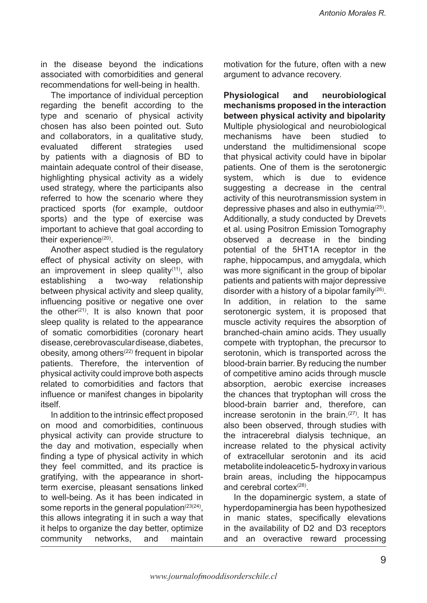in the disease beyond the indications associated with comorbidities and general recommendations for well-being in health.

The importance of individual perception regarding the benefit according to the type and scenario of physical activity chosen has also been pointed out. Suto and collaborators, in a qualitative study, evaluated different strategies used by patients with a diagnosis of BD to maintain adequate control of their disease, highlighting physical activity as a widely used strategy, where the participants also referred to how the scenario where they practiced sports (for example, outdoor sports) and the type of exercise was important to achieve that goal according to their experience $(20)$ .

Another aspect studied is the regulatory effect of physical activity on sleep, with an improvement in sleep quality $(11)$ , also establishing a two-way relationship between physical activity and sleep quality, influencing positive or negative one over the other $(21)$ . It is also known that poor sleep quality is related to the appearance of somatic comorbidities (coronary heart disease, cerebrovascular disease, diabetes, obesity, among others<sup> $(22)$ </sup> frequent in bipolar patients. Therefore, the intervention of physical activity could improve both aspects related to comorbidities and factors that influence or manifest changes in bipolarity itself.

In addition to the intrinsic effect proposed on mood and comorbidities, continuous physical activity can provide structure to the day and motivation, especially when finding a type of physical activity in which they feel committed, and its practice is gratifying, with the appearance in shortterm exercise, pleasant sensations linked to well-being. As it has been indicated in some reports in the general population $(23(24))$ , this allows integrating it in such a way that it helps to organize the day better, optimize community networks, and maintain

motivation for the future, often with a new argument to advance recovery.

**Physiological and neurobiological mechanisms proposed in the interaction between physical activity and bipolarity** Multiple physiological and neurobiological mechanisms have been studied to understand the multidimensional scope that physical activity could have in bipolar patients. One of them is the serotonergic system, which is due to evidence suggesting a decrease in the central activity of this neurotransmission system in depressive phases and also in euthymia $(25)$ . Additionally, a study conducted by Drevets et al. using Positron Emission Tomography observed a decrease in the binding potential of the 5HT1A receptor in the raphe, hippocampus, and amygdala, which was more significant in the group of bipolar patients and patients with major depressive disorder with a history of a bipolar family $(26)$ . In addition, in relation to the same serotonergic system, it is proposed that muscle activity requires the absorption of branched-chain amino acids. They usually compete with tryptophan, the precursor to serotonin, which is transported across the blood-brain barrier. By reducing the number of competitive amino acids through muscle absorption, aerobic exercise increases the chances that tryptophan will cross the blood-brain barrier and, therefore, can increase serotonin in the brain.<sup>(27)</sup>. It has also been observed, through studies with the intracerebral dialysis technique, an increase related to the physical activity of extracellular serotonin and its acid metabolite indoleacetic 5- hydroxy in various brain areas, including the hippocampus and cerebral cortex $(28)$ .

In the dopaminergic system, a state of hyperdopaminergia has been hypothesized in manic states, specifically elevations in the availability of D2 and D3 receptors and an overactive reward processing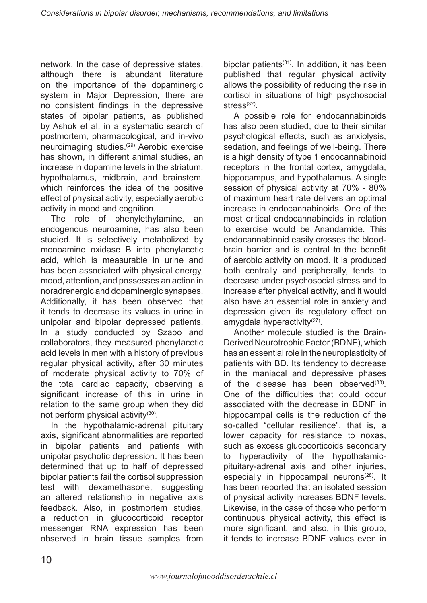network. In the case of depressive states, although there is abundant literature on the importance of the dopaminergic system in Major Depression, there are no consistent findings in the depressive states of bipolar patients, as published by Ashok et al. in a systematic search of postmortem, pharmacological, and in-vivo neuroimaging studies.(29) Aerobic exercise has shown, in different animal studies, an increase in dopamine levels in the striatum, hypothalamus, midbrain, and brainstem, which reinforces the idea of the positive effect of physical activity, especially aerobic activity in mood and cognition.

The role of phenylethylamine, an endogenous neuroamine, has also been studied. It is selectively metabolized by monoamine oxidase B into phenylacetic acid, which is measurable in urine and has been associated with physical energy, mood, attention, and possesses an action in noradrenergic and dopaminergic synapses. Additionally, it has been observed that it tends to decrease its values in urine in unipolar and bipolar depressed patients. In a study conducted by Szabo and collaborators, they measured phenylacetic acid levels in men with a history of previous regular physical activity, after 30 minutes of moderate physical activity to 70% of the total cardiac capacity, observing a significant increase of this in urine in relation to the same group when they did not perform physical activity(30).

In the hypothalamic-adrenal pituitary axis, significant abnormalities are reported in bipolar patients and patients with unipolar psychotic depression. It has been determined that up to half of depressed bipolar patients fail the cortisol suppression test with dexamethasone, suggesting an altered relationship in negative axis feedback. Also, in postmortem studies, a reduction in glucocorticoid receptor messenger RNA expression has been observed in brain tissue samples from

bipolar patients $(31)$ . In addition, it has been published that regular physical activity allows the possibility of reducing the rise in cortisol in situations of high psychosocial stress $(32)$ .

A possible role for endocannabinoids has also been studied, due to their similar psychological effects, such as anxiolysis, sedation, and feelings of well-being. There is a high density of type 1 endocannabinoid receptors in the frontal cortex, amygdala, hippocampus, and hypothalamus. A single session of physical activity at 70% - 80% of maximum heart rate delivers an optimal increase in endocannabinoids. One of the most critical endocannabinoids in relation to exercise would be Anandamide. This endocannabinoid easily crosses the bloodbrain barrier and is central to the benefit of aerobic activity on mood. It is produced both centrally and peripherally, tends to decrease under psychosocial stress and to increase after physical activity, and it would also have an essential role in anxiety and depression given its regulatory effect on amygdala hyperactivity $(27)$ .

Another molecule studied is the Brain-Derived Neurotrophic Factor (BDNF), which has an essential role in the neuroplasticity of patients with BD. Its tendency to decrease in the maniacal and depressive phases of the disease has been observed $(33)$ . One of the difficulties that could occur associated with the decrease in BDNF in hippocampal cells is the reduction of the so-called "cellular resilience", that is, a lower capacity for resistance to noxas, such as excess glucocorticoids secondary to hyperactivity of the hypothalamicpituitary-adrenal axis and other injuries, especially in hippocampal neurons<sup>(28)</sup>. It has been reported that an isolated session of physical activity increases BDNF levels. Likewise, in the case of those who perform continuous physical activity, this effect is more significant, and also, in this group, it tends to increase BDNF values even in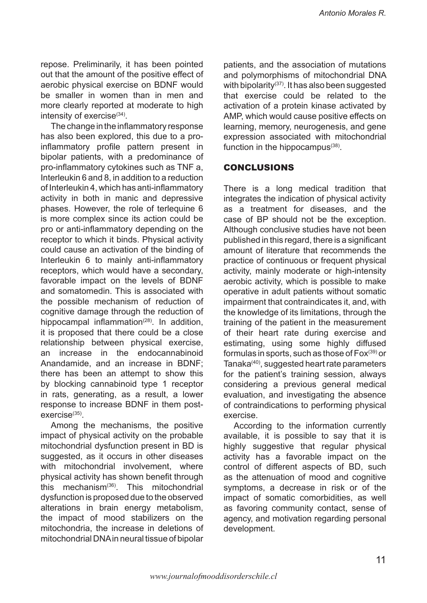repose. Preliminarily, it has been pointed out that the amount of the positive effect of aerobic physical exercise on BDNF would be smaller in women than in men and more clearly reported at moderate to high intensity of exercise<sup>(34)</sup>.

The change in the inflammatory response has also been explored, this due to a proinflammatory profile pattern present in bipolar patients, with a predominance of pro-inflammatory cytokines such as TNF a, Interleukin 6 and 8, in addition to a reduction of Interleukin 4, which has anti-inflammatory activity in both in manic and depressive phases. However, the role of terlequine 6 is more complex since its action could be pro or anti-inflammatory depending on the receptor to which it binds. Physical activity could cause an activation of the binding of Interleukin 6 to mainly anti-inflammatory receptors, which would have a secondary, favorable impact on the levels of BDNF and somatomedin. This is associated with the possible mechanism of reduction of cognitive damage through the reduction of hippocampal inflammation<sup> $(28)$ </sup>. In addition, it is proposed that there could be a close relationship between physical exercise, an increase in the endocannabinoid Anandamide, and an increase in BDNF; there has been an attempt to show this by blocking cannabinoid type 1 receptor in rats, generating, as a result, a lower response to increase BDNF in them postexercise(35).

Among the mechanisms, the positive impact of physical activity on the probable mitochondrial dysfunction present in BD is suggested, as it occurs in other diseases with mitochondrial involvement, where physical activity has shown benefit through this mechanism(36). This mitochondrial dysfunction is proposed due to the observed alterations in brain energy metabolism, the impact of mood stabilizers on the mitochondria, the increase in deletions of mitochondrial DNA in neural tissue of bipolar patients, and the association of mutations and polymorphisms of mitochondrial DNA with bipolarity<sup> $(37)$ </sup>. It has also been suggested that exercise could be related to the activation of a protein kinase activated by AMP, which would cause positive effects on learning, memory, neurogenesis, and gene expression associated with mitochondrial function in the hippocampus $(38)$ .

### CONCLUSIONS

There is a long medical tradition that integrates the indication of physical activity as a treatment for diseases, and the case of BP should not be the exception. Although conclusive studies have not been published in this regard, there is a significant amount of literature that recommends the practice of continuous or frequent physical activity, mainly moderate or high-intensity aerobic activity, which is possible to make operative in adult patients without somatic impairment that contraindicates it, and, with the knowledge of its limitations, through the training of the patient in the measurement of their heart rate during exercise and estimating, using some highly diffused formulas in sports, such as those of  $Fox<sup>(39)</sup>$  or Tanaka(40), suggested heart rate parameters for the patient's training session, always considering a previous general medical evaluation, and investigating the absence of contraindications to performing physical exercise.

According to the information currently available, it is possible to say that it is highly suggestive that regular physical activity has a favorable impact on the control of different aspects of BD, such as the attenuation of mood and cognitive symptoms, a decrease in risk or of the impact of somatic comorbidities, as well as favoring community contact, sense of agency, and motivation regarding personal development.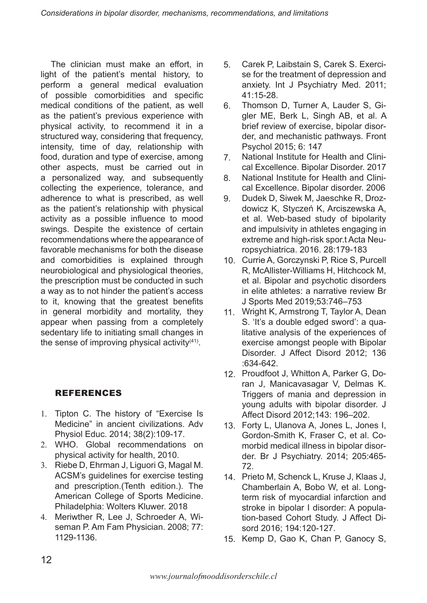The clinician must make an effort, in light of the patient's mental history, to perform a general medical evaluation of possible comorbidities and specific medical conditions of the patient, as well as the patient's previous experience with physical activity, to recommend it in a structured way, considering that frequency, intensity, time of day, relationship with food, duration and type of exercise, among other aspects, must be carried out in a personalized way, and subsequently collecting the experience, tolerance, and adherence to what is prescribed, as well as the patient's relationship with physical activity as a possible influence to mood swings. Despite the existence of certain recommendations where the appearance of favorable mechanisms for both the disease and comorbidities is explained through neurobiological and physiological theories, the prescription must be conducted in such a way as to not hinder the patient's access to it, knowing that the greatest benefits in general morbidity and mortality, they appear when passing from a completely sedentary life to initiating small changes in the sense of improving physical activity $(41)$ .

# REFERENCES

- 1. Tipton C. The history of "Exercise Is Medicine" in ancient civilizations. Adv Physiol Educ. 2014; 38(2):109-17.
- WHO. Global recommendations on 2. physical activity for health, 2010.
- 3. Riebe D, Ehrman J, Liguori G, Magal M. ACSM's guidelines for exercise testing and prescription.(Tenth edition.). The American College of Sports Medicine. Philadelphia: Wolters Kluwer. 2018
- Meriwther R, Lee J, Schroeder A, Wi-4. seman P. Am Fam Physician. 2008; 77: 1129-1136.
- Carek P, Laibstain S, Carek S. Exercise for the treatment of depression and anxiety. Int J Psychiatry Med. 2011; 41:15-28. 5.
- Thomson D, Turner A, Lauder S, Gigler ME, Berk L, Singh AB, et al. A brief review of exercise, bipolar disorder, and mechanistic pathways. Front Psychol 2015; 6: 147 6.
- National Institute for Health and Clinical Excellence. Bipolar Disorder. 2017 7.
- National Institute for Health and Clinical Excellence. Bipolar disorder. 2006 8.
- Dudek D, Siwek M, Jaeschke R, Drozdowicz K, Styczeń K, Arciszewska A, et al. Web-based study of bipolarity and impulsivity in athletes engaging in extreme and high-risk spor.t Acta Neuropsychiatrica. 2016. 28:179-183 9.
- 10. Currie A, Gorczynski P, Rice S, Purcell R, McAllister-Williams H, Hitchcock M, et al. Bipolar and psychotic disorders in elite athletes: a narrative review Br J Sports Med 2019;53:746–753
- 11. Wright K, Armstrong T, Taylor A, Dean S. 'It's a double edged sword': a qualitative analysis of the experiences of exercise amongst people with Bipolar Disorder. J Affect Disord 2012; 136 :634-642.
- 12. Proudfoot J, Whitton A, Parker G, Doran J, Manicavasagar V, Delmas K. Triggers of mania and depression in young adults with bipolar disorder. J Affect Disord 2012;143: 196–202.
- Forty L, Ulanova A, Jones L, Jones I, 13. Gordon-Smith K, Fraser C, et al. Comorbid medical illness in bipolar disorder. Br J Psychiatry. 2014; 205:465- 72.
- 14. Prieto M, Schenck L, Kruse J, Klaas J, Chamberlain A, Bobo W, et al. Longterm risk of myocardial infarction and stroke in bipolar I disorder: A population-based Cohort Study. J Affect Disord 2016; 194:120-127.
- 15. Kemp D, Gao K, Chan P, Ganocy S,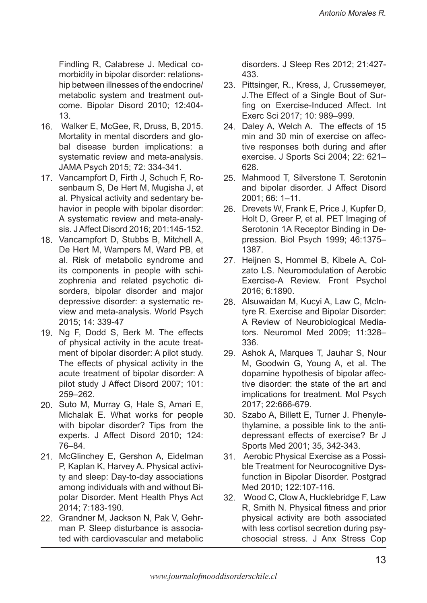Findling R, Calabrese J. Medical comorbidity in bipolar disorder: relationship between illnesses of the endocrine/ metabolic system and treatment outcome. Bipolar Disord 2010; 12:404- 13.

- Walker E, McGee, R, Druss, B, 2015. 16. Mortality in mental disorders and global disease burden implications: a systematic review and meta-analysis. JAMA Psych 2015; 72: 334-341.
- 17. Vancampfort D, Firth J, Schuch F, Rosenbaum S, De Hert M, Mugisha J, et al. Physical activity and sedentary behavior in people with bipolar disorder: A systematic review and meta-analysis. J Affect Disord 2016; 201:145-152.
- 18. Vancampfort D, Stubbs B, Mitchell A, De Hert M, Wampers M, Ward PB, et al. Risk of metabolic syndrome and its components in people with schizophrenia and related psychotic disorders, bipolar disorder and major depressive disorder: a systematic review and meta-analysis. World Psych 2015; 14: 339-47
- Ng F, Dodd S, Berk M. The effects 19. of physical activity in the acute treatment of bipolar disorder: A pilot study. The effects of physical activity in the acute treatment of bipolar disorder: A pilot study J Affect Disord 2007; 101: 259–262.
- 20. Suto M, Murray G, Hale S, Amari E, Michalak E. What works for people with bipolar disorder? Tips from the experts. J Affect Disord 2010; 124: 76–84.
- 21. McGlinchey E, Gershon A, Eidelman P, Kaplan K, Harvey A. Physical activity and sleep: Day-to-day associations among individuals with and without Bipolar Disorder. Ment Health Phys Act 2014; 7:183-190.
- 22. Grandner M, Jackson N, Pak V, Gehrman P. Sleep disturbance is associated with cardiovascular and metabolic

disorders. J Sleep Res 2012; 21:427- 433.

- 23. Pittsinger, R., Kress, J, Crussemeyer, J.The Effect of a Single Bout of Surfing on Exercise-Induced Affect. Int Exerc Sci 2017; 10: 989–999.
- 24. Daley A, Welch A. The effects of 15 min and 30 min of exercise on affective responses both during and after exercise. J Sports Sci 2004; 22: 621– 628.
- 25. Mahmood T, Silverstone T. Serotonin and bipolar disorder. J Affect Disord 2001; 66: 1–11.
- 26. Drevets W, Frank E, Price J, Kupfer D, Holt D, Greer P, et al. PET Imaging of Serotonin 1A Receptor Binding in Depression. Biol Psych 1999; 46:1375– 1387.
- 27. Heijnen S, Hommel B, Kibele A, Colzato LS. Neuromodulation of Aerobic Exercise-A Review. Front Psychol 2016; 6:1890.
- 28. Alsuwaidan M, Kucyi A, Law C, McIntyre R. Exercise and Bipolar Disorder: A Review of Neurobiological Mediators. Neuromol Med 2009; 11:328– 336.
- 29. Ashok A, Marques T, Jauhar S, Nour M, Goodwin G, Young A, et al. The dopamine hypothesis of bipolar affective disorder: the state of the art and implications for treatment. Mol Psych 2017; 22:666-679.
- 30. Szabo A, Billett E, Turner J. Phenylethylamine, a possible link to the antidepressant effects of exercise? Br J Sports Med 2001; 35, 342-343.
- 31. Aerobic Physical Exercise as a Possible Treatment for Neurocognitive Dysfunction in Bipolar Disorder. Postgrad Med 2010; 122:107-116.
- Wood C, Clow A, Hucklebridge F, Law 32.R, Smith N. Physical fitness and prior physical activity are both associated with less cortisol secretion during psychosocial stress. J Anx Stress Cop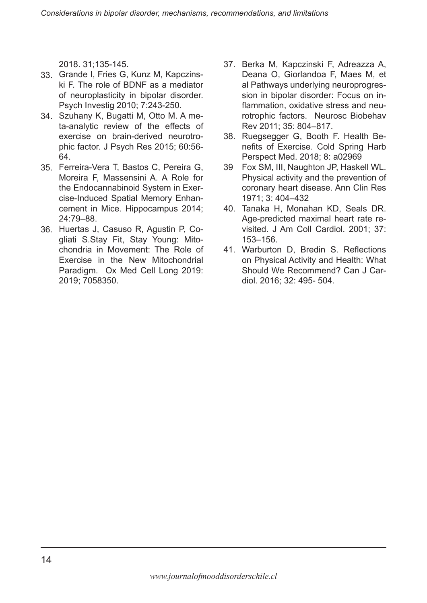2018. 31;135-145.

- 33. Grande I, Fries G, Kunz M, Kapczinski F. The role of BDNF as a mediator of neuroplasticity in bipolar disorder. Psych Investig 2010; 7:243-250.
- 34. Szuhany K, Bugatti M, Otto M. A meta-analytic review of the effects of exercise on brain-derived neurotrophic factor. J Psych Res 2015; 60:56- 64.
- 35. Ferreira-Vera T, Bastos C, Pereira G, Moreira F, Massensini A. A Role for the Endocannabinoid System in Exercise-Induced Spatial Memory Enhancement in Mice. Hippocampus 2014; 24:79–88.
- 36. Huertas J, Casuso R, Agustin P, Cogliati S.Stay Fit, Stay Young: Mitochondria in Movement: The Role of Exercise in the New Mitochondrial Paradigm. Ox Med Cell Long 2019: 2019; 7058350.
- 37. Berka M, Kapczinski F, Adreazza A, Deana O, Giorlandoa F, Maes M, et al Pathways underlying neuroprogression in bipolar disorder: Focus on inflammation, oxidative stress and neurotrophic factors. Neurosc Biobehav Rev 2011; 35: 804–817.
- 38. Ruegsegger G, Booth F. Health Benefits of Exercise. Cold Spring Harb Perspect Med. 2018; 8: a02969
- Fox SM, III, Naughton JP, Haskell WL. Physical activity and the prevention of coronary heart disease. Ann Clin Res 1971; 3: 404–432 39
- 40. Tanaka H, Monahan KD, Seals DR. Age-predicted maximal heart rate revisited. J Am Coll Cardiol. 2001; 37: 153–156.
- Warburton D, Bredin S. Reflections 41.on Physical Activity and Health: What Should We Recommend? Can J Cardiol. 2016; 32: 495- 504.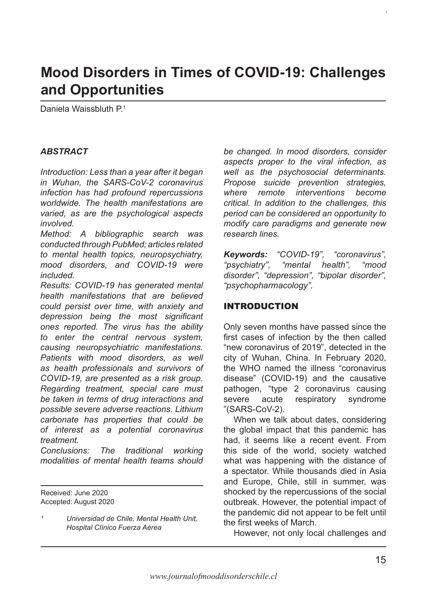# **Mood Disorders in Times of COVID-19: Challenges and Opportunities**

Daniela Waissbluth P<sup>1</sup>

### *ABSTRACT*

*Introduction: Less than a year after it began in Wuhan, the SARS-CoV-2 coronavirus infection has had profound repercussions worldwide. The health manifestations are varied, as are the psychological aspects involved.* 

*Method: A bibliographic search was conducted through PubMed; articles related to mental health topics, neuropsychiatry, mood disorders, and COVID-19 were included.*

*Results: COVID-19 has generated mental health manifestations that are believed could persist over time, with anxiety and depression being the most significant ones reported. The virus has the ability to enter the central nervous system, causing neuropsychiatric manifestations. Patients with mood disorders, as well as health professionals and survivors of COVID-19, are presented as a risk group. Regarding treatment, special care must be taken in terms of drug interactions and possible severe adverse reactions. Lithium carbonate has properties that could be of interest as a potential coronavirus treatment.* 

*Conclusions: The traditional working modalities of mental health teams should* 

Received: June 2020 Accepted: August 2020 *be changed. In mood disorders, consider aspects proper to the viral infection, as well as the psychosocial determinants. Propose suicide prevention strategies, where remote interventions become critical. In addition to the challenges, this period can be considered an opportunity to modify care paradigms and generate new research lines.* 

*Keywords: "COVID-19", "coronavirus", "psychiatry", "mental health", "mood disorder", "depression", "bipolar disorder", "psychopharmacology".*

## INTRODUCTION

Only seven months have passed since the first cases of infection by the then called "new coronavirus of 2019", detected in the city of Wuhan, China. In February 2020, the WHO named the illness "coronavirus disease" (COVID-19) and the causative pathogen, "type 2 coronavirus causing severe acute respiratory syndrome "(SARS-CoV-2).

When we talk about dates, considering the global impact that this pandemic has had, it seems like a recent event. From this side of the world, society watched what was happening with the distance of a spectator. While thousands died in Asia and Europe, Chile, still in summer, was shocked by the repercussions of the social outbreak. However, the potential impact of the pandemic did not appear to be felt until the first weeks of March.

However, not only local challenges and

*¹ Universidad de Chile, Mental Health Unit, Hospital Clínico Fuerza Aérea*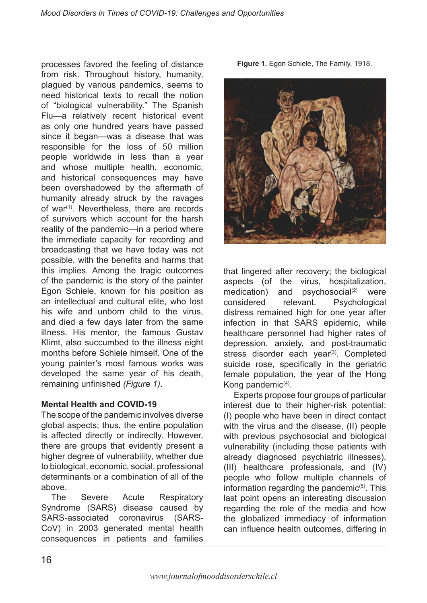processes favored the feeling of distance from risk. Throughout history, humanity, plagued by various pandemics, seems to need historical texts to recall the notion of "biological vulnerability." The Spanish Flu—a relatively recent historical event as only one hundred years have passed since it began—was a disease that was responsible for the loss of 50 million people worldwide in less than a year and whose multiple health, economic, and historical consequences may have been overshadowed by the aftermath of humanity already struck by the ravages of war<sup> $(1)$ </sup>. Nevertheless, there are records of survivors which account for the harsh reality of the pandemic—in a period where the immediate capacity for recording and broadcasting that we have today was not possible, with the benefits and harms that this implies. Among the tragic outcomes of the pandemic is the story of the painter Egon Schiele, known for his position as an intellectual and cultural elite, who lost his wife and unborn child to the virus, and died a few days later from the same illness. His mentor, the famous Gustav Klimt, also succumbed to the illness eight months before Schiele himself. One of the young painter's most famous works was developed the same year of his death, remaining unfinished *(Figure 1)*.

### **Mental Health and COVID-19**

The scope of the pandemic involves diverse global aspects; thus, the entire population is affected directly or indirectly. However, there are groups that evidently present a higher degree of vulnerability, whether due to biological, economic, social, professional determinants or a combination of all of the above.

The Severe Acute Respiratory Syndrome (SARS) disease caused by SARS-associated coronavirus (SARS-CoV) in 2003 generated mental health consequences in patients and families

**Figure 1.** Egon Schiele, The Family, 1918.



that lingered after recovery; the biological aspects (of the virus, hospitalization,  $mediation)$  and psychosocial<sup>(2)</sup> were considered relevant. Psychological distress remained high for one year after infection in that SARS epidemic, while healthcare personnel had higher rates of depression, anxiety, and post-traumatic stress disorder each year<sup>(3)</sup>. Completed suicide rose, specifically in the geriatric female population, the year of the Hong Kong pandemic<sup>(4)</sup>.

Experts propose four groups of particular interest due to their higher-risk potential: (I) people who have been in direct contact with the virus and the disease, (II) people with previous psychosocial and biological vulnerability (including those patients with already diagnosed psychiatric illnesses), (III) healthcare professionals, and (IV) people who follow multiple channels of information regarding the pandemic $(5)$ . This last point opens an interesting discussion regarding the role of the media and how the globalized immediacy of information can influence health outcomes, differing in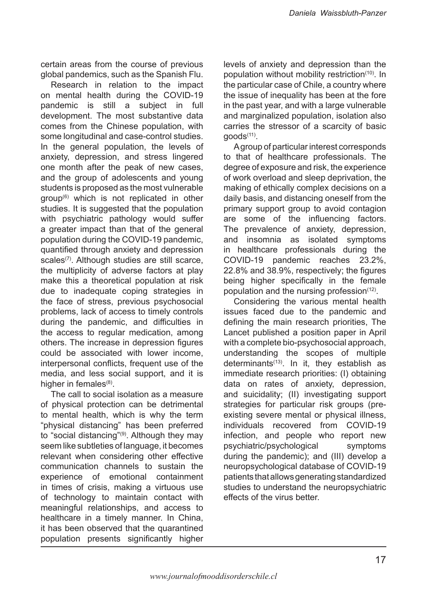certain areas from the course of previous global pandemics, such as the Spanish Flu.

Research in relation to the impact on mental health during the COVID-19 pandemic is still a subject in full development. The most substantive data comes from the Chinese population, with some longitudinal and case-control studies. In the general population, the levels of anxiety, depression, and stress lingered one month after the peak of new cases, and the group of adolescents and young students is proposed as the most vulnerable  $q$ roup<sup> $(6)$ </sup> which is not replicated in other studies. It is suggested that the population with psychiatric pathology would suffer a greater impact than that of the general population during the COVID-19 pandemic, quantified through anxiety and depression scales<sup>(7)</sup>. Although studies are still scarce, the multiplicity of adverse factors at play make this a theoretical population at risk due to inadequate coping strategies in the face of stress, previous psychosocial problems, lack of access to timely controls during the pandemic, and difficulties in the access to regular medication, among others. The increase in depression figures could be associated with lower income, interpersonal conflicts, frequent use of the media, and less social support, and it is higher in females $(8)$ .

The call to social isolation as a measure of physical protection can be detrimental to mental health, which is why the term "physical distancing" has been preferred to "social distancing"(9). Although they may seem like subtleties of language, it becomes relevant when considering other effective communication channels to sustain the experience of emotional containment in times of crisis, making a virtuous use of technology to maintain contact with meaningful relationships, and access to healthcare in a timely manner. In China, it has been observed that the quarantined population presents significantly higher

levels of anxiety and depression than the population without mobility restriction(10). In the particular case of Chile, a country where the issue of inequality has been at the fore in the past year, and with a large vulnerable and marginalized population, isolation also carries the stressor of a scarcity of basic  $q$ oods $(11)$ .

A group of particular interest corresponds to that of healthcare professionals. The degree of exposure and risk, the experience of work overload and sleep deprivation, the making of ethically complex decisions on a daily basis, and distancing oneself from the primary support group to avoid contagion are some of the influencing factors. The prevalence of anxiety, depression, and insomnia as isolated symptoms in healthcare professionals during the COVID-19 pandemic reaches 23.2%, 22.8% and 38.9%, respectively; the figures being higher specifically in the female population and the nursing profession $(12)$ .

Considering the various mental health issues faced due to the pandemic and defining the main research priorities, The Lancet published a position paper in April with a complete bio-psychosocial approach, understanding the scopes of multiple determinants<sup>(13)</sup>. In it, they establish as immediate research priorities: (I) obtaining data on rates of anxiety, depression, and suicidality; (II) investigating support strategies for particular risk groups (preexisting severe mental or physical illness, individuals recovered from COVID-19 infection, and people who report new psychiatric/psychological symptoms during the pandemic); and (III) develop a neuropsychological database of COVID-19 patients that allows generating standardized studies to understand the neuropsychiatric effects of the virus better.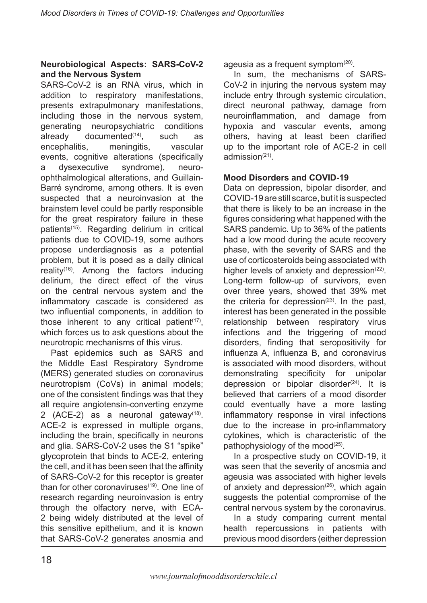### **Neurobiological Aspects: SARS-CoV-2 and the Nervous System**

SARS-CoV-2 is an RNA virus, which in addition to respiratory manifestations, presents extrapulmonary manifestations, including those in the nervous system, generating neuropsychiatric conditions already documented $(14)$ , such as encephalitis, meningitis, vascular events, cognitive alterations (specifically a dysexecutive syndrome), neuroophthalmological alterations, and Guillain-Barré syndrome, among others. It is even suspected that a neuroinvasion at the brainstem level could be partly responsible for the great respiratory failure in these patients(15). Regarding delirium in critical patients due to COVID-19, some authors propose underdiagnosis as a potential problem, but it is posed as a daily clinical reality(16). Among the factors inducing delirium, the direct effect of the virus on the central nervous system and the inflammatory cascade is considered as two influential components, in addition to those inherent to any critical patient<sup> $(17)$ </sup>, which forces us to ask questions about the neurotropic mechanisms of this virus.

Past epidemics such as SARS and the Middle East Respiratory Syndrome (MERS) generated studies on coronavirus neurotropism (CoVs) in animal models; one of the consistent findings was that they all require angiotensin-converting enzyme 2 (ACE-2) as a neuronal gateway $(18)$ . ACE-2 is expressed in multiple organs, including the brain, specifically in neurons and glia. SARS-CoV-2 uses the S1 "spike" glycoprotein that binds to ACE-2, entering the cell, and it has been seen that the affinity of SARS-CoV-2 for this receptor is greater than for other coronaviruses<sup>(19)</sup>. One line of research regarding neuroinvasion is entry through the olfactory nerve, with ECA-2 being widely distributed at the level of this sensitive epithelium, and it is known that SARS-CoV-2 generates anosmia and ageusia as a frequent symptom(20).

In sum, the mechanisms of SARS-CoV-2 in injuring the nervous system may include entry through systemic circulation, direct neuronal pathway, damage from neuroinflammation, and damage from hypoxia and vascular events, among others, having at least been clarified up to the important role of ACE-2 in cell admission $(21)$ 

### **Mood Disorders and COVID-19**

Data on depression, bipolar disorder, and COVID-19 are still scarce, but it is suspected that there is likely to be an increase in the figures considering what happened with the SARS pandemic. Up to 36% of the patients had a low mood during the acute recovery phase, with the severity of SARS and the use of corticosteroids being associated with higher levels of anxiety and depression $(22)$ . Long-term follow-up of survivors, even over three years, showed that 39% met the criteria for depression $(23)$ . In the past, interest has been generated in the possible relationship between respiratory virus infections and the triggering of mood disorders, finding that seropositivity for influenza A, influenza B, and coronavirus is associated with mood disorders, without demonstrating specificity for unipolar depression or bipolar disorder $(24)$ . It is believed that carriers of a mood disorder could eventually have a more lasting inflammatory response in viral infections due to the increase in pro-inflammatory cytokines, which is characteristic of the pathophysiology of the mood $(25)$ .

In a prospective study on COVID-19, it was seen that the severity of anosmia and ageusia was associated with higher levels of anxiety and depression $(26)$ , which again suggests the potential compromise of the central nervous system by the coronavirus.

In a study comparing current mental health repercussions in patients with previous mood disorders (either depression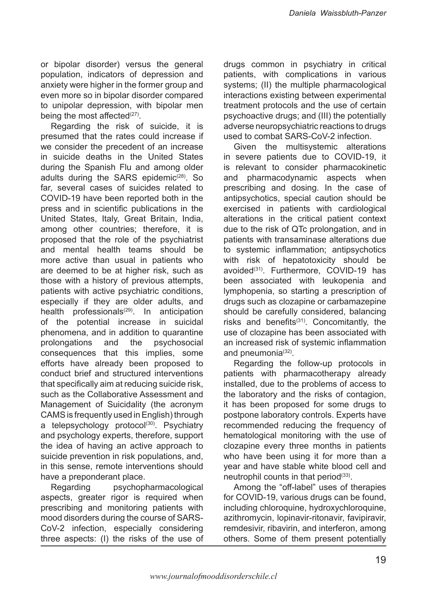or bipolar disorder) versus the general population, indicators of depression and anxiety were higher in the former group and even more so in bipolar disorder compared to unipolar depression, with bipolar men being the most affected<sup>(27)</sup>.

Regarding the risk of suicide, it is presumed that the rates could increase if we consider the precedent of an increase in suicide deaths in the United States during the Spanish Flu and among older adults during the SARS epidemic<sup>(28)</sup>. So far, several cases of suicides related to COVID-19 have been reported both in the press and in scientific publications in the United States, Italy, Great Britain, India, among other countries; therefore, it is proposed that the role of the psychiatrist and mental health teams should be more active than usual in patients who are deemed to be at higher risk, such as those with a history of previous attempts, patients with active psychiatric conditions, especially if they are older adults, and health professionals<sup> $(29)$ </sup>. In anticipation of the potential increase in suicidal phenomena, and in addition to quarantine prolongations and the psychosocial consequences that this implies, some efforts have already been proposed to conduct brief and structured interventions that specifically aim at reducing suicide risk, such as the Collaborative Assessment and Management of Suicidality (the acronym CAMS is frequently used in English) through a telepsychology protocol $(30)$ . Psychiatry and psychology experts, therefore, support the idea of having an active approach to suicide prevention in risk populations, and, in this sense, remote interventions should have a preponderant place.

Regarding psychopharmacological aspects, greater rigor is required when prescribing and monitoring patients with mood disorders during the course of SARS-CoV-2 infection, especially considering three aspects: (I) the risks of the use of drugs common in psychiatry in critical patients, with complications in various systems; (II) the multiple pharmacological interactions existing between experimental treatment protocols and the use of certain psychoactive drugs; and (III) the potentially adverse neuropsychiatric reactions to drugs used to combat SARS-CoV-2 infection.

Given the multisystemic alterations in severe patients due to COVID-19, it is relevant to consider pharmacokinetic and pharmacodynamic aspects when prescribing and dosing. In the case of antipsychotics, special caution should be exercised in patients with cardiological alterations in the critical patient context due to the risk of QTc prolongation, and in patients with transaminase alterations due to systemic inflammation; antipsychotics with risk of hepatotoxicity should be avoided<sup>(31)</sup>. Furthermore, COVID-19 has been associated with leukopenia and lymphopenia, so starting a prescription of drugs such as clozapine or carbamazepine should be carefully considered, balancing risks and benefits<sup>(31)</sup>. Concomitantly, the use of clozapine has been associated with an increased risk of systemic inflammation and pneumonia(32).

Regarding the follow-up protocols in patients with pharmacotherapy already installed, due to the problems of access to the laboratory and the risks of contagion, it has been proposed for some drugs to postpone laboratory controls. Experts have recommended reducing the frequency of hematological monitoring with the use of clozapine every three months in patients who have been using it for more than a year and have stable white blood cell and neutrophil counts in that period $(33)$ .

Among the "off-label" uses of therapies for COVID-19, various drugs can be found, including chloroquine, hydroxychloroquine, azithromycin, lopinavir-ritonavir, favipiravir, remdesivir, ribavirin, and interferon, among others. Some of them present potentially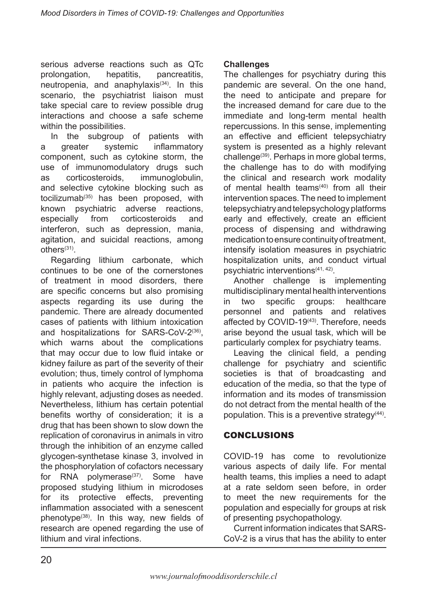serious adverse reactions such as QTc prolongation, hepatitis, pancreatitis, neutropenia, and anaphylaxis $(34)$ . In this scenario, the psychiatrist liaison must take special care to review possible drug interactions and choose a safe scheme within the possibilities.

In the subgroup of patients with a greater systemic inflammatory component, such as cytokine storm, the use of immunomodulatory drugs such as corticosteroids, immunoglobulin, and selective cytokine blocking such as tocilizumab $(35)$  has been proposed, with known psychiatric adverse reactions, especially from corticosteroids and interferon, such as depression, mania, agitation, and suicidal reactions, among  $others<sup>(31)</sup>$ .

Regarding lithium carbonate, which continues to be one of the cornerstones of treatment in mood disorders, there are specific concerns but also promising aspects regarding its use during the pandemic. There are already documented cases of patients with lithium intoxication and hospitalizations for SARS-CoV- $2^{(36)}$ , which warns about the complications that may occur due to low fluid intake or kidney failure as part of the severity of their evolution; thus, timely control of lymphoma in patients who acquire the infection is highly relevant, adjusting doses as needed. Nevertheless, lithium has certain potential benefits worthy of consideration; it is a drug that has been shown to slow down the replication of coronavirus in animals in vitro through the inhibition of an enzyme called glycogen-synthetase kinase 3, involved in the phosphorylation of cofactors necessary for RNA polymerase<sup>(37)</sup>. Some have proposed studying lithium in microdoses for its protective effects, preventing inflammation associated with a senescent phenotype<sup>(38)</sup>. In this way, new fields of research are opened regarding the use of lithium and viral infections.

#### **Challenges**

The challenges for psychiatry during this pandemic are several. On the one hand, the need to anticipate and prepare for the increased demand for care due to the immediate and long-term mental health repercussions. In this sense, implementing an effective and efficient telepsychiatry system is presented as a highly relevant challenge(39). Perhaps in more global terms, the challenge has to do with modifying the clinical and research work modality of mental health teams $(40)$  from all their intervention spaces. The need to implement telepsychiatry and telepsychology platforms early and effectively, create an efficient process of dispensing and withdrawing medication to ensure continuity of treatment, intensify isolation measures in psychiatric hospitalization units, and conduct virtual psychiatric interventions(41, 42).

Another challenge is implementing multidisciplinary mental health interventions in two specific groups: healthcare personnel and patients and relatives affected by COVID-19<sup>(43)</sup>. Therefore, needs arise beyond the usual task, which will be particularly complex for psychiatry teams.

Leaving the clinical field, a pending challenge for psychiatry and scientific societies is that of broadcasting and education of the media, so that the type of information and its modes of transmission do not detract from the mental health of the population. This is a preventive strategy<sup>(44)</sup>.

# CONCLUSIONS

COVID-19 has come to revolutionize various aspects of daily life. For mental health teams, this implies a need to adapt at a rate seldom seen before, in order to meet the new requirements for the population and especially for groups at risk of presenting psychopathology.

Current information indicates that SARS-CoV-2 is a virus that has the ability to enter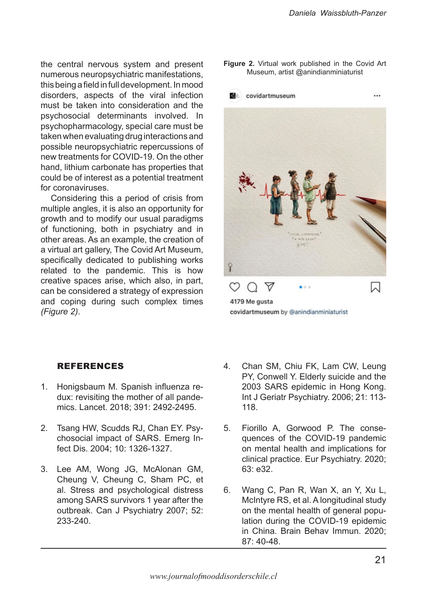$\cdots$ 

the central nervous system and present numerous neuropsychiatric manifestations, this being a field in full development. In mood disorders, aspects of the viral infection must be taken into consideration and the psychosocial determinants involved. In psychopharmacology, special care must be taken when evaluating drug interactions and possible neuropsychiatric repercussions of new treatments for COVID-19. On the other hand, lithium carbonate has properties that could be of interest as a potential treatment for coronaviruses.

Considering this a period of crisis from multiple angles, it is also an opportunity for growth and to modify our usual paradigms of functioning, both in psychiatry and in other areas. As an example, the creation of a virtual art gallery, The Covid Art Museum, specifically dedicated to publishing works related to the pandemic. This is how creative spaces arise, which also, in part, can be considered a strategy of expression and coping during such complex times *(Figure 2)*.

**Figure 2.** Virtual work published in the Covid Art Museum, artist @anindianminiaturist



covidartmuseum by @anindianminiaturist

### REFERENCES

- 1. Honigsbaum M. Spanish influenza redux: revisiting the mother of all pandemics. Lancet. 2018; 391: 2492-2495.
- Tsang HW, Scudds RJ, Chan EY. Psychosocial impact of SARS. Emerg Infect Dis. 2004; 10: 1326-1327. 2.
- 3. Lee AM, Wong JG, McAlonan GM, Cheung V, Cheung C, Sham PC, et al. Stress and psychological distress among SARS survivors 1 year after the outbreak. Can J Psychiatry 2007; 52: 233-240.
- Chan SM, Chiu FK, Lam CW, Leung PY, Conwell Y. Elderly suicide and the 2003 SARS epidemic in Hong Kong. Int J Geriatr Psychiatry. 2006; 21: 113- 118. 4.
- Fiorillo A, Gorwood P. The consequences of the COVID-19 pandemic on mental health and implications for clinical practice. Eur Psychiatry. 2020; 63: e32. 5.
- Wang C, Pan R, Wan X, an Y, Xu L, McIntyre RS, et al. A longitudinal study on the mental health of general population during the COVID-19 epidemic in China. Brain Behav Immun. 2020; 87: 40-48. 6.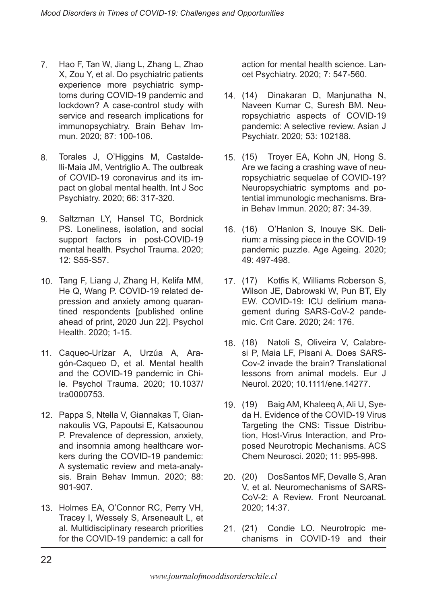- Hao F, Tan W, Jiang L, Zhang L, Zhao X, Zou Y, et al. Do psychiatric patients experience more psychiatric symptoms during COVID-19 pandemic and lockdown? A case-control study with service and research implications for immunopsychiatry. Brain Behav Immun. 2020; 87: 100-106. 7.
- Torales J, O'Higgins M, Castaldelli-Maia JM, Ventriglio A. The outbreak of COVID-19 coronavirus and its impact on global mental health. Int J Soc Psychiatry. 2020; 66: 317-320. 8.
- Saltzman LY, Hansel TC, Bordnick PS. Loneliness, isolation, and social support factors in post-COVID-19 mental health. Psychol Trauma. 2020; 12: S55-S57. 9.
- 10. Tang F, Liang J, Zhang H, Kelifa MM, He Q, Wang P. COVID-19 related depression and anxiety among quarantined respondents [published online ahead of print, 2020 Jun 22]. Psychol Health. 2020; 1-15.
- Caqueo-Urízar A, Urzúa A, Ara-11. gón-Caqueo D, et al. Mental health and the COVID-19 pandemic in Chile. Psychol Trauma. 2020; 10.1037/ tra0000753.
- 12. Pappa S, Ntella V, Giannakas T, Giannakoulis VG, Papoutsi E, Katsaounou P. Prevalence of depression, anxiety, and insomnia among healthcare workers during the COVID-19 pandemic: A systematic review and meta-analysis. Brain Behav Immun. 2020; 88: 901-907.
- 13. Holmes EA, O'Connor RC, Perry VH, Tracey I, Wessely S, Arseneault L, et al. Multidisciplinary research priorities for the COVID-19 pandemic: a call for

action for mental health science. Lancet Psychiatry. 2020; 7: 547-560.

- (14) Dinakaran D, Manjunatha N, 14. Naveen Kumar C, Suresh BM. Neuropsychiatric aspects of COVID-19 pandemic: A selective review. Asian J Psychiatr. 2020; 53: 102188.
- (15) Troyer EA, Kohn JN, Hong S. 15. Are we facing a crashing wave of neuropsychiatric sequelae of COVID-19? Neuropsychiatric symptoms and potential immunologic mechanisms. Brain Behav Immun. 2020; 87: 34-39.
- (16) O'Hanlon S, Inouye SK. Deli-16. rium: a missing piece in the COVID-19 pandemic puzzle. Age Ageing. 2020; 49: 497-498.
- (17) Kotfis K, Williams Roberson S, 17. Wilson JE, Dabrowski W, Pun BT, Ely EW. COVID-19: ICU delirium management during SARS-CoV-2 pandemic. Crit Care. 2020; 24: 176.
- Natoli S, Oliveira V, Calabresi P, Maia LF, Pisani A. Does SARS-Cov-2 invade the brain? Translational lessons from animal models. Eur J Neurol. 2020; 10.1111/ene.14277. 18.
- (19) Baig AM, Khaleeq A, Ali U, Sye-19. da H. Evidence of the COVID-19 Virus Targeting the CNS: Tissue Distribution, Host-Virus Interaction, and Proposed Neurotropic Mechanisms. ACS Chem Neurosci. 2020; 11: 995-998.
- (20) DosSantos MF, Devalle S, Aran 20. V, et al. Neuromechanisms of SARS-CoV-2: A Review. Front Neuroanat. 2020; 14:37.
- (21) Condie LO. Neurotropic me-21.chanisms in COVID-19 and their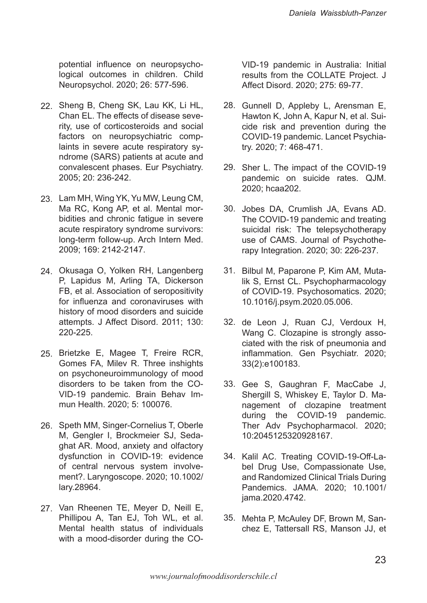potential influence on neuropsychological outcomes in children. Child Neuropsychol. 2020; 26: 577-596.

- 22. Sheng B, Cheng SK, Lau KK, Li HL, Chan EL. The effects of disease severity, use of corticosteroids and social factors on neuropsychiatric complaints in severe acute respiratory syndrome (SARS) patients at acute and convalescent phases. Eur Psychiatry. 2005; 20: 236-242.
- 23. Lam MH, Wing YK, Yu MW, Leung CM, Ma RC, Kong AP, et al. Mental morbidities and chronic fatigue in severe acute respiratory syndrome survivors: long-term follow-up. Arch Intern Med. 2009; 169: 2142-2147.
- 24. Okusaga O, Yolken RH, Langenberg P, Lapidus M, Arling TA, Dickerson FB, et al. Association of seropositivity for influenza and coronaviruses with history of mood disorders and suicide attempts. J Affect Disord. 2011; 130: 220-225.
- 25. Brietzke E, Magee T, Freire RCR, Gomes FA, Milev R. Three inshights on psychoneuroimmunology of mood disorders to be taken from the CO-VID-19 pandemic. Brain Behav Immun Health. 2020; 5: 100076.
- 26. Speth MM, Singer-Cornelius T, Oberle M, Gengler I, Brockmeier SJ, Sedaghat AR. Mood, anxiety and olfactory dysfunction in COVID-19: evidence of central nervous system involvement?. Laryngoscope. 2020; 10.1002/ lary.28964.
- 27. Van Rheenen TE, Meyer D, Neill E, Phillipou A, Tan EJ, Toh WL, et al. Mental health status of individuals with a mood-disorder during the CO-

VID-19 pandemic in Australia: Initial results from the COLLATE Project. J Affect Disord. 2020; 275: 69-77.

- 28. Gunnell D, Appleby L, Arensman E, Hawton K, John A, Kapur N, et al. Suicide risk and prevention during the COVID-19 pandemic. Lancet Psychiatry. 2020; 7: 468-471.
- 29. Sher L. The impact of the COVID-19 pandemic on suicide rates. QJM. 2020; hcaa202.
- 30. Jobes DA, Crumlish JA, Evans AD. The COVID-19 pandemic and treating suicidal risk: The telepsychotherapy use of CAMS. Journal of Psychotherapy Integration. 2020; 30: 226-237.
- 31. Bilbul M, Paparone P, Kim AM, Mutalik S, Ernst CL. Psychopharmacology of COVID-19. Psychosomatics. 2020; 10.1016/j.psym.2020.05.006.
- 32. de Leon J, Ruan CJ, Verdoux H, Wang C. Clozapine is strongly associated with the risk of pneumonia and inflammation. Gen Psychiatr. 2020; 33(2):e100183.
- 33. Gee S, Gaughran F, MacCabe J, Shergill S, Whiskey E, Taylor D. Management of clozapine treatment during the COVID-19 pandemic. Ther Adv Psychopharmacol. 2020; 10:2045125320928167.
- 34. Kalil AC. Treating COVID-19-Off-Label Drug Use, Compassionate Use, and Randomized Clinical Trials During Pandemics. JAMA. 2020; 10.1001/ jama.2020.4742.
- 35. Mehta P, McAuley DF, Brown M, Sanchez E, Tattersall RS, Manson JJ, et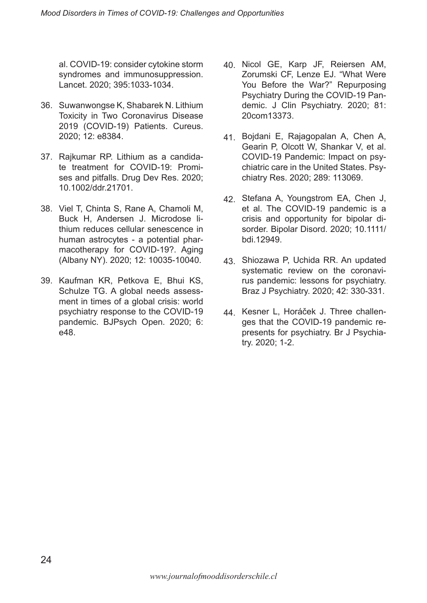al. COVID-19: consider cytokine storm syndromes and immunosuppression. Lancet. 2020; 395:1033-1034.

- 36. Suwanwongse K, Shabarek N. Lithium Toxicity in Two Coronavirus Disease 2019 (COVID-19) Patients. Cureus. 2020; 12: e8384.
- 37. Rajkumar RP. Lithium as a candidate treatment for COVID-19: Promises and pitfalls. Drug Dev Res. 2020; 10.1002/ddr.21701.
- 38. Viel T, Chinta S, Rane A, Chamoli M, Buck H, Andersen J. Microdose lithium reduces cellular senescence in human astrocytes - a potential pharmacotherapy for COVID-19?. Aging (Albany NY). 2020; 12: 10035-10040.
- 39. Kaufman KR, Petkova E, Bhui KS, Schulze TG. A global needs assessment in times of a global crisis: world psychiatry response to the COVID-19 pandemic. BJPsych Open. 2020; 6: e48.
- 40. Nicol GE, Karp JF, Reiersen AM, Zorumski CF, Lenze EJ. "What Were You Before the War?" Repurposing Psychiatry During the COVID-19 Pandemic. J Clin Psychiatry. 2020; 81: 20com13373.
- Bojdani E, Rajagopalan A, Chen A, 41. Gearin P, Olcott W, Shankar V, et al. COVID-19 Pandemic: Impact on psychiatric care in the United States. Psychiatry Res. 2020; 289: 113069.
- 42. Stefana A, Youngstrom EA, Chen J, et al. The COVID-19 pandemic is a crisis and opportunity for bipolar disorder. Bipolar Disord. 2020; 10.1111/ bdi.12949.
- 43. Shiozawa P, Uchida RR. An updated systematic review on the coronavirus pandemic: lessons for psychiatry. Braz J Psychiatry. 2020; 42: 330-331.
- 44. Kesner L, Horáček J. Three challenges that the COVID-19 pandemic represents for psychiatry. Br J Psychiatry. 2020; 1-2.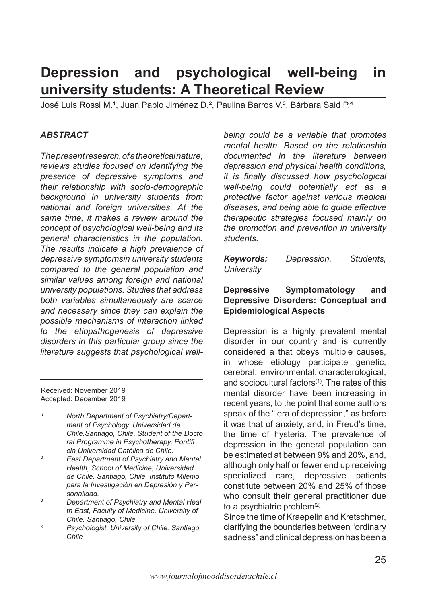# **Depression and psychological well-being in university students: A Theoretical Review**

José Luis Rossi M.<sup>1</sup>, Juan Pablo Jiménez D.<sup>2</sup>, Paulina Barros V.<sup>3</sup>, Bárbara Said P.<sup>4</sup>

### *ABSTRACT*

*The present research, of a theoretical nature, reviews studies focused on identifying the presence of depressive symptoms and their relationship with socio-demographic background in university students from national and foreign universities. At the same time, it makes a review around the concept of psychological well-being and its general characteristics in the population. The results indicate a high prevalence of depressive symptomsin university students compared to the general population and similar values among foreign and national university populations. Studies that address both variables simultaneously are scarce and necessary since they can explain the possible mechanisms of interaction linked to the etiopathogenesis of depressive disorders in this particular group since the literature suggests that psychological well-*

Received: November 2019 Accepted: December 2019

- *¹ North Department of Psychiatry/Department of Psychology. Universidad de Chile.Santiago, Chile. Student of the Docto ral Programme in Psychotherapy, Pontifi cia Universidad Católica de Chile.*
- *² East Department of Psychiatry and Mental Health, School of Medicine, Universidad de Chile. Santiago, Chile. Instituto Milenio para la Investigación en Depresión y Personalidad.*
- *³ Department of Psychiatry and Mental Heal th East, Faculty of Medicine, University of Chile. Santiago, Chile*
- *⁴ Psychologist, University of Chile. Santiago, Chile*

*being could be a variable that promotes mental health. Based on the relationship documented in the literature between depression and physical health conditions, it is finally discussed how psychological well-being could potentially act as a protective factor against various medical diseases, and being able to guide effective therapeutic strategies focused mainly on the promotion and prevention in university students.*

*Keywords: Depression, Students, University*

#### **Depressive Symptomatology and Depressive Disorders: Conceptual and Epidemiological Aspects**

Depression is a highly prevalent mental disorder in our country and is currently considered a that obeys multiple causes, in whose etiology participate genetic, cerebral, environmental, characterological, and sociocultural factors $(1)$ . The rates of this mental disorder have been increasing in recent years, to the point that some authors speak of the " era of depression," as before it was that of anxiety, and, in Freud's time, the time of hysteria. The prevalence of depression in the general population can be estimated at between 9% and 20%, and, although only half or fewer end up receiving specialized care, depressive patients constitute between 20% and 25% of those who consult their general practitioner due to a psychiatric problem $(2)$ .

Since the time of Kraepelin and Kretschmer, clarifying the boundaries between "ordinary sadness" and clinical depression has been a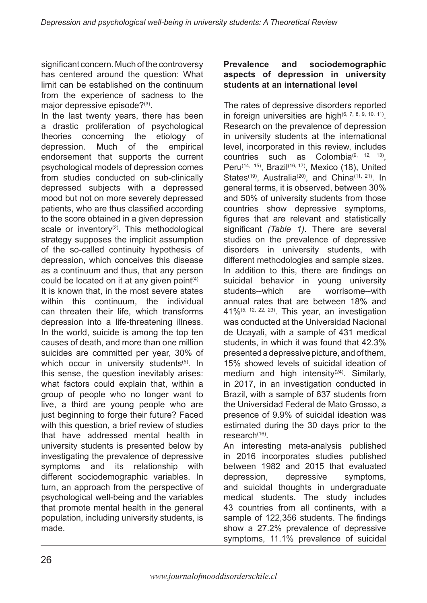significant concern. Much of the controversy has centered around the question: What limit can be established on the continuum from the experience of sadness to the major depressive episode?(3).

In the last twenty years, there has been a drastic proliferation of psychological theories concerning the etiology of depression. Much of the empirical endorsement that supports the current psychological models of depression comes from studies conducted on sub-clinically depressed subjects with a depressed mood but not on more severely depressed patients, who are thus classified according to the score obtained in a given depression scale or inventory $(2)$ . This methodological strategy supposes the implicit assumption of the so-called continuity hypothesis of depression, which conceives this disease as a continuum and thus, that any person could be located on it at any given point $(4)$ 

It is known that, in the most severe states within this continuum, the individual can threaten their life, which transforms depression into a life-threatening illness. In the world, suicide is among the top ten causes of death, and more than one million suicides are committed per year, 30% of which occur in university students<sup>(5)</sup>. In this sense, the question inevitably arises: what factors could explain that, within a group of people who no longer want to live, a third are young people who are just beginning to forge their future? Faced with this question, a brief review of studies that have addressed mental health in university students is presented below by investigating the prevalence of depressive symptoms and its relationship with different sociodemographic variables. In turn, an approach from the perspective of psychological well-being and the variables that promote mental health in the general population, including university students, is made.

### **Prevalence and sociodemographic aspects of depression in university students at an international level**

The rates of depressive disorders reported in foreign universities are high $(6, 7, 8, 9, 10, 11)$ . Research on the prevalence of depression in university students at the international level, incorporated in this review, includes countries such as Colombia<sup> $(9, 12, 13)$ </sup>. Peru<sup>(14, 15)</sup>, Brazil<sup>(16, 17)</sup>, Mexico (18), United States<sup>(19)</sup>, Australia<sup>(20)</sup>, and China<sup>(11, 21)</sup>. In general terms, it is observed, between 30% and 50% of university students from those countries show depressive symptoms, figures that are relevant and statistically significant *(Table 1)*. There are several studies on the prevalence of depressive disorders in university students, with different methodologies and sample sizes. In addition to this, there are findings on suicidal behavior in young university students--which are worrisome--with annual rates that are between 18% and 41%(5, 12, 22, 23). This year, an investigation was conducted at the Universidad Nacional de Ucayali, with a sample of 431 medical students, in which it was found that 42.3% presented a depressive picture, and of them, 15% showed levels of suicidal ideation of medium and high intensity<sup>(24)</sup>. Similarly, in 2017, in an investigation conducted in Brazil, with a sample of 637 students from the Universidad Federal de Mato Grosso, a presence of 9.9% of suicidal ideation was estimated during the 30 days prior to the research(16).

An interesting meta-analysis published in 2016 incorporates studies published between 1982 and 2015 that evaluated depression, depressive symptoms, and suicidal thoughts in undergraduate medical students. The study includes 43 countries from all continents, with a sample of 122,356 students. The findings show a 27.2% prevalence of depressive symptoms, 11.1% prevalence of suicidal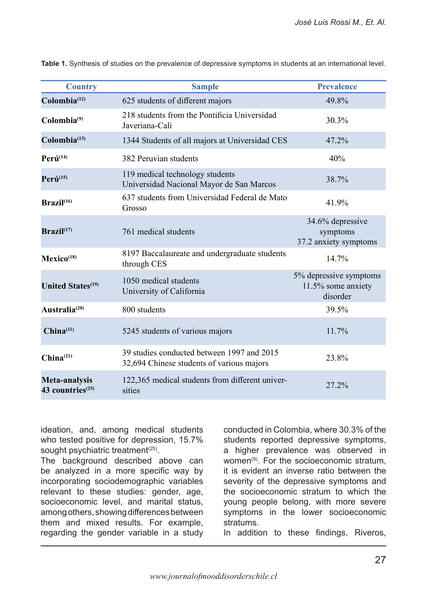| <b>Country</b>                                | <b>Sample</b>                                                                           | <b>Prevalence</b>                                        |
|-----------------------------------------------|-----------------------------------------------------------------------------------------|----------------------------------------------------------|
| Colombia <sup>(12)</sup>                      | 625 students of different majors                                                        | 49.8%                                                    |
| Colombia <sup>(9)</sup>                       | 218 students from the Pontificia Universidad<br>Javeriana-Cali                          | 30.3%                                                    |
| Colombia <sup>(13)</sup>                      | 1344 Students of all majors at Universidad CES                                          | 47.2%                                                    |
| $Per\acute{u}^{(14)}$                         | 382 Peruvian students                                                                   | 40%                                                      |
| $Per\acute{u}^{(15)}$                         | 119 medical technology students<br>Universidad Nacional Mayor de San Marcos             | 38.7%                                                    |
| Brazil <sup>(16)</sup>                        | 637 students from Universidad Federal de Mato<br>Grosso                                 | 41.9%                                                    |
| $\textbf{Brazil}^{(17)}$                      | 761 medical students                                                                    | 34.6% depressive<br>symptoms<br>37.2 anxiety symptoms    |
| Mexico <sup>(18)</sup>                        | 8197 Baccalaureate and undergraduate students<br>through CES                            | 14.7%                                                    |
| <b>United States</b> <sup>(19)</sup>          | 1050 medical students<br>University of California                                       | 5% depressive symptoms<br>11.5% some anxiety<br>disorder |
| Australia <sup>(20)</sup>                     | 800 students                                                                            | 39.5%                                                    |
| China <sup>(11)</sup>                         | 5245 students of various majors                                                         | 11.7%                                                    |
| China <sup>(21)</sup>                         | 39 studies conducted between 1997 and 2015<br>32,694 Chinese students of various majors | 23.8%                                                    |
| Meta-analysis<br>43 countries <sup>(25)</sup> | 122,365 medical students from different univer-<br>sities                               | 27.2%                                                    |

**Table 1.** Synthesis of studies on the prevalence of depressive symptoms in students at an international level.

ideation, and, among medical students who tested positive for depression, 15.7% sought psychiatric treatment<sup>(25)</sup>.

The background described above can be analyzed in a more specific way by incorporating sociodemographic variables relevant to these studies: gender, age, socioeconomic level, and marital status, among others, showing differences between them and mixed results. For example, regarding the gender variable in a study

conducted in Colombia, where 30.3% of the students reported depressive symptoms, a higher prevalence was observed in women $(9)$ . For the socioeconomic stratum it is evident an inverse ratio between the severity of the depressive symptoms and the socioeconomic stratum to which the young people belong, with more severe symptoms in the lower socioeconomic stratums.

In addition to these findings, Riveros,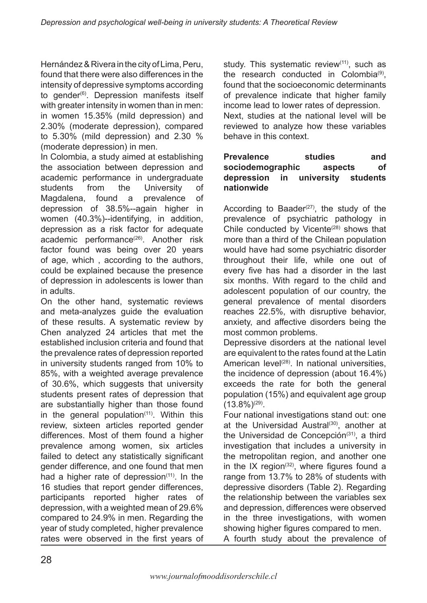Hernández & Rivera in the city of Lima, Peru, found that there were also differences in the intensity of depressive symptoms according to gender<sup>(6)</sup>. Depression manifests itself with greater intensity in women than in men: in women 15.35% (mild depression) and 2.30% (moderate depression), compared to 5.30% (mild depression) and 2.30 % (moderate depression) in men.

In Colombia, a study aimed at establishing the association between depression and academic performance in undergraduate students from the University of Magdalena, found a prevalence of depression of 38.5%--again higher in women (40.3%)--identifying, in addition, depression as a risk factor for adequate academic performance<sup>(26)</sup>. Another risk factor found was being over 20 years of age, which , according to the authors, could be explained because the presence of depression in adolescents is lower than in adults.

On the other hand, systematic reviews and meta-analyzes guide the evaluation of these results. A systematic review by Chen analyzed 24 articles that met the established inclusion criteria and found that the prevalence rates of depression reported in university students ranged from 10% to 85%, with a weighted average prevalence of 30.6%, which suggests that university students present rates of depression that are substantially higher than those found in the general population $(11)$ . Within this review, sixteen articles reported gender differences. Most of them found a higher prevalence among women, six articles failed to detect any statistically significant gender difference, and one found that men had a higher rate of depression $(11)$ . In the 16 studies that report gender differences, participants reported higher rates of depression, with a weighted mean of 29.6% compared to 24.9% in men. Regarding the year of study completed, higher prevalence rates were observed in the first years of

study. This systematic review<sup>(11)</sup>, such as the research conducted in Colombia $(9)$ , found that the socioeconomic determinants of prevalence indicate that higher family income lead to lower rates of depression. Next, studies at the national level will be reviewed to analyze how these variables behave in this context.

### **Prevalence studies and sociodemographic aspects of depression in university students nationwide**

According to Baader $(27)$ , the study of the prevalence of psychiatric pathology in Chile conducted by Vicente $(28)$  shows that more than a third of the Chilean population would have had some psychiatric disorder throughout their life, while one out of every five has had a disorder in the last six months. With regard to the child and adolescent population of our country, the general prevalence of mental disorders reaches 22.5%, with disruptive behavior, anxiety, and affective disorders being the most common problems.

Depressive disorders at the national level are equivalent to the rates found at the Latin American level<sup>(28)</sup>. In national universities, the incidence of depression (about 16.4%) exceeds the rate for both the general population (15%) and equivalent age group  $(13.8\%)^{(29)}$ .

Four national investigations stand out: one at the Universidad Austral<sup>(30)</sup>, another at the Universidad de Concepción $(31)$ , a third investigation that includes a university in the metropolitan region, and another one in the IX region $(32)$ , where figures found a range from 13.7% to 28% of students with depressive disorders (Table 2). Regarding the relationship between the variables sex and depression, differences were observed in the three investigations, with women showing higher figures compared to men.

A fourth study about the prevalence of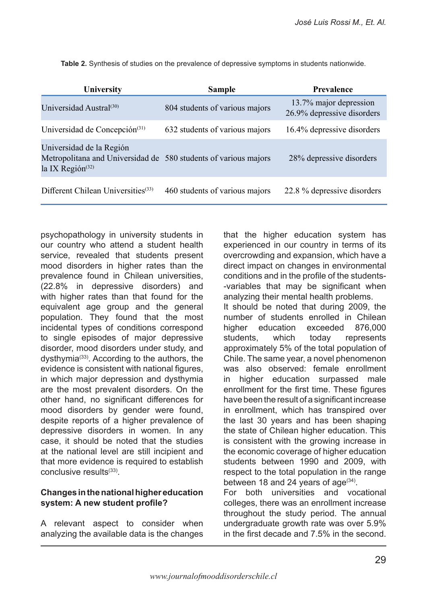| University                                                                                                                  | <b>Sample</b>                  | Prevalence                                           |
|-----------------------------------------------------------------------------------------------------------------------------|--------------------------------|------------------------------------------------------|
| Universidad Austral <sup>(30)</sup>                                                                                         | 804 students of various majors | 13.7% major depression<br>26.9% depressive disorders |
| Universidad de Concepción <sup>(31)</sup>                                                                                   | 632 students of various majors | 16.4% depressive disorders                           |
| Universidad de la Región<br>Metropolitana and Universidad de 580 students of various majors<br>la IX Región <sup>(32)</sup> |                                | 28% depressive disorders                             |
| Different Chilean Universities <sup>(33)</sup>                                                                              | 460 students of various majors | 22.8 % depressive disorders                          |

**Table 2.** Synthesis of studies on the prevalence of depressive symptoms in students nationwide.

psychopathology in university students in our country who attend a student health service, revealed that students present mood disorders in higher rates than the prevalence found in Chilean universities, (22.8% in depressive disorders) and with higher rates than that found for the equivalent age group and the general population. They found that the most incidental types of conditions correspond to single episodes of major depressive disorder, mood disorders under study, and dysthymia(33). According to the authors, the evidence is consistent with national figures, in which major depression and dysthymia are the most prevalent disorders. On the other hand, no significant differences for mood disorders by gender were found, despite reports of a higher prevalence of depressive disorders in women. In any case, it should be noted that the studies at the national level are still incipient and that more evidence is required to establish conclusive results<sup>(33)</sup>.

### **Changes in the national higher education system: A new student profile?**

A relevant aspect to consider when analyzing the available data is the changes that the higher education system has experienced in our country in terms of its overcrowding and expansion, which have a direct impact on changes in environmental conditions and in the profile of the students- -variables that may be significant when analyzing their mental health problems. It should be noted that during 2009, the number of students enrolled in Chilean higher education exceeded 876,000 students, which today represents approximately 5% of the total population of Chile. The same year, a novel phenomenon was also observed: female enrollment in higher education surpassed male enrollment for the first time. These figures have been the result of a significant increase in enrollment, which has transpired over the last 30 years and has been shaping the state of Chilean higher education. This is consistent with the growing increase in the economic coverage of higher education students between 1990 and 2009, with respect to the total population in the range between 18 and 24 years of  $age^{(34)}$ .

For both universities and vocational colleges, there was an enrollment increase throughout the study period. The annual undergraduate growth rate was over 5.9% in the first decade and 7.5% in the second.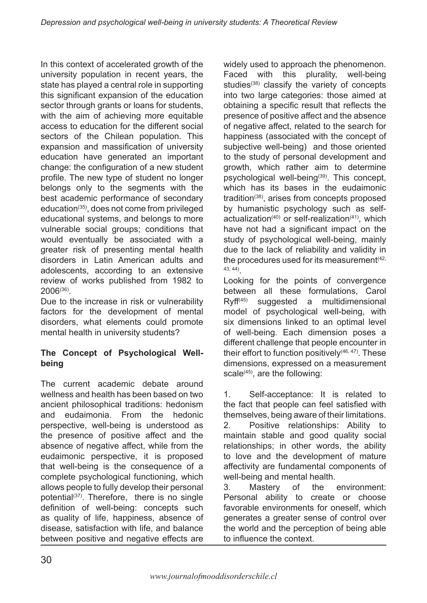In this context of accelerated growth of the university population in recent years, the state has played a central role in supporting this significant expansion of the education sector through grants or loans for students, with the aim of achieving more equitable access to education for the different social sectors of the Chilean population. This expansion and massification of university education have generated an important change: the configuration of a new student profile. The new type of student no longer belongs only to the segments with the best academic performance of secondary education(35), does not come from privileged educational systems, and belongs to more vulnerable social groups; conditions that would eventually be associated with a greater risk of presenting mental health disorders in Latin American adults and adolescents, according to an extensive review of works published from 1982 to 2006(36).

Due to the increase in risk or vulnerability factors for the development of mental disorders, what elements could promote mental health in university students?

# **The Concept of Psychological Wellbeing**

The current academic debate around wellness and health has been based on two ancient philosophical traditions: hedonism and eudaimonia. From the hedonic perspective, well-being is understood as the presence of positive affect and the absence of negative affect, while from the eudaimonic perspective, it is proposed that well-being is the consequence of a complete psychological functioning, which allows people to fully develop their personal potential<sup>(37)</sup>. Therefore, there is no single definition of well-being: concepts such as quality of life, happiness, absence of disease, satisfaction with life, and balance between positive and negative effects are widely used to approach the phenomenon. Faced with this plurality, well-being studies<sup>(38)</sup> classify the variety of concepts into two large categories: those aimed at obtaining a specific result that reflects the presence of positive affect and the absence of negative affect, related to the search for happiness (associated with the concept of subjective well-being) and those oriented to the study of personal development and growth, which rather aim to determine psychological well-being<sup>(39)</sup>. This concept, which has its bases in the eudaimonic tradition(38), arises from concepts proposed by humanistic psychology such as selfactualization<sup>(40)</sup> or self-realization<sup>(41)</sup>, which have not had a significant impact on the study of psychological well-being, mainly due to the lack of reliability and validity in the procedures used for its measurement  $(42, 6)$ 43, 44).

Looking for the points of convergence between all these formulations, Carol  $Ryff^{(45)}$  suggested a multidimensional model of psychological well-being, with six dimensions linked to an optimal level of well-being. Each dimension poses a different challenge that people encounter in their effort to function positively $(46, 47)$ . These dimensions, expressed on a measurement scale $(45)$ , are the following:

1. Self-acceptance: It is related to the fact that people can feel satisfied with themselves, being aware of their limitations. 2. Positive relationships: Ability to maintain stable and good quality social relationships; in other words, the ability to love and the development of mature affectivity are fundamental components of well-being and mental health.

3. Mastery of the environment: Personal ability to create or choose favorable environments for oneself, which generates a greater sense of control over the world and the perception of being able to influence the context.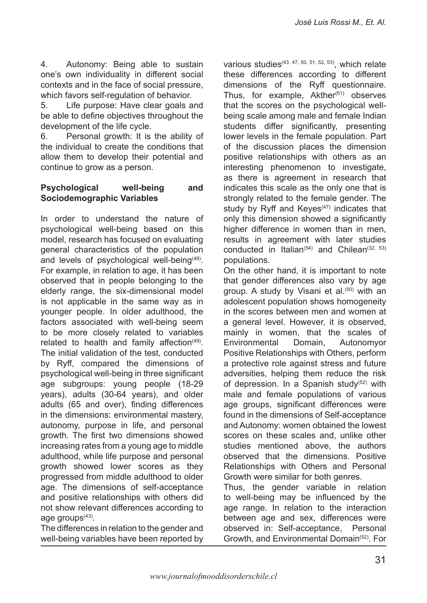4. Autonomy: Being able to sustain one's own individuality in different social contexts and in the face of social pressure, which favors self-regulation of behavior.

5. Life purpose: Have clear goals and be able to define objectives throughout the development of the life cycle.

6. Personal growth: It is the ability of the individual to create the conditions that allow them to develop their potential and continue to grow as a person.

#### **Psychological well-being and Sociodemographic Variables**

In order to understand the nature of psychological well-being based on this model, research has focused on evaluating general characteristics of the population and levels of psychological well-being $(48)$ . For example, in relation to age, it has been observed that in people belonging to the elderly range, the six-dimensional model is not applicable in the same way as in younger people. In older adulthood, the factors associated with well-being seem to be more closely related to variables related to health and family affection $(49)$ . The initial validation of the test, conducted by Ryff, compared the dimensions of psychological well-being in three significant age subgroups: young people (18-29 years), adults (30-64 years), and older adults (65 and over), finding differences in the dimensions: environmental mastery, autonomy, purpose in life, and personal growth. The first two dimensions showed increasing rates from a young age to middle adulthood, while life purpose and personal growth showed lower scores as they progressed from middle adulthood to older age. The dimensions of self-acceptance and positive relationships with others did not show relevant differences according to age groups<sup>(43)</sup>.

The differences in relation to the gender and well-being variables have been reported by various studies(43, 47, 50, 51, 52, 53), which relate these differences according to different dimensions of the Ryff questionnaire. Thus, for example,  $A$ kther $(51)$  observes that the scores on the psychological wellbeing scale among male and female Indian students differ significantly, presenting lower levels in the female population. Part of the discussion places the dimension positive relationships with others as an interesting phenomenon to investigate, as there is agreement in research that indicates this scale as the only one that is strongly related to the female gender. The study by Ryff and  $Keves$ <sup> $(47)$ </sup> indicates that only this dimension showed a significantly higher difference in women than in men. results in agreement with later studies conducted in Italian( $54$ ) and Chilean( $32, 53$ ) populations.

On the other hand, it is important to note that gender differences also vary by age group. A study by Visani et al.<sup>(50)</sup> with an adolescent population shows homogeneity in the scores between men and women at a general level. However, it is observed, mainly in women, that the scales of Environmental Domain, Autonomyor Positive Relationships with Others, perform a protective role against stress and future adversities, helping them reduce the risk of depression. In a Spanish study<sup>(52)</sup> with male and female populations of various age groups, significant differences were found in the dimensions of Self-acceptance and Autonomy: women obtained the lowest scores on these scales and, unlike other studies mentioned above, the authors observed that the dimensions. Positive Relationships with Others and Personal Growth were similar for both genres.

Thus, the gender variable in relation to well-being may be influenced by the age range. In relation to the interaction between age and sex, differences were observed in: Self-acceptance, Personal Growth, and Environmental Domain(52). For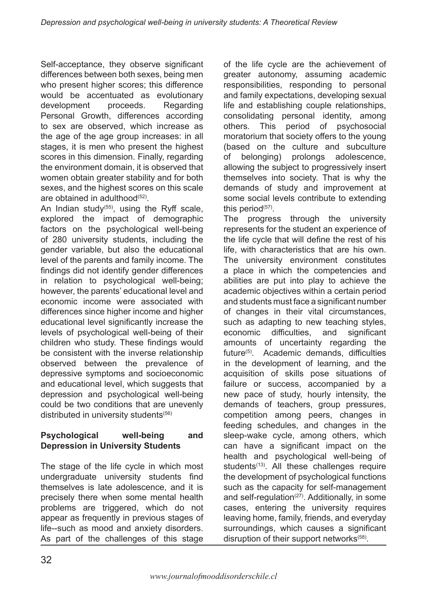Self-acceptance, they observe significant differences between both sexes, being men who present higher scores; this difference would be accentuated as evolutionary development proceeds. Regarding Personal Growth, differences according to sex are observed, which increase as the age of the age group increases: in all stages, it is men who present the highest scores in this dimension. Finally, regarding the environment domain, it is observed that women obtain greater stability and for both sexes, and the highest scores on this scale are obtained in adulthood $(52)$ .

An Indian study<sup> $(55)$ </sup>, using the Ryff scale, explored the impact of demographic factors on the psychological well-being of 280 university students, including the gender variable, but also the educational level of the parents and family income. The findings did not identify gender differences in relation to psychological well-being; however, the parents' educational level and economic income were associated with differences since higher income and higher educational level significantly increase the levels of psychological well-being of their children who study. These findings would be consistent with the inverse relationship observed between the prevalence of depressive symptoms and socioeconomic and educational level, which suggests that depression and psychological well-being could be two conditions that are unevenly distributed in university students<sup>(56)</sup>

# **Psychological well-being and Depression in University Students**

The stage of the life cycle in which most undergraduate university students find themselves is late adolescence, and it is precisely there when some mental health problems are triggered, which do not appear as frequently in previous stages of life--such as mood and anxiety disorders. As part of the challenges of this stage

of the life cycle are the achievement of greater autonomy, assuming academic responsibilities, responding to personal and family expectations, developing sexual life and establishing couple relationships, consolidating personal identity, among others. This period of psychosocial moratorium that society offers to the young (based on the culture and subculture of belonging) prolongs adolescence, allowing the subject to progressively insert themselves into society. That is why the demands of study and improvement at some social levels contribute to extending this period $(57)$ .

The progress through the university represents for the student an experience of the life cycle that will define the rest of his life, with characteristics that are his own. The university environment constitutes a place in which the competencies and abilities are put into play to achieve the academic objectives within a certain period and students must face a significant number of changes in their vital circumstances, such as adapting to new teaching styles, economic difficulties, and significant amounts of uncertainty regarding the future<sup>(5)</sup>. Academic demands, difficulties in the development of learning, and the acquisition of skills pose situations of failure or success, accompanied by a new pace of study, hourly intensity, the demands of teachers, group pressures, competition among peers, changes in feeding schedules, and changes in the sleep-wake cycle, among others, which can have a significant impact on the health and psychological well-being of students<sup>(13)</sup>. All these challenges require the development of psychological functions such as the capacity for self-management and self-regulation $(27)$ . Additionally, in some cases, entering the university requires leaving home, family, friends, and everyday surroundings, which causes a significant disruption of their support networks<sup>(58)</sup>.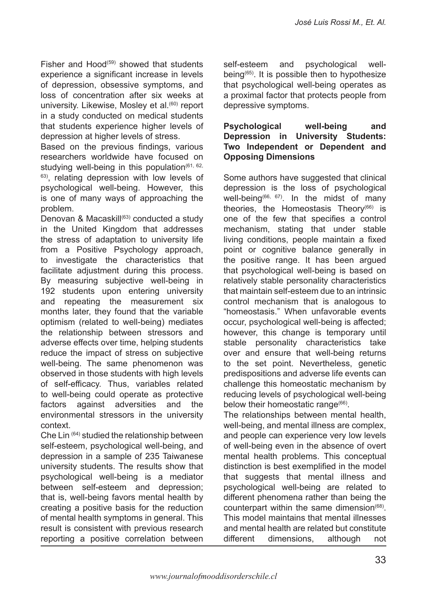Fisher and Hood<sup>(59)</sup> showed that students experience a significant increase in levels of depression, obsessive symptoms, and loss of concentration after six weeks at university. Likewise, Mosley et al.<sup>(60)</sup> report in a study conducted on medical students that students experience higher levels of depression at higher levels of stress.

Based on the previous findings, various researchers worldwide have focused on studying well-being in this population $(61, 62, 62)$  $63$ ), relating depression with low levels of psychological well-being. However, this is one of many ways of approaching the problem.

Denovan & Macaskill<sup>(63)</sup> conducted a study in the United Kingdom that addresses the stress of adaptation to university life from a Positive Psychology approach, to investigate the characteristics that facilitate adjustment during this process. By measuring subjective well-being in 192 students upon entering university and repeating the measurement six months later, they found that the variable optimism (related to well-being) mediates the relationship between stressors and adverse effects over time, helping students reduce the impact of stress on subjective well-being. The same phenomenon was observed in those students with high levels of self-efficacy. Thus, variables related to well-being could operate as protective factors against adversities and the environmental stressors in the university context.

Che Lin (64) studied the relationship between self-esteem, psychological well-being, and depression in a sample of 235 Taiwanese university students. The results show that psychological well-being is a mediator between self-esteem and depression; that is, well-being favors mental health by creating a positive basis for the reduction of mental health symptoms in general. This result is consistent with previous research reporting a positive correlation between self-esteem and psychological wellbeing(65). It is possible then to hypothesize that psychological well-being operates as a proximal factor that protects people from depressive symptoms.

#### **Psychological well-being and Depression in University Students: Two Independent or Dependent and Opposing Dimensions**

Some authors have suggested that clinical depression is the loss of psychological well-being<sup>(66, 67)</sup>. In the midst of many theories, the Homeostasis Theory $(66)$  is one of the few that specifies a control mechanism, stating that under stable living conditions, people maintain a fixed point or cognitive balance generally in the positive range. It has been argued that psychological well-being is based on relatively stable personality characteristics that maintain self-esteem due to an intrinsic control mechanism that is analogous to "homeostasis." When unfavorable events occur, psychological well-being is affected; however, this change is temporary until stable personality characteristics take over and ensure that well-being returns to the set point. Nevertheless, genetic predispositions and adverse life events can challenge this homeostatic mechanism by reducing levels of psychological well-being below their homeostatic range(66).

The relationships between mental health, well-being, and mental illness are complex, and people can experience very low levels of well-being even in the absence of overt mental health problems. This conceptual distinction is best exemplified in the model that suggests that mental illness and psychological well-being are related to different phenomena rather than being the counterpart within the same dimension<sup> $(68)$ </sup>. This model maintains that mental illnesses and mental health are related but constitute different dimensions, although not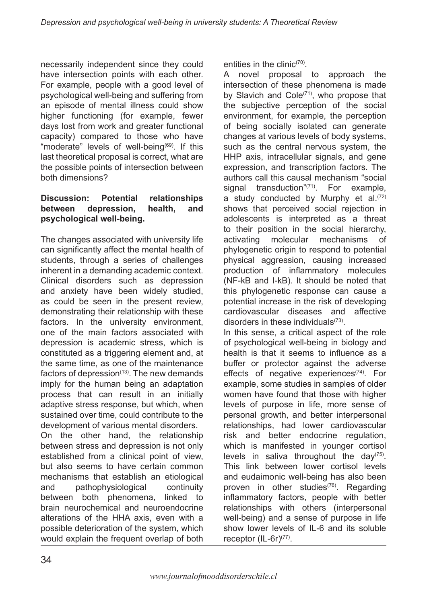necessarily independent since they could have intersection points with each other. For example, people with a good level of psychological well-being and suffering from an episode of mental illness could show higher functioning (for example, fewer days lost from work and greater functional capacity) compared to those who have "moderate" levels of well-being<sup>(69)</sup>. If this last theoretical proposal is correct, what are the possible points of intersection between both dimensions?

### **Discussion: Potential relationships between depression, health, and psychological well-being.**

The changes associated with university life can significantly affect the mental health of students, through a series of challenges inherent in a demanding academic context. Clinical disorders such as depression and anxiety have been widely studied, as could be seen in the present review, demonstrating their relationship with these factors. In the university environment, one of the main factors associated with depression is academic stress, which is constituted as a triggering element and, at the same time, as one of the maintenance factors of depression $(13)$ . The new demands imply for the human being an adaptation process that can result in an initially adaptive stress response, but which, when sustained over time, could contribute to the development of various mental disorders.

On the other hand, the relationship between stress and depression is not only established from a clinical point of view, but also seems to have certain common mechanisms that establish an etiological and pathophysiological continuity between both phenomena, linked to brain neurochemical and neuroendocrine alterations of the HHA axis, even with a possible deterioration of the system, which would explain the frequent overlap of both entities in the clinic<sup> $(70)$ </sup>.

A novel proposal to approach the intersection of these phenomena is made by Slavich and Cole<sup>(71)</sup>, who propose that the subjective perception of the social environment, for example, the perception of being socially isolated can generate changes at various levels of body systems, such as the central nervous system, the HHP axis, intracellular signals, and gene expression, and transcription factors. The authors call this causal mechanism "social signal transduction"<sup>(71)</sup>. For example, a study conducted by Murphy et al. $(72)$ shows that perceived social rejection in adolescents is interpreted as a threat to their position in the social hierarchy, activating molecular mechanisms of phylogenetic origin to respond to potential physical aggression, causing increased production of inflammatory molecules (NF-kB and I-kB). It should be noted that this phylogenetic response can cause a potential increase in the risk of developing cardiovascular diseases and affective disorders in these individuals(73). In this sense, a critical aspect of the role of psychological well-being in biology and

health is that it seems to influence as a buffer or protector against the adverse effects of negative experiences<sup>(74)</sup>. For example, some studies in samples of older women have found that those with higher levels of purpose in life, more sense of personal growth, and better interpersonal relationships, had lower cardiovascular risk and better endocrine regulation, which is manifested in younger cortisol levels in saliva throughout the day( $75$ ). This link between lower cortisol levels and eudaimonic well-being has also been proven in other studies<sup>(76)</sup>. Regarding inflammatory factors, people with better relationships with others (interpersonal well-being) and a sense of purpose in life show lower levels of IL-6 and its soluble receptor (IL-6r)<sup>(77)</sup>.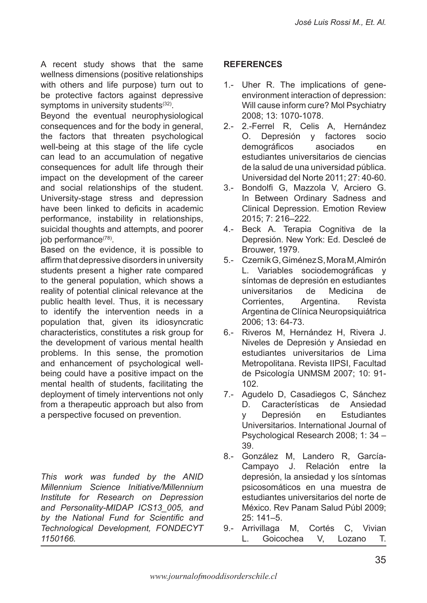A recent study shows that the same wellness dimensions (positive relationships with others and life purpose) turn out to be protective factors against depressive symptoms in university students<sup>(32)</sup>.

Beyond the eventual neurophysiological consequences and for the body in general, the factors that threaten psychological well-being at this stage of the life cycle can lead to an accumulation of negative consequences for adult life through their impact on the development of the career and social relationships of the student. University-stage stress and depression have been linked to deficits in academic performance, instability in relationships, suicidal thoughts and attempts, and poorer job performance(78).

Based on the evidence, it is possible to affirm that depressive disorders in university students present a higher rate compared to the general population, which shows a reality of potential clinical relevance at the public health level. Thus, it is necessary to identify the intervention needs in a population that, given its idiosyncratic characteristics, constitutes a risk group for the development of various mental health problems. In this sense, the promotion and enhancement of psychological wellbeing could have a positive impact on the mental health of students, facilitating the deployment of timely interventions not only from a therapeutic approach but also from a perspective focused on prevention.

*This work was funded by the ANID Millennium Science Initiative/Millennium Institute for Research on Depression and Personality-MIDAP ICS13\_005, and by the National Fund for Scientific and Technological Development, FONDECYT 1150166.*

# **REFERENCES**

- Uher R. The implications of gene-1. environment interaction of depression: Will cause inform cure? Mol Psychiatry 2008; 13: 1070-1078.
- 2.- 2.-Ferrel R, Celis A, Hernández O. Depresión y factores socio demográficos asociados en estudiantes universitarios de ciencias de la salud de una universidad pública. Universidad del Norte 2011; 27: 40-60.
- 3.- Bondolfi G, Mazzola V, Arciero G. In Between Ordinary Sadness and Clinical Depression. Emotion Review 2015; 7: 216–222.
- 4.- Beck A. Terapia Cognitiva de la Depresión. New York: Ed. Descleé de Brouwer, 1979.
- Czernik G, Giménez S, Mora M, Almirón 5.- L. Variables sociodemográficas y síntomas de depresión en estudiantes universitarios de Medicina de Corrientes, Argentina. Revista Argentina de Clínica Neuropsiquiátrica 2006; 13: 64-73.
- 6.- Riveros M, Hernández H, Rivera J. Niveles de Depresión y Ansiedad en estudiantes universitarios de Lima Metropolitana. Revista IIPSI, Facultad de Psicología UNMSM 2007; 10: 91- 102.
- Agudelo D, Casadiegos C, Sánchez D. Características de Ansiedad y Depresión en Estudiantes Universitarios. International Journal of Psychological Research 2008; 1: 34 – 39. 7.-
- González M, Landero R, García-8.- Campayo J. Relación entre la depresión, la ansiedad y los síntomas psicosomáticos en una muestra de estudiantes universitarios del norte de México. Rev Panam Salud Públ 2009; 25: 141–5.
- 9.- Arrivillaga M, Cortés C, Vivian L. Goicochea V, Lozano T.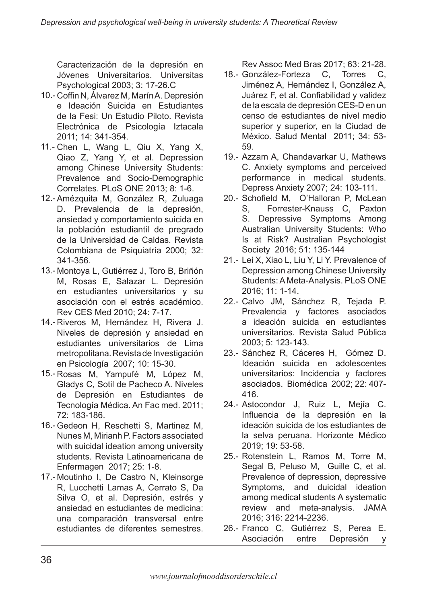Caracterización de la depresión en Jóvenes Universitarios. Universitas Psychological 2003; 3: 17-26.C

- 10.- Coffin N, Álvarez M, Marín A. Depresión e Ideación Suicida en Estudiantes de la Fesi: Un Estudio Piloto. Revista Electrónica de Psicología Iztacala 2011; 14: 341-354.
- 11.- Chen L, Wang L, Qiu X, Yang X, Qiao Z, Yang Y, et al. Depression among Chinese University Students: Prevalence and Socio-Demographic Correlates. PLoS ONE 2013; 8: 1-6.
- 12.- Amézquita M, González R, Zuluaga D. Prevalencia de la depresión, ansiedad y comportamiento suicida en la población estudiantil de pregrado de la Universidad de Caldas. Revista Colombiana de Psiquiatría 2000; 32: 341-356.
- 13.- Montoya L, Gutiérrez J, Toro B, Briñón M, Rosas E, Salazar L. Depresión en estudiantes universitarios y su asociación con el estrés académico. Rev CES Med 2010; 24: 7-17.
- 14.- Riveros M, Hernández H, Rivera J. Niveles de depresión y ansiedad en estudiantes universitarios de Lima metropolitana. Revista de Investigación en Psicología 2007; 10: 15-30.
- 15.- Rosas M, Yampufé M, López M, Gladys C, Sotil de Pacheco A. Niveles de Depresión en Estudiantes de Tecnología Médica. An Fac med. 2011; 72: 183-186.
- 16.- Gedeon H, Reschetti S, Martinez M, Nunes M, Mirianh P. Factors associated with suicidal ideation among university students. Revista Latinoamericana de Enfermagen 2017; 25: 1-8.
- 17 Moutinho I, De Castro N, Kleinsorge R, Lucchetti Lamas A, Cerrato S, Da Silva O, et al. Depresión, estrés y ansiedad en estudiantes de medicina: una comparación transversal entre estudiantes de diferentes semestres.

Rev Assoc Med Bras 2017; 63: 21-28.

- 18.- González-Forteza C, Torres C, Jiménez A, Hernández I, González A, Juárez F, et al. Confiabilidad y validez de la escala de depresión CES-D en un censo de estudiantes de nivel medio superior y superior, en la Ciudad de México. Salud Mental 2011; 34: 53- 59.
- 19.- Azzam A, Chandavarkar U, Mathews C. Anxiety symptoms and perceived performance in medical students. Depress Anxiety 2007; 24: 103-111.
- 20.- Schofield M, O'Halloran P, McLean S, Forrester-Knauss C, Paxton S. Depressive Symptoms Among Australian University Students: Who Is at Risk? Australian Psychologist Society 2016; 51: 135-144
- 21.- Lei X, Xiao L, Liu Y, Li Y. Prevalence of Depression among Chinese University Students: A Meta-Analysis. PLoS ONE 2016; 11: 1-14.
- 22.- Calvo JM, Sánchez R, Tejada P. Prevalencia y factores asociados a ideación suicida en estudiantes universitarios. Revista Salud Pública 2003; 5: 123-143.
- 23.- Sánchez R, Cáceres H, Gómez D. Ideación suicida en adolescentes universitarios: Incidencia y factores asociados. Biomédica 2002; 22: 407- 416.
- 24.- Astocondor J, Ruiz L, Mejía C. Influencia de la depresión en la ideación suicida de los estudiantes de la selva peruana. Horizonte Médico 2019; 19: 53-58.
- 25.- Rotenstein L, Ramos M, Torre M, Segal B, Peluso M, Guille C, et al. Prevalence of depression, depressive Symptoms, and duicidal ideation among medical students A systematic review and meta-analysis. JAMA 2016; 316: 2214-2236.
- 26.- Franco C, Gutiérrez S, Perea E. Asociación entre Depresión y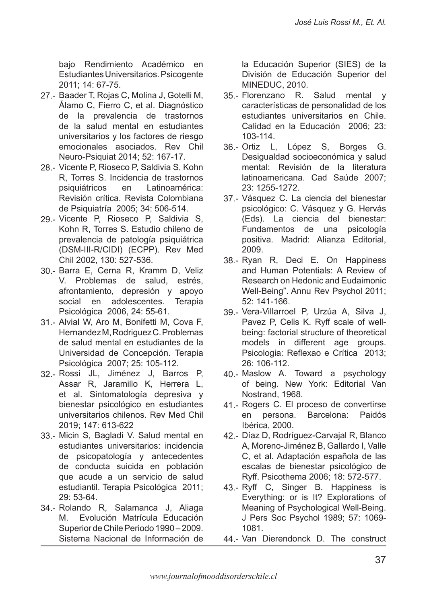bajo Rendimiento Académico en Estudiantes Universitarios. Psicogente 2011; 14: 67-75.

- 27 Baader T, Rojas C, Molina J, Gotelli M, Álamo C, Fierro C, et al. Diagnóstico de la prevalencia de trastornos de la salud mental en estudiantes universitarios y los factores de riesgo emocionales asociados. Rev Chil Neuro-Psiquiat 2014; 52: 167-17.
- 28.- Vicente P, Rioseco P, Saldivia S, Kohn R, Torres S. Incidencia de trastornos psiquiátricos en Latinoamérica: Revisión crítica. Revista Colombiana de Psiquiatría 2005; 34: 506-514.
- 29.- Vicente P, Rioseco P, Saldivia S, Kohn R, Torres S. Estudio chileno de prevalencia de patología psiquiátrica (DSM-III-R/CIDI) (ECPP). Rev Med Chil 2002, 130: 527-536.
- 30.- Barra E, Cerna R, Kramm D, Veliz V. Problemas de salud, estrés, afrontamiento, depresión y apoyo social en adolescentes. Terapia Psicológica 2006, 24: 55-61.
- 31.- Alvial W, Aro M, Bonifetti M, Cova F, Hernandez M, Rodriguez C. Problemas de salud mental en estudiantes de la Universidad de Concepción. Terapia Psicológica 2007; 25: 105-112.
- 32.- Rossi JL, Jiménez J, Barros P, Assar R, Jaramillo K, Herrera L, et al. Sintomatología depresiva y bienestar psicológico en estudiantes universitarios chilenos. Rev Med Chil 2019; 147: 613-622
- 33.- Micin S, Bagladi V. Salud mental en estudiantes universitarios: incidencia de psicopatología y antecedentes de conducta suicida en población que acude a un servicio de salud estudiantil. Terapia Psicológica 2011; 29: 53-64.
- 34.- Rolando R, Salamanca J, Aliaga M. Evolución Matrícula Educación Superior de Chile Periodo 1990 – 2009. Sistema Nacional de Información de

la Educación Superior (SIES) de la División de Educación Superior del MINEDUC, 2010.

- Salud mental y características de personalidad de los estudiantes universitarios en Chile. Calidad en la Educación 2006; 23: 103-114. 35.- Florenzano R.
- 36.- Ortiz L, López S, Borges G. Desigualdad socioeconómica y salud mental: Revisión de la literatura latinoamericana. Cad Saúde 2007; 23: 1255-1272.
- 37 Vásquez C. La ciencia del bienestar psicológico: C. Vásquez y G. Hervás (Eds). La ciencia del bienestar: Fundamentos de una psicología positiva. Madrid: Alianza Editorial, 2009.
- 38 Ryan R, Deci E. On Happiness and Human Potentials: A Review of Research on Hedonic and Eudaimonic Well-Being". Annu Rev Psychol 2011; 52: 141-166.
- 39.- Vera-Villarroel P, Urzúa A, Silva J, Pavez P, Celis K. Ryff scale of wellbeing: factorial structure of theoretical models in different age groups. Psicologia: Reflexao e Crítica 2013; 26: 106-112.
- 40.- Maslow A. Toward a psychology of being. New York: Editorial Van Nostrand, 1968.
- 41.- Rogers C. El proceso de convertirse en persona. Barcelona: Paidós Ibérica, 2000.
- 42.- Díaz D, Rodríguez-Carvajal R, Blanco A, Moreno-Jiménez B, Gallardo I, Valle C, et al. Adaptación española de las escalas de bienestar psicológico de Ryff. Psicothema 2006; 18: 572-577.
- 43.- Ryff C, Singer B. Happiness is Everything: or is It? Explorations of Meaning of Psychological Well-Being. J Pers Soc Psychol 1989; 57: 1069- 1081.
- 44.- Van Dierendonck D. The construct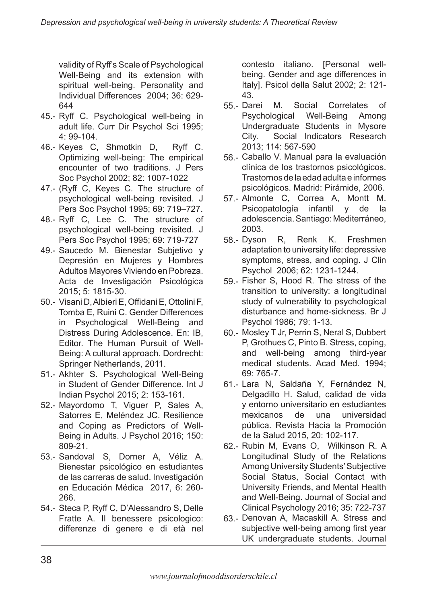validity of Ryff's Scale of Psychological Well-Being and its extension with spiritual well-being. Personality and Individual Differences 2004; 36: 629- 644

- 45.- Ryff C. Psychological well-being in adult life. Curr Dir Psychol Sci 1995; 4: 99-104.
- 46.- Keyes C, Shmotkin D, Ryff C. Optimizing well-being: The empirical encounter of two traditions. J Pers Soc Psychol 2002; 82: 1007-1022
- 47.- (Ryff C, Keyes C. The structure of psychological well-being revisited. J Pers Soc Psychol 1995; 69: 719–727.
- 48.- Ryff C, Lee C. The structure of psychological well-being revisited. J Pers Soc Psychol 1995; 69: 719-727
- 49.- Saucedo M. Bienestar Subjetivo y Depresión en Mujeres y Hombres Adultos Mayores Viviendo en Pobreza. Acta de Investigación Psicológica 2015; 5: 1815-30.
- 50.- Visani D, Albieri E, Offidani E, Ottolini F, Tomba E, Ruini C. Gender Differences in Psychological Well-Being and Distress During Adolescence. En: IB, Editor. The Human Pursuit of Well-Being: A cultural approach. Dordrecht: Springer Netherlands, 2011.
- 51.- Akhter S. Psychological Well-Being in Student of Gender Difference. Int J Indian Psychol 2015; 2: 153-161.
- 52.- Mayordomo T, Viguer P, Sales A, Satorres E, Meléndez JC. Resilience and Coping as Predictors of Well-Being in Adults. J Psychol 2016; 150: 809-21.
- 53.- Sandoval S, Dorner A, Véliz A. Bienestar psicológico en estudiantes de las carreras de salud. Investigación en Educación Médica 2017, 6: 260- 266.
- 54.- Steca P, Ryff C, D'Alessandro S, Delle Fratte A. Il benessere psicologico: differenze di genere e di età nel

contesto italiano. [Personal wellbeing. Gender and age differences in Italy]. Psicol della Salut 2002; 2: 121- 43.

- M. Social Correlates of Psychological Well-Being Among Undergraduate Students in Mysore City. Social Indicators Research 2013; 114: 567-590 55.-
- 56.- Caballo V. Manual para la evaluación clínica de los trastornos psicológicos. Trastornos de la edad adulta e informes psicológicos. Madrid: Pirámide, 2006.
- 57.- Almonte C, Correa A, Montt M. Psicopatología infantil y de la adolescencia. Santiago: Mediterráneo, 2003.
- 58.- Dyson R, Renk K. Freshmen adaptation to university life: depressive symptoms, stress, and coping. J Clin Psychol 2006; 62: 1231-1244.
- 59.- Fisher S, Hood R. The stress of the transition to university: a longitudinal study of vulnerability to psychological disturbance and home-sickness. Br J Psychol 1986; 79: 1-13.
- 60.- Mosley T Jr, Perrin S, Neral S, Dubbert P, Grothues C, Pinto B. Stress, coping, and well-being among third-year medical students. Acad Med. 1994; 69: 765-7.
- 61.- Lara N, Saldaña Y, Fernández N, Delgadillo H. Salud, calidad de vida y entorno universitario en estudiantes mexicanos de una universidad pública. Revista Hacia la Promoción de la Salud 2015, 20: 102-117.
- 62.- Rubin M, Evans O, Wilkinson R. A Longitudinal Study of the Relations Among University Students' Subjective Social Status, Social Contact with University Friends, and Mental Health and Well-Being. Journal of Social and Clinical Psychology 2016; 35: 722-737
- 63.- Denovan A, Macaskill A. Stress and subjective well-being among first year UK undergraduate students. Journal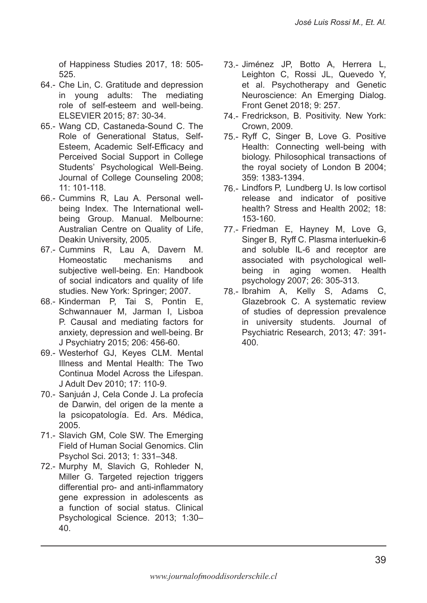of Happiness Studies 2017, 18: 505- 525.

- 64.- Che Lin, C. Gratitude and depression in young adults: The mediating role of self-esteem and well-being. ELSEVIER 2015; 87: 30-34.
- 65.- Wang CD, Castaneda-Sound C. The Role of Generational Status, Self-Esteem, Academic Self-Efficacy and Perceived Social Support in College Students' Psychological Well-Being. Journal of College Counseling 2008; 11: 101-118.
- 66.- Cummins R, Lau A. Personal wellbeing Index. The International wellbeing Group. Manual. Melbourne: Australian Centre on Quality of Life, Deakin University, 2005.
- 67.- Cummins R, Lau A, Davern M. Homeostatic mechanisms and subjective well-being. En: Handbook of social indicators and quality of life studies. New York: Springer; 2007.
- 68.- Kinderman P, Tai S, Pontin E, Schwannauer M, Jarman I, Lisboa P. Causal and mediating factors for anxiety, depression and well-being. Br J Psychiatry 2015; 206: 456-60.
- 69.- Westerhof GJ, Keyes CLM. Mental Illness and Mental Health: The Two Continua Model Across the Lifespan. J Adult Dev 2010; 17: 110-9.
- 70.- Sanjuán J, Cela Conde J. La profecía de Darwin, del origen de la mente a la psicopatología. Ed. Ars. Médica, 2005.
- 71.- Slavich GM, Cole SW. The Emerging Field of Human Social Genomics. Clin Psychol Sci. 2013; 1: 331–348.
- 72.- Murphy M, Slavich G, Rohleder N, Miller G. Targeted rejection triggers differential pro- and anti-inflammatory gene expression in adolescents as a function of social status. Clinical Psychological Science. 2013; 1:30– 40.
- 73.- Jiménez JP, Botto A, Herrera L, Leighton C, Rossi JL, Quevedo Y, et al. Psychotherapy and Genetic Neuroscience: An Emerging Dialog. Front Genet 2018; 9: 257.
- 74.- Fredrickson, B. Positivity. New York: Crown, 2009.
- 75.- Ryff C, Singer B, Love G. Positive Health: Connecting well-being with biology. Philosophical transactions of the royal society of London B 2004; 359: 1383-1394.
- 76.- Lindfors P, Lundberg U. Is low cortisol release and indicator of positive health? Stress and Health 2002; 18: 153-160.
- 77 .- Friedman E, Hayney M, Love G, Singer B, Ryff C. Plasma interluekin-6 and soluble IL-6 and receptor are associated with psychological wellbeing in aging women. Health psychology 2007; 26: 305-313.
- 78.- Ibrahim A, Kelly S, Adams C, Glazebrook C. A systematic review of studies of depression prevalence in university students. Journal of Psychiatric Research, 2013; 47: 391- 400.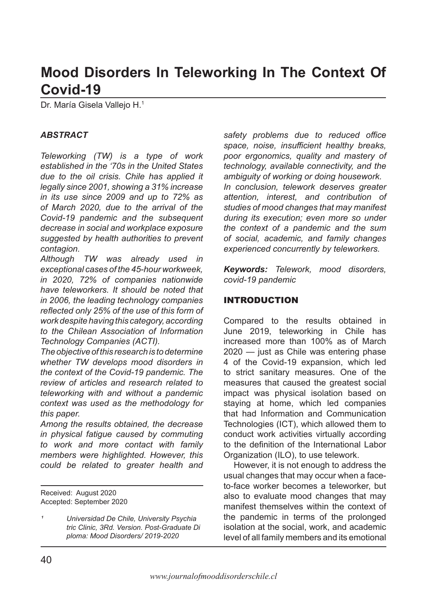# **Mood Disorders In Teleworking In The Context Of Covid-19**

Dr. María Gisela Vallejo H.1

#### *ABSTRACT*

*Teleworking (TW) is a type of work established in the '70s in the United States due to the oil crisis. Chile has applied it legally since 2001, showing a 31% increase in its use since 2009 and up to 72% as of March 2020, due to the arrival of the Covid-19 pandemic and the subsequent decrease in social and workplace exposure suggested by health authorities to prevent contagion.*

*Although TW was already used in exceptional cases of the 45-hour workweek, in 2020, 72% of companies nationwide have teleworkers. It should be noted that in 2006, the leading technology companies reflected only 25% of the use of this form of work despite having this category, according to the Chilean Association of Information Technology Companies (ACTI).*

*The objective of this research is to determine whether TW develops mood disorders in the context of the Covid-19 pandemic. The review of articles and research related to teleworking with and without a pandemic context was used as the methodology for this paper.*

*Among the results obtained, the decrease in physical fatigue caused by commuting to work and more contact with family members were highlighted. However, this could be related to greater health and* 

Received: August 2020 Accepted: September 2020 *safety problems due to reduced office space, noise, insufficient healthy breaks, poor ergonomics, quality and mastery of technology, available connectivity, and the ambiguity of working or doing housework. In conclusion, telework deserves greater attention, interest, and contribution of studies of mood changes that may manifest during its execution; even more so under the context of a pandemic and the sum of social, academic, and family changes experienced concurrently by teleworkers.*

*Keywords: Telework, mood disorders, covid-19 pandemic*

#### INTRODUCTION

Compared to the results obtained in June 2019, teleworking in Chile has increased more than 100% as of March 2020 — just as Chile was entering phase 4 of the Covid-19 expansion, which led to strict sanitary measures. One of the measures that caused the greatest social impact was physical isolation based on staying at home, which led companies that had Information and Communication Technologies (ICT), which allowed them to conduct work activities virtually according to the definition of the International Labor Organization (ILO), to use telework.

However, it is not enough to address the usual changes that may occur when a faceto-face worker becomes a teleworker, but also to evaluate mood changes that may manifest themselves within the context of the pandemic in terms of the prolonged isolation at the social, work, and academic level of all family members and its emotional

*¹ Universidad De Chile, University Psychia tric Clinic, 3Rd. Version. Post-Graduate Di ploma: Mood Disorders/ 2019-2020*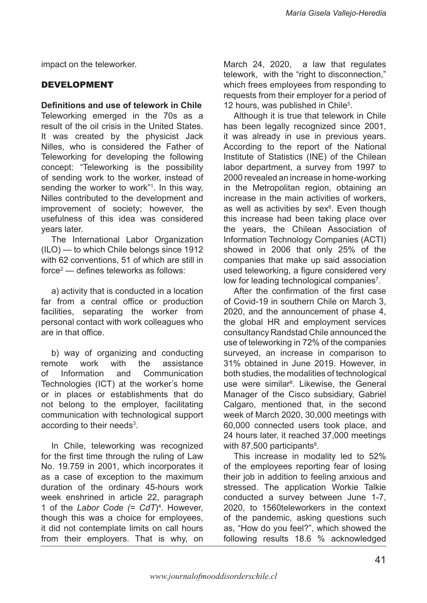impact on the teleworker.

### DEVELOPMENT

#### **Definitions and use of telework in Chile**

Teleworking emerged in the 70s as a result of the oil crisis in the United States. It was created by the physicist Jack Nilles, who is considered the Father of Teleworking for developing the following concept: "Teleworking is the possibility of sending work to the worker, instead of sending the worker to work"1 . In this way, Nilles contributed to the development and improvement of society; however, the usefulness of this idea was considered years later.

The International Labor Organization (ILO) — to which Chile belongs since 1912 with 62 conventions, 51 of which are still in force2 — defines teleworks as follows:

a) activity that is conducted in a location far from a central office or production facilities, separating the worker from personal contact with work colleagues who are in that office.

b) way of organizing and conducting remote work with the assistance of Information and Communication Technologies (ICT) at the worker's home or in places or establishments that do not belong to the employer, facilitating communication with technological support according to their needs<sup>3</sup>.

In Chile, teleworking was recognized for the first time through the ruling of Law No. 19.759 in 2001, which incorporates it as a case of exception to the maximum duration of the ordinary 45-hours work week enshrined in article 22, paragraph 1 of the *Labor Code (= CdT*)4 . However, though this was a choice for employees, it did not contemplate limits on call hours from their employers. That is why, on

March 24, 2020, a law that regulates telework, with the "right to disconnection," which frees employees from responding to requests from their employer for a period of 12 hours, was published in Chile<sup>5</sup>.

Although it is true that telework in Chile has been legally recognized since 2001, it was already in use in previous years. According to the report of the National Institute of Statistics (INE) of the Chilean labor department, a survey from 1997 to 2000 revealed an increase in home-working in the Metropolitan region, obtaining an increase in the main activities of workers, as well as activities by sex $6$ . Even though this increase had been taking place over the years, the Chilean Association of Information Technology Companies (ACTI) showed in 2006 that only 25% of the companies that make up said association used teleworking, a figure considered very low for leading technological companies<sup>7</sup>.

After the confirmation of the first case of Covid-19 in southern Chile on March 3, 2020, and the announcement of phase 4, the global HR and employment services consultancy Randstad Chile announced the use of teleworking in 72% of the companies surveyed, an increase in comparison to 31% obtained in June 2019. However, in both studies, the modalities of technological use were similar<sup>8</sup>. Likewise, the General Manager of the Cisco subsidiary, Gabriel Calgaro, mentioned that, in the second week of March 2020, 30,000 meetings with 60,000 connected users took place, and 24 hours later, it reached 37,000 meetings with 87,500 participants $8$ .

This increase in modality led to 52% of the employees reporting fear of losing their job in addition to feeling anxious and stressed. The application Workie Talkie conducted a survey between June 1-7, 2020, to 1560teleworkers in the context of the pandemic, asking questions such as, "How do you feel?", which showed the following results 18.6 % acknowledged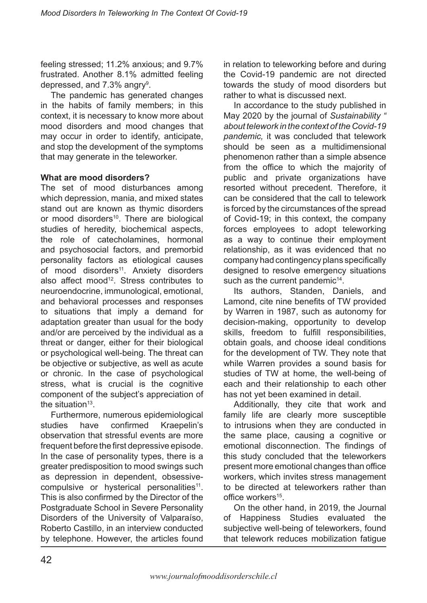feeling stressed; 11.2% anxious; and 9.7% frustrated. Another 8.1% admitted feeling depressed, and 7.3% angry $^{\rm 9}$ .

The pandemic has generated changes in the habits of family members; in this context, it is necessary to know more about mood disorders and mood changes that may occur in order to identify, anticipate, and stop the development of the symptoms that may generate in the teleworker.

### **What are mood disorders?**

The set of mood disturbances among which depression, mania, and mixed states stand out are known as thymic disorders or mood disorders<sup>10</sup>. There are biological studies of heredity, biochemical aspects, the role of catecholamines, hormonal and psychosocial factors, and premorbid personality factors as etiological causes of mood disorders<sup>11</sup>. Anxiety disorders also affect mood<sup>12</sup>. Stress contributes to neuroendocrine, immunological, emotional, and behavioral processes and responses to situations that imply a demand for adaptation greater than usual for the body and/or are perceived by the individual as a threat or danger, either for their biological or psychological well-being. The threat can be objective or subjective, as well as acute or chronic. In the case of psychological stress, what is crucial is the cognitive component of the subject's appreciation of the situation $13$ .

Furthermore, numerous epidemiological<br>udies have confirmed Kraepelin's studies have confirmed Kraepelin's observation that stressful events are more frequent before the first depressive episode. In the case of personality types, there is a greater predisposition to mood swings such as depression in dependent, obsessivecompulsive or hysterical personalities<sup>11</sup>. This is also confirmed by the Director of the Postgraduate School in Severe Personality Disorders of the University of Valparaíso, Roberto Castillo, in an interview conducted by telephone. However, the articles found in relation to teleworking before and during the Covid-19 pandemic are not directed towards the study of mood disorders but rather to what is discussed next.

In accordance to the study published in May 2020 by the journal of *Sustainability " about telework in the context of the Covid-19 pandemic,* it was concluded that telework should be seen as a multidimensional phenomenon rather than a simple absence from the office to which the majority of public and private organizations have resorted without precedent. Therefore, it can be considered that the call to telework is forced by the circumstances of the spread of Covid-19; in this context, the company forces employees to adopt teleworking as a way to continue their employment relationship, as it was evidenced that no company had contingency plans specifically designed to resolve emergency situations such as the current pandemic<sup>14</sup>.

Its authors, Standen, Daniels, and Lamond, cite nine benefits of TW provided by Warren in 1987, such as autonomy for decision-making, opportunity to develop skills, freedom to fulfill responsibilities, obtain goals, and choose ideal conditions for the development of TW. They note that while Warren provides a sound basis for studies of TW at home, the well-being of each and their relationship to each other has not yet been examined in detail.

Additionally, they cite that work and family life are clearly more susceptible to intrusions when they are conducted in the same place, causing a cognitive or emotional disconnection. The findings of this study concluded that the teleworkers present more emotional changes than office workers, which invites stress management to be directed at teleworkers rather than office workers<sup>15</sup>

On the other hand, in 2019, the Journal of Happiness Studies evaluated the subjective well-being of teleworkers, found that telework reduces mobilization fatigue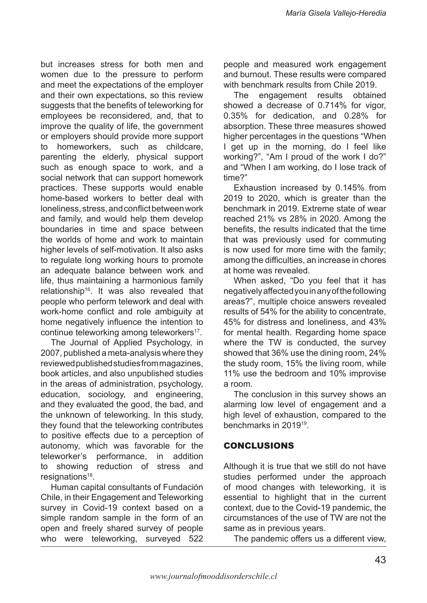but increases stress for both men and women due to the pressure to perform and meet the expectations of the employer and their own expectations, so this review suggests that the benefits of teleworking for employees be reconsidered, and, that to improve the quality of life, the government or employers should provide more support to homeworkers, such as childcare, parenting the elderly, physical support such as enough space to work, and a social network that can support homework practices. These supports would enable home-based workers to better deal with loneliness, stress, and conflict between work and family, and would help them develop boundaries in time and space between the worlds of home and work to maintain higher levels of self-motivation. It also asks to regulate long working hours to promote an adequate balance between work and life, thus maintaining a harmonious family relationship<sup>16</sup>. It was also revealed that people who perform telework and deal with work-home conflict and role ambiguity at home negatively influence the intention to continue teleworking among teleworkers<sup>17</sup>.

The Journal of Applied Psychology, in 2007, published a meta-analysis where they reviewed published studies from magazines, book articles, and also unpublished studies in the areas of administration, psychology, education, sociology, and engineering, and they evaluated the good, the bad, and the unknown of teleworking. In this study, they found that the teleworking contributes to positive effects due to a perception of autonomy, which was favorable for the teleworker's performance, in addition to showing reduction of stress and resignations<sup>18</sup>.

Human capital consultants of Fundación Chile, in their Engagement and Teleworking survey in Covid-19 context based on a simple random sample in the form of an open and freely shared survey of people who were teleworking, surveyed 522

people and measured work engagement and burnout. These results were compared with benchmark results from Chile 2019.

The engagement results obtained showed a decrease of 0.714% for vigor, 0.35% for dedication, and 0.28% for absorption. These three measures showed higher percentages in the questions "When I get up in the morning, do I feel like working?", "Am I proud of the work I do?" and "When I am working, do I lose track of time?"

Exhaustion increased by 0.145% from 2019 to 2020, which is greater than the benchmark in 2019. Extreme state of wear reached 21% vs 28% in 2020. Among the benefits, the results indicated that the time that was previously used for commuting is now used for more time with the family; among the difficulties, an increase in chores at home was revealed.

When asked, "Do you feel that it has negatively affected you in any of the following areas?", multiple choice answers revealed results of 54% for the ability to concentrate, 45% for distress and loneliness, and 43% for mental health. Regarding home space where the TW is conducted, the survey showed that 36% use the dining room, 24% the study room, 15% the living room, while 11% use the bedroom and 10% improvise a room.

The conclusion in this survey shows an alarming low level of engagement and a high level of exhaustion, compared to the benchmarks in 201919.

# CONCLUSIONS

Although it is true that we still do not have studies performed under the approach of mood changes with teleworking, it is essential to highlight that in the current context, due to the Covid-19 pandemic, the circumstances of the use of TW are not the same as in previous years.

The pandemic offers us a different view,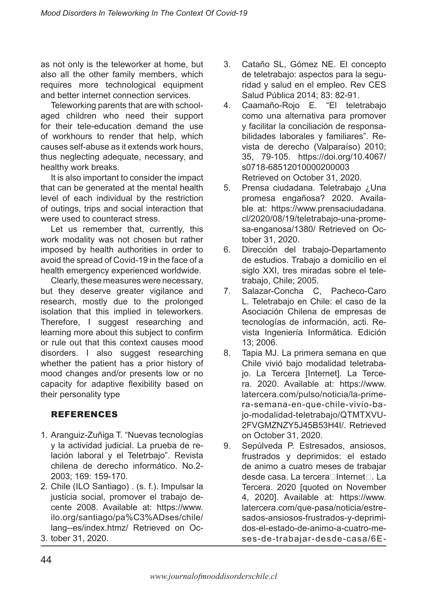as not only is the teleworker at home, but also all the other family members, which requires more technological equipment and better internet connection services.

Teleworking parents that are with schoolaged children who need their support for their tele-education demand the use of workhours to render that help, which causes self-abuse as it extends work hours, thus neglecting adequate, necessary, and healthy work breaks.

It is also important to consider the impact that can be generated at the mental health level of each individual by the restriction of outings, trips and social interaction that were used to counteract stress.

Let us remember that, currently, this work modality was not chosen but rather imposed by health authorities in order to avoid the spread of Covid-19 in the face of a health emergency experienced worldwide.

Clearly, these measures were necessary, but they deserve greater vigilance and research, mostly due to the prolonged isolation that this implied in teleworkers. Therefore, I suggest researching and learning more about this subject to confirm or rule out that this context causes mood disorders. I also suggest researching whether the patient has a prior history of mood changes and/or presents low or no capacity for adaptive flexibility based on their personality type

# REFERENCES

- Aranguiz-Zuñiga T. "Nuevas tecnologías 1. y la actividad judicial. La prueba de relación laboral y el Teletrbajo". Revista chilena de derecho informático. No.2- 2003; 169: 159-170.
- 2. Chile (ILO Santiago) . (s. f.). Impulsar la justicia social, promover el trabajo decente 2008. Available at: https://www. ilo.org/santiago/pa%C3%ADses/chile/ lang--es/index.htmz/ Retrieved on Oc-
- tober 31, 2020. 3.
- Cataño SL, Gómez NE. El concepto de teletrabajo: aspectos para la seguridad y salud en el empleo. Rev CES Salud Pública 2014; 83: 82-91. 3.
- Caamaño-Rojo E. "El teletrabajo como una alternativa para promover y facilitar la conciliación de responsabilidades laborales y familiares". Revista de derecho (Valparaíso) 2010; 35, 79-105. https://doi.org/10.4067/ s0718-68512010000200003 Retrieved on October 31, 2020. 4.
- Prensa ciudadana. Teletrabajo ¿Una promesa engañosa? 2020. Available at: https://www.prensaciudadana. cl/2020/08/19/teletrabajo-una-promesa-enganosa/1380/ Retrieved on October 31, 2020. 5.
- Dirección del trabajo-Departamento de estudios. Trabajo a domicilio en el siglo XXI, tres miradas sobre el teletrabajo, Chile; 2005. 6.
- Salazar-Concha C, Pacheco-Caro L. Teletrabajo en Chile: el caso de la Asociación Chilena de empresas de tecnologías de información, acti. Revista Ingeniería Informática. Edición 13; 2006. 7.
- Tapia MJ. La primera semana en que Chile vivió bajo modalidad teletrabajo. La Tercera [Internet]. La Tercera. 2020. Available at: https://www. latercera.com/pulso/noticia/la-primera-semana-en-que-chile-vivio-bajo-modalidad-teletrabajo/QTMTXVU-2FVGMZNZY5J45B53H4I/. Retrieved on October 31, 2020. 8.
- Sepúlveda P. Estresados, ansiosos, frustrados y deprimidos: el estado de animo a cuatro meses de trabajar desde casa. La tercera∏Internet<sub>[</sub> La Tercera. 2020 [quoted on November 4, 2020]. Available at: https://www. latercera.com/que-pasa/noticia/estresados-ansiosos-frustrados-y-deprimidos-el-estado-de-animo-a-cuatro-meses-de-trabajar-desde-casa/6E-9.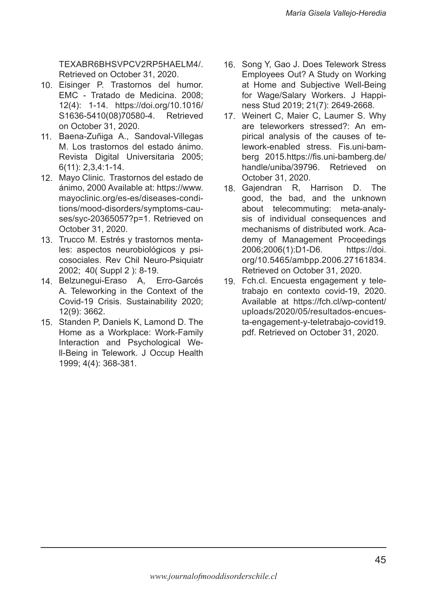TEXABR6BHSVPCV2RP5HAELM4/. Retrieved on October 31, 2020.

- 10. Eisinger P. Trastornos del humor. EMC - Tratado de Medicina. 2008; 12(4): 1-14. https://doi.org/10.1016/ S1636-5410(08)70580-4. Retrieved on October 31, 2020.
- 11. Baena-Zuñiga A., Sandoval-Villegas M. Los trastornos del estado ánimo. Revista Digital Universitaria 2005; 6(11): 2,3,4:1-14.
- Mayo Clinic. Trastornos del estado de 12. ánimo, 2000 Available at: https://www. mayoclinic.org/es-es/diseases-conditions/mood-disorders/symptoms-causes/syc-20365057?p=1. Retrieved on October 31, 2020.
- 13. Trucco M. Estrés y trastornos mentales: aspectos neurobiológicos y psicosociales. Rev Chil Neuro-Psiquiatr 2002; 40( Suppl 2 ): 8-19.
- 14. Belzunegui-Eraso A, Erro-Garcés A. Teleworking in the Context of the Covid-19 Crisis. Sustainability 2020; 12(9): 3662.
- 15. Standen P, Daniels K, Lamond D. The Home as a Workplace: Work-Family Interaction and Psychological Well-Being in Telework. J Occup Health 1999; 4(4): 368-381.
- 16. Song Y, Gao J. Does Telework Stress Employees Out? A Study on Working at Home and Subjective Well-Being for Wage/Salary Workers. J Happiness Stud 2019; 21(7): 2649-2668.
- 17. Weinert C, Maier C, Laumer S. Why are teleworkers stressed?: An empirical analysis of the causes of telework-enabled stress. Fis.uni-bamberg 2015.https://fis.uni-bamberg.de/ handle/uniba/39796. Retrieved on October 31, 2020.
- 18. Gajendran R, Harrison D. The good, the bad, and the unknown about telecommuting: meta-analysis of individual consequences and mechanisms of distributed work. Academy of Management Proceedings 2006;2006(1):D1-D6. https://doi. org/10.5465/ambpp.2006.27161834. Retrieved on October 31, 2020.
- Fch.cl. Encuesta engagement y tele-19.trabajo en contexto covid-19, 2020. Available at https://fch.cl/wp-content/ uploads/2020/05/resultados-encuesta-engagement-y-teletrabajo-covid19. pdf. Retrieved on October 31, 2020.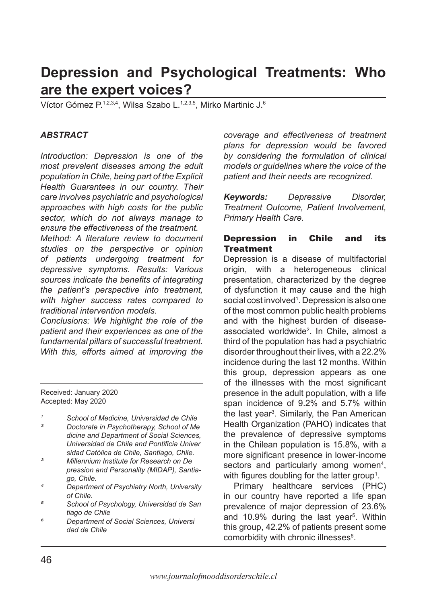# **Depression and Psychological Treatments: Who are the expert voices?**

Víctor Gómez P.1,2,3,4, Wilsa Szabo L.1,2,3,5, Mirko Martinic J.6

#### *ABSTRACT*

*Introduction: Depression is one of the most prevalent diseases among the adult population in Chile, being part of the Explicit Health Guarantees in our country. Their care involves psychiatric and psychological approaches with high costs for the public sector, which do not always manage to ensure the effectiveness of the treatment.*

*Method: A literature review to document studies on the perspective or opinion of patients undergoing treatment for depressive symptoms. Results: Various sources indicate the benefits of integrating the patient's perspective into treatment, with higher success rates compared to traditional intervention models.* 

*Conclusions: We highlight the role of the patient and their experiences as one of the fundamental pillars of successful treatment. With this, efforts aimed at improving the* 

Received: January 2020 Accepted: May 2020

*<sup>1</sup> School of Medicine, Universidad de Chile*

- *² Doctorate in Psychotherapy, School of Me dicine and Department of Social Sciences, Universidad de Chile and Pontificia Univer sidad Católica de Chile, Santiago, Chile.*
- *³ Millennium Institute for Research on De pression and Personality (MIDAP), Santiago, Chile.*
- *⁴ Department of Psychiatry North, University of Chile.*
- *⁵ School of Psychology, Universidad de San tiago de Chile*
- *⁶ Department of Social Sciences, Universi dad de Chile*

*coverage and effectiveness of treatment plans for depression would be favored by considering the formulation of clinical models or guidelines where the voice of the patient and their needs are recognized.*

*Keywords: Depressive Disorder, Treatment Outcome, Patient Involvement, Primary Health Care.* 

#### Depression in Chile and its **Treatment**

Depression is a disease of multifactorial origin, with a heterogeneous clinical presentation, characterized by the degree of dysfunction it may cause and the high social cost involved<sup>1</sup>. Depression is also one of the most common public health problems and with the highest burden of diseaseassociated worldwide2 . In Chile, almost a third of the population has had a psychiatric disorder throughout their lives, with a 22.2% incidence during the last 12 months. Within this group, depression appears as one of the illnesses with the most significant presence in the adult population, with a life span incidence of 9.2% and 5.7% within the last year<sup>3</sup>. Similarly, the Pan American Health Organization (PAHO) indicates that the prevalence of depressive symptoms in the Chilean population is 15.8%, with a more significant presence in lower-income sectors and particularly among women<sup>4</sup>, with figures doubling for the latter group<sup>1</sup>.

Primary healthcare services (PHC) in our country have reported a life span prevalence of major depression of 23.6% and 10.9% during the last year<sup>5</sup>. Within this group, 42.2% of patients present some comorbidity with chronic illnesses<sup>6</sup>.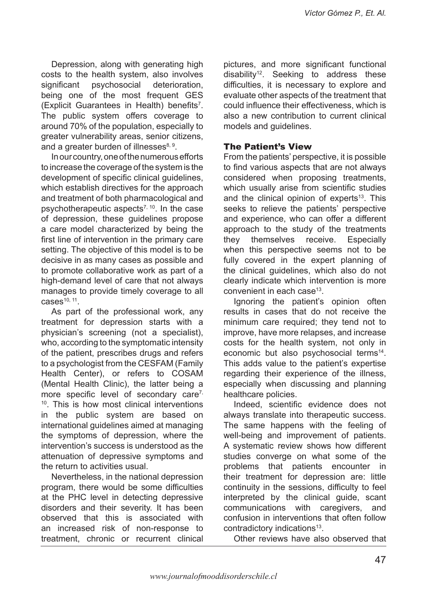Depression, along with generating high costs to the health system, also involves significant psychosocial deterioration, being one of the most frequent GES (Explicit Guarantees in Health) benefits<sup>7</sup>. The public system offers coverage to around 70% of the population, especially to greater vulnerability areas, senior citizens, and a greater burden of illnesses $8, 9$ .

In our country, one of the numerous efforts to increase the coverage of the system is the development of specific clinical guidelines, which establish directives for the approach and treatment of both pharmacological and psychotherapeutic aspects<sup> $7, 10$ </sup>. In the case of depression, these guidelines propose a care model characterized by being the first line of intervention in the primary care setting. The objective of this model is to be decisive in as many cases as possible and to promote collaborative work as part of a high-demand level of care that not always manages to provide timely coverage to all  $cases<sup>10, 11</sup>$ .

As part of the professional work, any treatment for depression starts with a physician's screening (not a specialist), who, according to the symptomatic intensity of the patient, prescribes drugs and refers to a psychologist from the CESFAM (Family Health Center), or refers to COSAM (Mental Health Clinic), the latter being a more specific level of secondary care<sup>7,</sup>  $10$ . This is how most clinical interventions in the public system are based on international guidelines aimed at managing the symptoms of depression, where the intervention's success is understood as the attenuation of depressive symptoms and the return to activities usual.

Nevertheless, in the national depression program, there would be some difficulties at the PHC level in detecting depressive disorders and their severity. It has been observed that this is associated with an increased risk of non-response to treatment, chronic or recurrent clinical

pictures, and more significant functional disability<sup>12</sup>. Seeking to address these difficulties, it is necessary to explore and evaluate other aspects of the treatment that could influence their effectiveness, which is also a new contribution to current clinical models and guidelines.

### The Patient's View

From the patients' perspective, it is possible to find various aspects that are not always considered when proposing treatments, which usually arise from scientific studies and the clinical opinion of experts $13$ . This seeks to relieve the patients' perspective and experience, who can offer a different approach to the study of the treatments they themselves receive. Especially when this perspective seems not to be fully covered in the expert planning of the clinical guidelines, which also do not clearly indicate which intervention is more convenient in each case<sup>13</sup>.

Ignoring the patient's opinion often results in cases that do not receive the minimum care required; they tend not to improve, have more relapses, and increase costs for the health system, not only in economic but also psychosocial terms<sup>14</sup>. This adds value to the patient's expertise regarding their experience of the illness, especially when discussing and planning healthcare policies.

Indeed, scientific evidence does not always translate into therapeutic success. The same happens with the feeling of well-being and improvement of patients. A systematic review shows how different studies converge on what some of the problems that patients encounter in their treatment for depression are: little continuity in the sessions, difficulty to feel interpreted by the clinical guide, scant communications with caregivers, and confusion in interventions that often follow contradictory indications<sup>13</sup>.

Other reviews have also observed that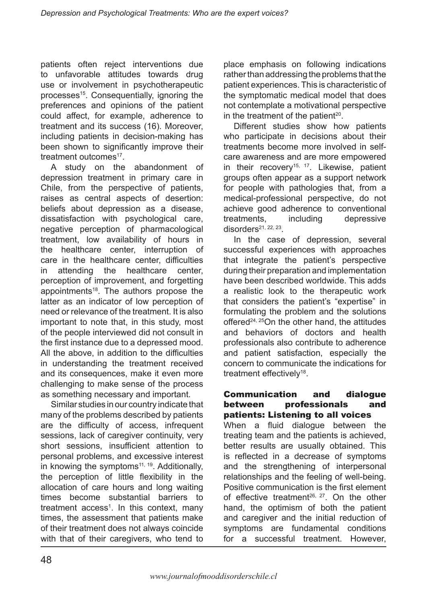patients often reject interventions due to unfavorable attitudes towards drug use or involvement in psychotherapeutic processes<sup>15</sup>. Consequentially, ignoring the preferences and opinions of the patient could affect, for example, adherence to treatment and its success (16). Moreover, including patients in decision-making has been shown to significantly improve their treatment outcomes<sup>17</sup>.

A study on the abandonment of depression treatment in primary care in Chile, from the perspective of patients, raises as central aspects of desertion: beliefs about depression as a disease, dissatisfaction with psychological care, negative perception of pharmacological treatment, low availability of hours in the healthcare center, interruption of care in the healthcare center, difficulties in attending the healthcare center, perception of improvement, and forgetting appointments18. The authors propose the latter as an indicator of low perception of need or relevance of the treatment. It is also important to note that, in this study, most of the people interviewed did not consult in the first instance due to a depressed mood. All the above, in addition to the difficulties in understanding the treatment received and its consequences, make it even more challenging to make sense of the process as something necessary and important.

Similar studies in our country indicate that many of the problems described by patients are the difficulty of access, infrequent sessions, lack of caregiver continuity, very short sessions, insufficient attention to personal problems, and excessive interest in knowing the symptoms $11, 19$ . Additionally, the perception of little flexibility in the allocation of care hours and long waiting times become substantial barriers to treatment access<sup>1</sup>. In this context, many times, the assessment that patients make of their treatment does not always coincide with that of their caregivers, who tend to

place emphasis on following indications rather than addressing the problems that the patient experiences. This is characteristic of the symptomatic medical model that does not contemplate a motivational perspective in the treatment of the patient<sup>20</sup>.

Different studies show how patients who participate in decisions about their treatments become more involved in selfcare awareness and are more empowered in their recovery<sup>15, 17</sup>. Likewise, patient groups often appear as a support network for people with pathologies that, from a medical-professional perspective, do not achieve good adherence to conventional treatments, including depressive disorders<sup>21, 22, 23</sup>

In the case of depression, several successful experiences with approaches that integrate the patient's perspective during their preparation and implementation have been described worldwide. This adds a realistic look to the therapeutic work that considers the patient's "expertise" in formulating the problem and the solutions offered<sup>24, 25</sup>On the other hand, the attitudes and behaviors of doctors and health professionals also contribute to adherence and patient satisfaction, especially the concern to communicate the indications for treatment effectively<sup>18</sup>.

#### Communication and dialogue between professionals and patients: Listening to all voices

When a fluid dialogue between the treating team and the patients is achieved, better results are usually obtained. This is reflected in a decrease of symptoms and the strengthening of interpersonal relationships and the feeling of well-being. Positive communication is the first element of effective treatment<sup>26, 27</sup>. On the other hand, the optimism of both the patient and caregiver and the initial reduction of symptoms are fundamental conditions for a successful treatment. However,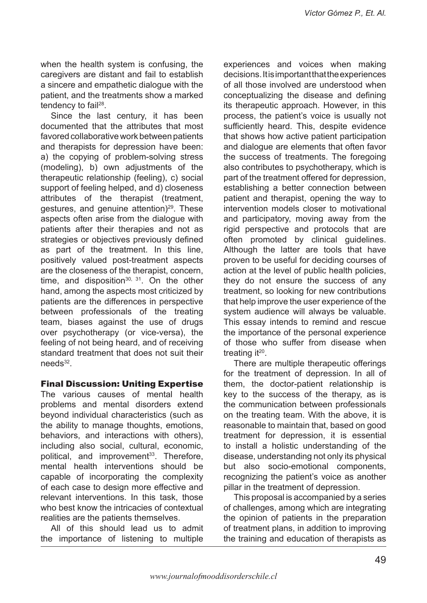when the health system is confusing, the caregivers are distant and fail to establish a sincere and empathetic dialogue with the patient, and the treatments show a marked tendency to fail<sup>28</sup>.

Since the last century, it has been documented that the attributes that most favored collaborative work between patients and therapists for depression have been: a) the copying of problem-solving stress (modeling), b) own adjustments of the therapeutic relationship (feeling), c) social support of feeling helped, and d) closeness attributes of the therapist (treatment, gestures, and genuine attention) $29$ . These aspects often arise from the dialogue with patients after their therapies and not as strategies or objectives previously defined as part of the treatment. In this line, positively valued post-treatment aspects are the closeness of the therapist, concern, time, and disposition<sup>30, 31</sup>. On the other hand, among the aspects most criticized by patients are the differences in perspective between professionals of the treating team, biases against the use of drugs over psychotherapy (or vice-versa), the feeling of not being heard, and of receiving standard treatment that does not suit their  $needs<sup>32</sup>$ 

### Final Discussion: Uniting Expertise

The various causes of mental health problems and mental disorders extend beyond individual characteristics (such as the ability to manage thoughts, emotions, behaviors, and interactions with others), including also social, cultural, economic, political, and improvement<sup>33</sup>. Therefore, mental health interventions should be capable of incorporating the complexity of each case to design more effective and relevant interventions. In this task, those who best know the intricacies of contextual realities are the patients themselves.

All of this should lead us to admit the importance of listening to multiple

experiences and voices when making decisions. It is important that the experiences of all those involved are understood when conceptualizing the disease and defining its therapeutic approach. However, in this process, the patient's voice is usually not sufficiently heard. This, despite evidence that shows how active patient participation and dialogue are elements that often favor the success of treatments. The foregoing also contributes to psychotherapy, which is part of the treatment offered for depression, establishing a better connection between patient and therapist, opening the way to intervention models closer to motivational and participatory, moving away from the rigid perspective and protocols that are often promoted by clinical guidelines. Although the latter are tools that have proven to be useful for deciding courses of action at the level of public health policies, they do not ensure the success of any treatment, so looking for new contributions that help improve the user experience of the system audience will always be valuable. This essay intends to remind and rescue the importance of the personal experience of those who suffer from disease when treating  $it^{20}$ .

There are multiple therapeutic offerings for the treatment of depression. In all of them, the doctor-patient relationship is key to the success of the therapy, as is the communication between professionals on the treating team. With the above, it is reasonable to maintain that, based on good treatment for depression, it is essential to install a holistic understanding of the disease, understanding not only its physical but also socio-emotional components, recognizing the patient's voice as another pillar in the treatment of depression.

This proposal is accompanied by a series of challenges, among which are integrating the opinion of patients in the preparation of treatment plans, in addition to improving the training and education of therapists as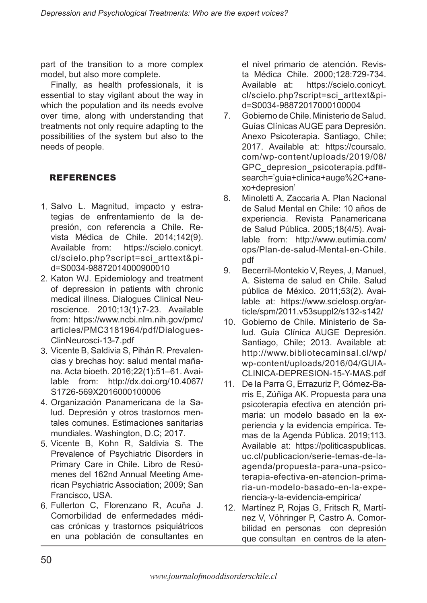part of the transition to a more complex model, but also more complete.

Finally, as health professionals, it is essential to stay vigilant about the way in which the population and its needs evolve over time, along with understanding that treatments not only require adapting to the possibilities of the system but also to the needs of people.

# REFERENCES

- 1. Salvo L. Magnitud, impacto y estrategias de enfrentamiento de la depresión, con referencia a Chile. Revista Médica de Chile. 2014;142(9). Available from: https://scielo.conicyt. cl/scielo.php?script=sci\_arttext&pid=S0034-98872014000900010
- 2. Katon WJ. Epidemiology and treatment of depression in patients with chronic medical illness. Dialogues Clinical Neuroscience. 2010;13(1):7-23. Available from: https://www.ncbi.nlm.nih.gov/pmc/ articles/PMC3181964/pdf/Dialogues-ClinNeurosci-13-7.pdf
- 3. Vicente B, Saldivia S, Pihán R. Prevalencias y brechas hoy: salud mental mañana. Acta bioeth. 2016;22(1):51–61. Available from: http://dx.doi.org/10.4067/ S1726-569X2016000100006
- Organización Panamericana de la Sa-4. lud. Depresión y otros trastornos mentales comunes. Estimaciones sanitarias mundiales. Washington, D.C; 2017.
- 5. Vicente B, Kohn R, Saldivia S. The Prevalence of Psychiatric Disorders in Primary Care in Chile. Libro de Resúmenes del 162nd Annual Meeting American Psychiatric Association; 2009; San Francisco, USA.
- 6. Fullerton C, Florenzano R, Acuña J. Comorbilidad de enfermedades médicas crónicas y trastornos psiquiátricos en una población de consultantes en

el nivel primario de atención. Revista Médica Chile. 2000;128:729-734. Available at: https://scielo.conicyt. cl/scielo.php?script=sci\_arttext&pid=S0034-98872017000100004

- Gobierno de Chile. Ministerio de Salud. Guías Clínicas AUGE para Depresión. Anexo Psicoterapia. Santiago, Chile; 2017. Available at: https://coursalo. com/wp-content/uploads/2019/08/ GPC\_depresion\_psicoterapia.pdf# search='guia+clinica+auge%2C+anexo+depresion' 7.
- Minoletti A, Zaccaria A. Plan Nacional de Salud Mental en Chile: 10 años de experiencia. Revista Panamericana de Salud Pública. 2005;18(4/5). Available from: http://www.eutimia.com/ ops/Plan-de-salud-Mental-en-Chile. pdf 8.
- Becerril-Montekio V, Reyes, J, Manuel, A. Sistema de salud en Chile. Salud pública de México. 2011;53(2). Available at: https://www.scielosp.org/article/spm/2011.v53suppl2/s132-s142/ 9.
- Gobierno de Chile. Ministerio de Sa-10. lud. Guía Clínica AUGE Depresión. Santiago, Chile; 2013. Available at: http://www.bibliotecaminsal.cl/wp/ wp-content/uploads/2016/04/GUIA-CLINICA-DEPRESION-15-Y-MAS.pdf
- De la Parra G, Errazuriz P, Gómez-Ba-11. rris E, Zúñiga AK. Propuesta para una psicoterapia efectiva en atención primaria: un modelo basado en la experiencia y la evidencia empírica. Temas de la Agenda Pública. 2019;113. Available at: https://politicaspublicas. uc.cl/publicacion/serie-temas-de-laagenda/propuesta-para-una-psicoterapia-efectiva-en-atencion-primaria-un-modelo-basado-en-la-experiencia-y-la-evidencia-empirica/
- 12. Martínez P, Rojas G, Fritsch R, Martínez V, Vöhringer P, Castro A. Comorbilidad en personas con depresión que consultan en centros de la aten-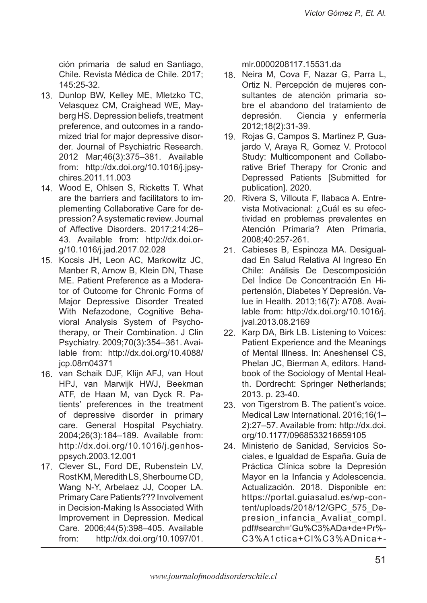ción primaria de salud en Santiago, Chile. Revista Médica de Chile. 2017; 145:25-32.

- 13. Dunlop BW, Kelley ME, Mletzko TC, Velasquez CM, Craighead WE, Mayberg HS. Depression beliefs, treatment preference, and outcomes in a randomized trial for major depressive disorder. Journal of Psychiatric Research. 2012 Mar;46(3):375–381. Available from: http://dx.doi.org/10.1016/j.jpsychires.2011.11.003
- 14. Wood E, Ohlsen S, Ricketts T. What are the barriers and facilitators to implementing Collaborative Care for depression? A systematic review. Journal of Affective Disorders. 2017;214:26– 43. Available from: http://dx.doi.org/10.1016/j.jad.2017.02.028
- 15. Kocsis JH, Leon AC, Markowitz JC, Manber R, Arnow B, Klein DN, Thase ME. Patient Preference as a Moderator of Outcome for Chronic Forms of Major Depressive Disorder Treated With Nefazodone, Cognitive Behavioral Analysis System of Psychotherapy, or Their Combination. J Clin Psychiatry. 2009;70(3):354–361. Available from: http://dx.doi.org/10.4088/ jcp.08m04371
- 16. van Schaik DJF, Klijn AFJ, van Hout HPJ, van Marwijk HWJ, Beekman ATF, de Haan M, van Dyck R. Patients' preferences in the treatment of depressive disorder in primary care. General Hospital Psychiatry. 2004;26(3):184–189. Available from: http://dx.doi.org/10.1016/j.genhosppsych.2003.12.001
- 17. Clever SL, Ford DE, Rubenstein LV, Rost KM, Meredith LS, Sherbourne CD, Wang N-Y, Arbelaez JJ, Cooper LA. Primary Care Patients??? Involvement in Decision-Making Is Associated With Improvement in Depression. Medical Care. 2006;44(5):398–405. Available from: http://dx.doi.org/10.1097/01.

mlr.0000208117.15531.da

- 18. Neira M, Cova F, Nazar G, Parra L, Ortiz N. Percepción de mujeres consultantes de atención primaria sobre el abandono del tratamiento de depresión. Ciencia y enfermería 2012;18(2):31-39.
- 19. Rojas G, Campos S, Martinez P, Guajardo V, Araya R, Gomez V. Protocol Study: Multicomponent and Collaborative Brief Therapy for Cronic and Depressed Patients [Submitted for publication]. 2020.
- 20. Rivera S, Villouta F, Ilabaca A. Entrevista Motivacional: ¿Cuál es su efectividad en problemas prevalentes en Atención Primaria? Aten Primaria, 2008;40:257-261.
- 21. Cabieses B, Espinoza MA. Desigualdad En Salud Relativa Al Ingreso En Chile: Análisis De Descomposición Del Índice De Concentración En Hipertensión, Diabetes Y Depresión. Value in Health. 2013;16(7): A708. Available from: http://dx.doi.org/10.1016/j. jval.2013.08.2169
- 22. Karp DA, Birk LB. Listening to Voices: Patient Experience and the Meanings of Mental Illness. In: Aneshensel CS, Phelan JC, Bierman A, editors. Handbook of the Sociology of Mental Health. Dordrecht: Springer Netherlands; 2013. p. 23-40.
- 23. von Tigerstrom B. The patient's voice. Medical Law International. 2016;16(1– 2):27–57. Available from: http://dx.doi. org/10.1177/0968533216659105
- Ministerio de Sanidad, Servicios So-24.ciales, e Igualdad de España. Guía de Práctica Clínica sobre la Depresión Mayor en la Infancia y Adolescencia. Actualización. 2018. Disponible en: https://portal.guiasalud.es/wp-content/uploads/2018/12/GPC\_575\_Depresion infancia Avaliat compl. pdf#search='Gu%C3%ADa+de+Pr%- C3%A1ctica+Cl%C3%ADnica+-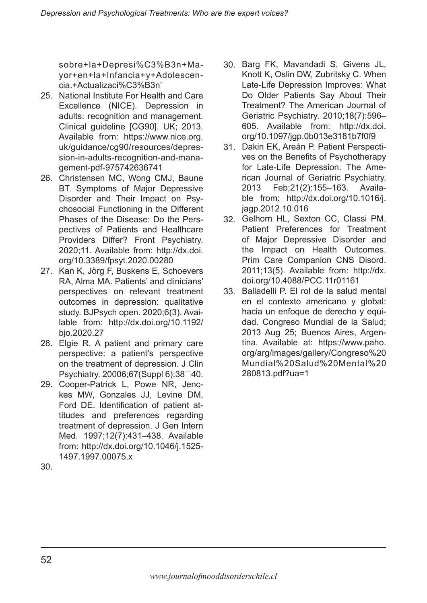sobre+la+Depresi%C3%B3n+Mayor+en+la+Infancia+y+Adolescencia.+Actualizaci%C3%B3n'

- 25. National Institute For Health and Care Excellence (NICE). Depression in adults: recognition and management. Clinical guideline [CG90]. UK; 2013. Available from: https://www.nice.org. uk/guidance/cg90/resources/depression-in-adults-recognition-and-management-pdf-975742636741
- 26. Christensen MC, Wong CMJ, Baune BT. Symptoms of Major Depressive Disorder and Their Impact on Psychosocial Functioning in the Different Phases of the Disease: Do the Perspectives of Patients and Healthcare Providers Differ? Front Psychiatry. 2020;11. Available from: http://dx.doi. org/10.3389/fpsyt.2020.00280
- 27. Kan K, Jörg F, Buskens E, Schoevers RA, Alma MA. Patients' and clinicians' perspectives on relevant treatment outcomes in depression: qualitative study. BJPsych open. 2020;6(3). Available from: http://dx.doi.org/10.1192/ bjo.2020.27
- 28. Elgie R. A patient and primary care perspective: a patient's perspective on the treatment of depression. J Clin Psychiatry. 20006:67(Suppl 6):38□40.
- 29. Cooper-Patrick L, Powe NR, Jenckes MW, Gonzales JJ, Levine DM, Ford DE. Identification of patient attitudes and preferences regarding treatment of depression. J Gen Intern Med. 1997;12(7):431–438. Available from: http://dx.doi.org/10.1046/j.1525- 1497.1997.00075.x
- Barg FK, Mavandadi S, Givens JL, 30. Knott K, Oslin DW, Zubritsky C. When Late-Life Depression Improves: What Do Older Patients Say About Their Treatment? The American Journal of Geriatric Psychiatry. 2010;18(7):596– 605. Available from: http://dx.doi. org/10.1097/jgp.0b013e3181b7f0f9
- 31. Dakin EK, Areán P. Patient Perspectives on the Benefits of Psychotherapy for Late-Life Depression. The American Journal of Geriatric Psychiatry. 2013 Feb;21(2):155–163. Available from: http://dx.doi.org/10.1016/j. jagp.2012.10.016
- Gelhorn HL, Sexton CC, Classi PM. 32. Patient Preferences for Treatment of Major Depressive Disorder and the Impact on Health Outcomes. Prim Care Companion CNS Disord. 2011;13(5). Available from: http://dx. doi.org/10.4088/PCC.11r01161
- Balladelli P. El rol de la salud mental 33.en el contexto americano y global: hacia un enfoque de derecho y equidad. Congreso Mundial de la Salud; 2013 Aug 25; Buenos Aires, Argentina. Available at: https://www.paho. org/arg/images/gallery/Congreso%20 Mundial%20Salud%20Mental%20 280813.pdf?ua=1

30.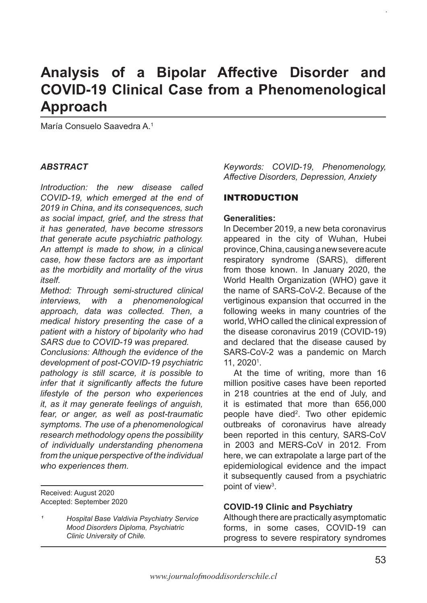# **Analysis of a Bipolar Affective Disorder and COVID-19 Clinical Case from a Phenomenological Approach**

María Consuelo Saavedra A.1

#### *ABSTRACT*

*Introduction: the new disease called COVID-19, which emerged at the end of 2019 in China, and its consequences, such as social impact, grief, and the stress that it has generated, have become stressors that generate acute psychiatric pathology. An attempt is made to show, in a clinical case, how these factors are as important as the morbidity and mortality of the virus itself.*

*Method: Through semi-structured clinical interviews, with a phenomenological approach, data was collected. Then, a medical history presenting the case of a patient with a history of bipolarity who had SARS due to COVID-19 was prepared.* 

*Conclusions: Although the evidence of the development of post-COVID-19 psychiatric pathology is still scarce, it is possible to infer that it significantly affects the future lifestyle of the person who experiences it, as it may generate feelings of anguish, fear, or anger, as well as post-traumatic symptoms. The use of a phenomenological research methodology opens the possibility of individually understanding phenomena from the unique perspective of the individual who experiences them.*

Received: August 2020 Accepted: September 2020 *Keywords: COVID-19, Phenomenology, Affective Disorders, Depression, Anxiety*

#### INTRODUCTION

#### **Generalities:**

In December 2019, a new beta coronavirus appeared in the city of Wuhan, Hubei province, China, causing a new severe acute respiratory syndrome (SARS), different from those known. In January 2020, the World Health Organization (WHO) gave it the name of SARS-CoV-2. Because of the vertiginous expansion that occurred in the following weeks in many countries of the world, WHO called the clinical expression of the disease coronavirus 2019 (COVID-19) and declared that the disease caused by SARS-CoV-2 was a pandemic on March  $11, 2020<sup>1</sup>$ .

At the time of writing, more than 16 million positive cases have been reported in 218 countries at the end of July, and it is estimated that more than 656,000 people have died<sup>2</sup>. Two other epidemic outbreaks of coronavirus have already been reported in this century, SARS-CoV in 2003 and MERS-CoV in 2012. From here, we can extrapolate a large part of the epidemiological evidence and the impact it subsequently caused from a psychiatric point of view<sup>3</sup>.

#### **COVID-19 Clinic and Psychiatry**

Although there are practically asymptomatic forms, in some cases, COVID-19 can progress to severe respiratory syndromes

*¹ Hospital Base Valdivia Psychiatry Service Mood Disorders Diploma, Psychiatric Clinic University of Chile.*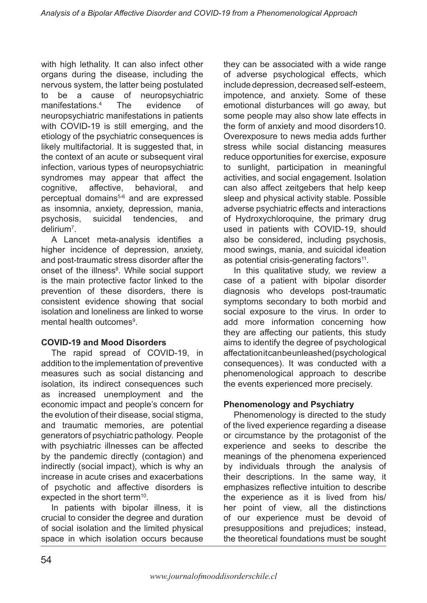with high lethality. It can also infect other organs during the disease, including the nervous system, the latter being postulated to be a cause of neuropsychiatric manifestations.<sup>4</sup> The evidence of neuropsychiatric manifestations in patients with COVID-19 is still emerging, and the etiology of the psychiatric consequences is likely multifactorial. It is suggested that, in the context of an acute or subsequent viral infection, various types of neuropsychiatric syndromes may appear that affect the cognitive, affective, behavioral, and perceptual domains<sup>5-6</sup> and are expressed as insomnia, anxiety, depression, mania, psychosis, suicidal tendencies, and delirium7 .

A Lancet meta-analysis identifies a higher incidence of depression, anxiety, and post-traumatic stress disorder after the onset of the illness<sup>8</sup>. While social support is the main protective factor linked to the prevention of these disorders, there is consistent evidence showing that social isolation and loneliness are linked to worse mental health outcomes<sup>9</sup>.

### **COVID-19 and Mood Disorders**

The rapid spread of COVID-19, in addition to the implementation of preventive measures such as social distancing and isolation, its indirect consequences such as increased unemployment and the economic impact and people's concern for the evolution of their disease, social stigma, and traumatic memories, are potential generators of psychiatric pathology. People with psychiatric illnesses can be affected by the pandemic directly (contagion) and indirectly (social impact), which is why an increase in acute crises and exacerbations of psychotic and affective disorders is expected in the short term<sup>10</sup>.

In patients with bipolar illness, it is crucial to consider the degree and duration of social isolation and the limited physical space in which isolation occurs because

they can be associated with a wide range of adverse psychological effects, which include depression, decreased self-esteem, impotence, and anxiety. Some of these emotional disturbances will go away, but some people may also show late effects in the form of anxiety and mood disorders10. Overexposure to news media adds further stress while social distancing measures reduce opportunities for exercise, exposure to sunlight, participation in meaningful activities, and social engagement. Isolation can also affect zeitgebers that help keep sleep and physical activity stable. Possible adverse psychiatric effects and interactions of Hydroxychloroquine, the primary drug used in patients with COVID-19, should also be considered, including psychosis, mood swings, mania, and suicidal ideation as potential crisis-generating factors<sup>11</sup>.

In this qualitative study, we review a case of a patient with bipolar disorder diagnosis who develops post-traumatic symptoms secondary to both morbid and social exposure to the virus. In order to add more information concerning how they are affecting our patients, this study aims to identify the degree of psychological affectation it can be unleashed (psychological consequences). It was conducted with a phenomenological approach to describe the events experienced more precisely.

### **Phenomenology and Psychiatry**

Phenomenology is directed to the study of the lived experience regarding a disease or circumstance by the protagonist of the experience and seeks to describe the meanings of the phenomena experienced by individuals through the analysis of their descriptions. In the same way, it emphasizes reflective intuition to describe the experience as it is lived from his/ her point of view, all the distinctions of our experience must be devoid of presuppositions and prejudices; instead, the theoretical foundations must be sought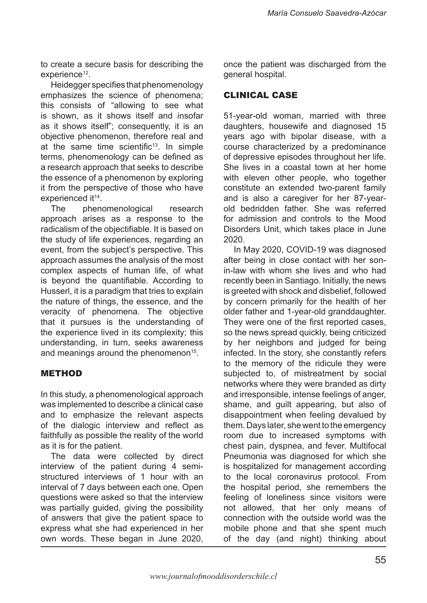to create a secure basis for describing the experience<sup>12</sup>.

Heidegger specifies that phenomenology emphasizes the science of phenomena; this consists of "allowing to see what is shown, as it shows itself and insofar as it shows itself"; consequently, it is an objective phenomenon, therefore real and at the same time scientific<sup>13</sup>. In simple terms, phenomenology can be defined as a research approach that seeks to describe the essence of a phenomenon by exploring it from the perspective of those who have experienced it<sup>14</sup>.

The phenomenological research approach arises as a response to the radicalism of the objectifiable. It is based on the study of life experiences, regarding an event, from the subject's perspective. This approach assumes the analysis of the most complex aspects of human life, of what is beyond the quantifiable. According to Husserl, it is a paradigm that tries to explain the nature of things, the essence, and the veracity of phenomena. The objective that it pursues is the understanding of the experience lived in its complexity; this understanding, in turn, seeks awareness and meanings around the phenomenon<sup>15</sup>.

### METHOD

In this study, a phenomenological approach was implemented to describe a clinical case and to emphasize the relevant aspects of the dialogic interview and reflect as faithfully as possible the reality of the world as it is for the patient.

The data were collected by direct interview of the patient during 4 semistructured interviews of 1 hour with an interval of 7 days between each one. Open questions were asked so that the interview was partially guided, giving the possibility of answers that give the patient space to express what she had experienced in her own words. These began in June 2020, once the patient was discharged from the general hospital.

### CLINICAL CASE

51-year-old woman, married with three daughters, housewife and diagnosed 15 years ago with bipolar disease, with a course characterized by a predominance of depressive episodes throughout her life. She lives in a coastal town at her home with eleven other people, who together constitute an extended two-parent family and is also a caregiver for her 87-yearold bedridden father. She was referred for admission and controls to the Mood Disorders Unit, which takes place in June 2020.

In May 2020, COVID-19 was diagnosed after being in close contact with her sonin-law with whom she lives and who had recently been in Santiago. Initially, the news is greeted with shock and disbelief, followed by concern primarily for the health of her older father and 1-year-old granddaughter. They were one of the first reported cases, so the news spread quickly, being criticized by her neighbors and judged for being infected. In the story, she constantly refers to the memory of the ridicule they were subjected to, of mistreatment by social networks where they were branded as dirty and irresponsible, intense feelings of anger, shame, and guilt appearing, but also of disappointment when feeling devalued by them. Days later, she went to the emergency room due to increased symptoms with chest pain, dyspnea, and fever. Multifocal Pneumonia was diagnosed for which she is hospitalized for management according to the local coronavirus protocol. From the hospital period, she remembers the feeling of loneliness since visitors were not allowed, that her only means of connection with the outside world was the mobile phone and that she spent much of the day (and night) thinking about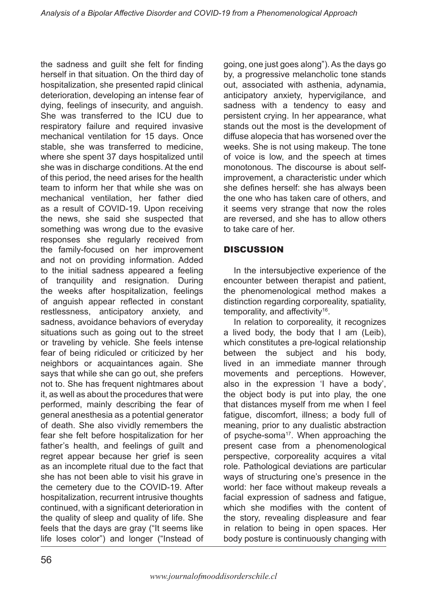the sadness and guilt she felt for finding herself in that situation. On the third day of hospitalization, she presented rapid clinical deterioration, developing an intense fear of dying, feelings of insecurity, and anguish. She was transferred to the ICU due to respiratory failure and required invasive mechanical ventilation for 15 days. Once stable, she was transferred to medicine where she spent 37 days hospitalized until she was in discharge conditions. At the end of this period, the need arises for the health team to inform her that while she was on mechanical ventilation, her father died as a result of COVID-19. Upon receiving the news, she said she suspected that something was wrong due to the evasive responses she regularly received from the family-focused on her improvement and not on providing information. Added to the initial sadness appeared a feeling of tranquility and resignation. During the weeks after hospitalization, feelings of anguish appear reflected in constant restlessness, anticipatory anxiety, and sadness, avoidance behaviors of everyday situations such as going out to the street or traveling by vehicle. She feels intense fear of being ridiculed or criticized by her neighbors or acquaintances again. She says that while she can go out, she prefers not to. She has frequent nightmares about it, as well as about the procedures that were performed, mainly describing the fear of general anesthesia as a potential generator of death. She also vividly remembers the fear she felt before hospitalization for her father's health, and feelings of guilt and regret appear because her grief is seen as an incomplete ritual due to the fact that she has not been able to visit his grave in the cemetery due to the COVID-19. After hospitalization, recurrent intrusive thoughts continued, with a significant deterioration in the quality of sleep and quality of life. She feels that the days are gray ("It seems like life loses color") and longer ("Instead of

going, one just goes along"). As the days go by, a progressive melancholic tone stands out, associated with asthenia, adynamia, anticipatory anxiety, hypervigilance, and sadness with a tendency to easy and persistent crying. In her appearance, what stands out the most is the development of diffuse alopecia that has worsened over the weeks. She is not using makeup. The tone of voice is low, and the speech at times monotonous. The discourse is about selfimprovement, a characteristic under which she defines herself: she has always been the one who has taken care of others, and it seems very strange that now the roles are reversed, and she has to allow others to take care of her.

# DISCUSSION

In the intersubjective experience of the encounter between therapist and patient, the phenomenological method makes a distinction regarding corporeality, spatiality, temporality, and affectivity<sup>16</sup>.

In relation to corporeality, it recognizes a lived body, the body that I am (Leib), which constitutes a pre-logical relationship between the subject and his body, lived in an immediate manner through movements and perceptions. However, also in the expression 'I have a body', the object body is put into play, the one that distances myself from me when I feel fatigue, discomfort, illness; a body full of meaning, prior to any dualistic abstraction of psyche-soma<sup>17</sup>. When approaching the present case from a phenomenological perspective, corporeality acquires a vital role. Pathological deviations are particular ways of structuring one's presence in the world: her face without makeup reveals a facial expression of sadness and fatigue, which she modifies with the content of the story, revealing displeasure and fear in relation to being in open spaces. Her body posture is continuously changing with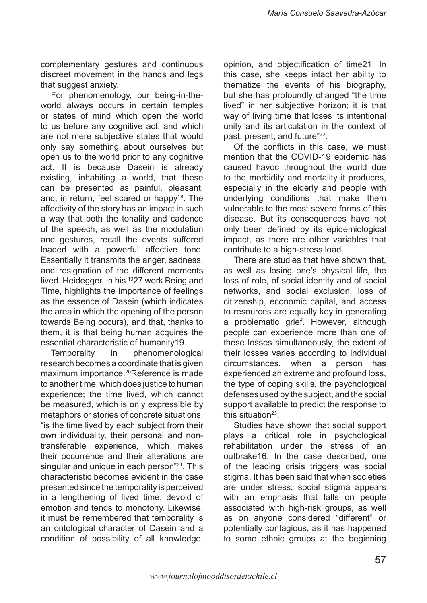complementary gestures and continuous discreet movement in the hands and legs that suggest anxiety.

For phenomenology, our being-in-theworld always occurs in certain temples or states of mind which open the world to us before any cognitive act, and which are not mere subjective states that would only say something about ourselves but open us to the world prior to any cognitive act. It is because Dasein is already existing, inhabiting a world, that these can be presented as painful, pleasant, and, in return, feel scared or happy<sup>18</sup>. The affectivity of the story has an impact in such a way that both the tonality and cadence of the speech, as well as the modulation and gestures, recall the events suffered loaded with a powerful affective tone. Essentially it transmits the anger, sadness, and resignation of the different moments lived. Heidegger, in his 1927 work Being and Time, highlights the importance of feelings as the essence of Dasein (which indicates the area in which the opening of the person towards Being occurs), and that, thanks to them, it is that being human acquires the essential characteristic of humanity19.

Temporality in phenomenological research becomes a coordinate that is given maximum importance.20Reference is made to another time, which does justice to human experience; the time lived, which cannot be measured, which is only expressible by metaphors or stories of concrete situations, "is the time lived by each subject from their own individuality, their personal and nontransferable experience, which makes their occurrence and their alterations are singular and unique in each person"<sup>21</sup>. This characteristic becomes evident in the case presented since the temporality is perceived in a lengthening of lived time, devoid of emotion and tends to monotony. Likewise, it must be remembered that temporality is an ontological character of Dasein and a condition of possibility of all knowledge,

opinion, and objectification of time21. In this case, she keeps intact her ability to thematize the events of his biography, but she has profoundly changed "the time lived" in her subjective horizon; it is that way of living time that loses its intentional unity and its articulation in the context of past, present, and future"22.

Of the conflicts in this case, we must mention that the COVID-19 epidemic has caused havoc throughout the world due to the morbidity and mortality it produces, especially in the elderly and people with underlying conditions that make them vulnerable to the most severe forms of this disease. But its consequences have not only been defined by its epidemiological impact, as there are other variables that contribute to a high-stress load.

There are studies that have shown that, as well as losing one's physical life, the loss of role, of social identity and of social networks, and social exclusion, loss of citizenship, economic capital, and access to resources are equally key in generating a problematic grief. However, although people can experience more than one of these losses simultaneously, the extent of their losses varies according to individual circumstances, when a person has experienced an extreme and profound loss, the type of coping skills, the psychological defenses used by the subject, and the social support available to predict the response to this situation<sup>23</sup>

Studies have shown that social support plays a critical role in psychological rehabilitation under the stress of an outbrake16. In the case described, one of the leading crisis triggers was social stigma. It has been said that when societies are under stress, social stigma appears with an emphasis that falls on people associated with high-risk groups, as well as on anyone considered "different" or potentially contagious, as it has happened to some ethnic groups at the beginning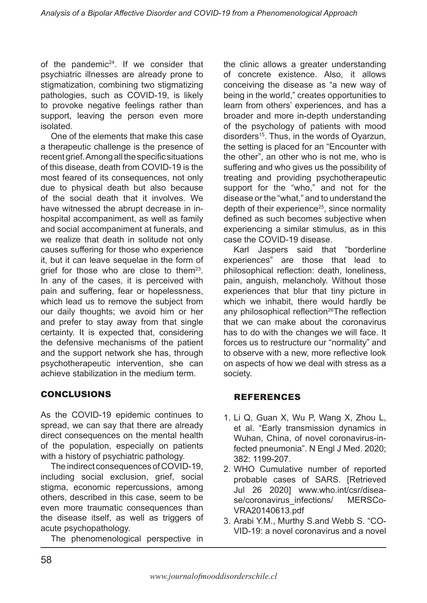of the pandemic $24$ . If we consider that psychiatric illnesses are already prone to stigmatization, combining two stigmatizing pathologies, such as COVID-19, is likely to provoke negative feelings rather than support, leaving the person even more isolated.

One of the elements that make this case a therapeutic challenge is the presence of recent grief. Among all the specific situations of this disease, death from COVID-19 is the most feared of its consequences, not only due to physical death but also because of the social death that it involves. We have witnessed the abrupt decrease in inhospital accompaniment, as well as family and social accompaniment at funerals, and we realize that death in solitude not only causes suffering for those who experience it, but it can leave sequelae in the form of grief for those who are close to them<sup>23</sup>. In any of the cases, it is perceived with pain and suffering, fear or hopelessness, which lead us to remove the subject from our daily thoughts; we avoid him or her and prefer to stay away from that single certainty. It is expected that, considering the defensive mechanisms of the patient and the support network she has, through psychotherapeutic intervention, she can achieve stabilization in the medium term.

# CONCLUSIONS

As the COVID-19 epidemic continues to spread, we can say that there are already direct consequences on the mental health of the population, especially on patients with a history of psychiatric pathology.

The indirect consequences of COVID-19, including social exclusion, grief, social stigma, economic repercussions, among others, described in this case, seem to be even more traumatic consequences than the disease itself, as well as triggers of acute psychopathology.

The phenomenological perspective in

the clinic allows a greater understanding of concrete existence. Also, it allows conceiving the disease as "a new way of being in the world," creates opportunities to learn from others' experiences, and has a broader and more in-depth understanding of the psychology of patients with mood disorders<sup>15</sup>. Thus, in the words of Oyarzun, the setting is placed for an "Encounter with the other", an other who is not me, who is suffering and who gives us the possibility of treating and providing psychotherapeutic support for the "who," and not for the disease or the "what," and to understand the depth of their experience<sup>25</sup>, since normality defined as such becomes subjective when experiencing a similar stimulus, as in this case the COVID-19 disease.

Karl Jaspers said that "borderline experiences" are those that lead to philosophical reflection: death, loneliness, pain, anguish, melancholy. Without those experiences that blur that tiny picture in which we inhabit, there would hardly be any philosophical reflection<sup>26</sup>The reflection that we can make about the coronavirus has to do with the changes we will face. It forces us to restructure our "normality" and to observe with a new, more reflective look on aspects of how we deal with stress as a society.

# REFERENCES

- 1. Li Q, Guan X, Wu P, Wang X, Zhou L, et al. "Early transmission dynamics in Wuhan, China, of novel coronavirus-infected pneumonia". N Engl J Med. 2020; 382: 1199-207.
- 2. WHO Cumulative number of reported probable cases of SARS. [Retrieved Jul 26 2020] www.who.int/csr/disease/coronavirus\_infections/ MERSCo-VRA20140613.pdf
- 3. Arabi Y.M., Murthy S.and Webb S. "CO-VID-19: a novel coronavirus and a novel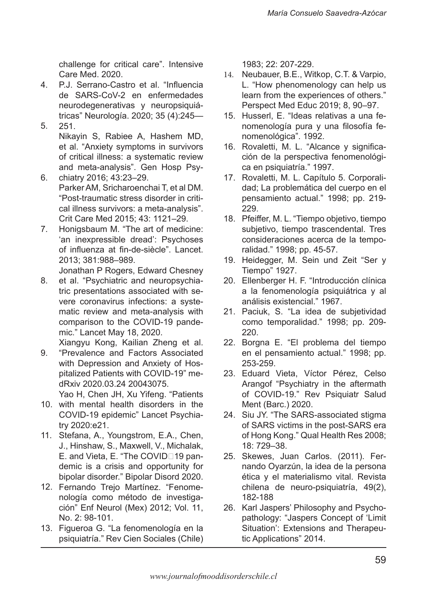challenge for critical care". Intensive Care Med. 2020.

- 4. 5. P.J. Serrano-Castro et al. "Influencia de SARS-CoV-2 en enfermedades neurodegenerativas y neuropsiquiátricas" Neurología. 2020; 35 (4):245— 251.
	- Nikayin S, Rabiee A, Hashem MD, et al. "Anxiety symptoms in survivors of critical illness: a systematic review and meta-analysis". Gen Hosp Psy-
- 6. chiatry 2016; 43:23–29. Parker AM, Sricharoenchai T, et al DM. "Post-traumatic stress disorder in critical illness survivors: a meta-analysis". Crit Care Med 2015; 43: 1121–29.
- 7. Honigsbaum M. "The art of medicine: 'an inexpressible dread': Psychoses of influenza at fin-de-siècle". Lancet. 2013; 381:988–989.

Jonathan P Rogers, Edward Chesney

8. et al. "Psychiatric and neuropsychiatric presentations associated with severe coronavirus infections: a systematic review and meta-analysis with comparison to the COVID-19 pandemic." Lancet May 18, 2020.

Xiangyu Kong, Kailian Zheng et al.

9. "Prevalence and Factors Associated with Depression and Anxiety of Hospitalized Patients with COVID-19" medRxiv 2020.03.24 20043075.

Yao H, Chen JH, Xu Yifeng. "Patients

- 10. with mental health disorders in the COVID-19 epidemic" Lancet Psychiatry 2020:e21.
- 11. Stefana, A., Youngstrom, E.A., Chen, J., Hinshaw, S., Maxwell, V., Michalak, E. and Vieta, E. "The COVID□19 pandemic is a crisis and opportunity for bipolar disorder." Bipolar Disord 2020.
- 12. Fernando Trejo Martínez. "Fenomenología como método de investigación" Enf Neurol (Mex) 2012; Vol. 11, No. 2: 98-101.
- 13. Figueroa G. "La fenomenología en la psiquiatría." Rev Cien Sociales (Chile)

1983; 22: 207-229.

- 14. Neubauer, B.E., Witkop, C.T. & Varpio, L. "How phenomenology can help us learn from the experiences of others." Perspect Med Educ 2019; 8, 90–97.
- 15. Husserl, E. "Ideas relativas a una fenomenología pura y una filosofía fenomenológica". 1992.
- 16. Rovaletti, M. L. "Alcance y significación de la perspectiva fenomenológica en psiquiatría." 1997.
- 17. Rovaletti, M. L. Capítulo 5. Corporalidad; La problemática del cuerpo en el pensamiento actual." 1998; pp. 219- 229.
- 18. Pfeiffer, M. L. "Tiempo objetivo, tiempo subjetivo, tiempo trascendental. Tres consideraciones acerca de la temporalidad." 1998; pp. 45-57.
- 19. Heidegger, M. Sein und Zeit "Ser y Tiempo" 1927.
- 20. Ellenberger H. F. "Introducción clínica a la fenomenología psiquiátrica y al análisis existencial." 1967.
- 21. Paciuk, S. "La idea de subjetividad como temporalidad." 1998; pp. 209- 220.
- 22. Borgna E. "El problema del tiempo en el pensamiento actual." 1998; pp. 253-259.
- 23. Eduard Vieta, Víctor Pérez, Celso Arangof "Psychiatry in the aftermath of COVID-19." Rev Psiquiatr Salud Ment (Barc.) 2020.
- 24. Siu JY. "The SARS-associated stigma of SARS victims in the post-SARS era of Hong Kong." Qual Health Res 2008; 18: 729–38.
- 25. Skewes, Juan Carlos. (2011). Fernando Oyarzún, la idea de la persona ética y el materialismo vital. Revista chilena de neuro-psiquiatría, 49(2), 182-188
- 26. Karl Jaspers' Philosophy and Psychopathology: "Jaspers Concept of 'Limit Situation': Extensions and Therapeutic Applications" 2014.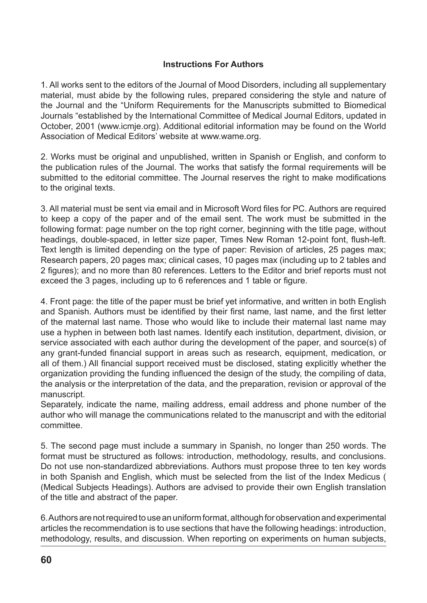### **Instructions For Authors**

1. All works sent to the editors of the Journal of Mood Disorders, including all supplementary material, must abide by the following rules, prepared considering the style and nature of the Journal and the "Uniform Requirements for the Manuscripts submitted to Biomedical Journals "established by the International Committee of Medical Journal Editors, updated in October, 2001 (www.icmje.org). Additional editorial information may be found on the World Association of Medical Editors' website at www.wame.org.

2. Works must be original and unpublished, written in Spanish or English, and conform to the publication rules of the Journal. The works that satisfy the formal requirements will be submitted to the editorial committee. The Journal reserves the right to make modifications to the original texts.

3. All material must be sent via email and in Microsoft Word files for PC. Authors are required to keep a copy of the paper and of the email sent. The work must be submitted in the following format: page number on the top right corner, beginning with the title page, without headings, double-spaced, in letter size paper, Times New Roman 12-point font, flush-left. Text length is limited depending on the type of paper: Revision of articles, 25 pages max; Research papers, 20 pages max; clinical cases, 10 pages max (including up to 2 tables and 2 figures); and no more than 80 references. Letters to the Editor and brief reports must not exceed the 3 pages, including up to 6 references and 1 table or figure.

4. Front page: the title of the paper must be brief yet informative, and written in both English and Spanish. Authors must be identified by their first name, last name, and the first letter of the maternal last name. Those who would like to include their maternal last name may use a hyphen in between both last names. Identify each institution, department, division, or service associated with each author during the development of the paper, and source(s) of any grant-funded financial support in areas such as research, equipment, medication, or all of them.) All financial support received must be disclosed, stating explicitly whether the organization providing the funding influenced the design of the study, the compiling of data, the analysis or the interpretation of the data, and the preparation, revision or approval of the manuscript.

Separately, indicate the name, mailing address, email address and phone number of the author who will manage the communications related to the manuscript and with the editorial committee.

5. The second page must include a summary in Spanish, no longer than 250 words. The format must be structured as follows: introduction, methodology, results, and conclusions. Do not use non-standardized abbreviations. Authors must propose three to ten key words in both Spanish and English, which must be selected from the list of the Index Medicus ( (Medical Subjects Headings). Authors are advised to provide their own English translation of the title and abstract of the paper.

6. Authors are not required to use an uniform format, although for observation and experimental articles the recommendation is to use sections that have the following headings: introduction, methodology, results, and discussion. When reporting on experiments on human subjects,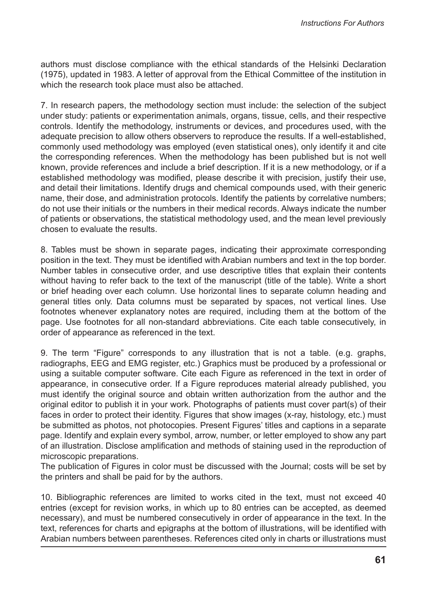authors must disclose compliance with the ethical standards of the Helsinki Declaration (1975), updated in 1983. A letter of approval from the Ethical Committee of the institution in which the research took place must also be attached.

7. In research papers, the methodology section must include: the selection of the subject under study: patients or experimentation animals, organs, tissue, cells, and their respective controls. Identify the methodology, instruments or devices, and procedures used, with the adequate precision to allow others observers to reproduce the results. If a well-established, commonly used methodology was employed (even statistical ones), only identify it and cite the corresponding references. When the methodology has been published but is not well known, provide references and include a brief description. If it is a new methodology, or if a established methodology was modified, please describe it with precision, justify their use, and detail their limitations. Identify drugs and chemical compounds used, with their generic name, their dose, and administration protocols. Identify the patients by correlative numbers; do not use their initials or the numbers in their medical records. Always indicate the number of patients or observations, the statistical methodology used, and the mean level previously chosen to evaluate the results.

8. Tables must be shown in separate pages, indicating their approximate corresponding position in the text. They must be identified with Arabian numbers and text in the top border. Number tables in consecutive order, and use descriptive titles that explain their contents without having to refer back to the text of the manuscript (title of the table). Write a short or brief heading over each column. Use horizontal lines to separate column heading and general titles only. Data columns must be separated by spaces, not vertical lines. Use footnotes whenever explanatory notes are required, including them at the bottom of the page. Use footnotes for all non-standard abbreviations. Cite each table consecutively, in order of appearance as referenced in the text.

9. The term "Figure" corresponds to any illustration that is not a table. (e.g. graphs, radiographs, EEG and EMG register, etc.) Graphics must be produced by a professional or using a suitable computer software. Cite each Figure as referenced in the text in order of appearance, in consecutive order. If a Figure reproduces material already published, you must identify the original source and obtain written authorization from the author and the original editor to publish it in your work. Photographs of patients must cover part(s) of their faces in order to protect their identity. Figures that show images (x-ray, histology, etc.) must be submitted as photos, not photocopies. Present Figures' titles and captions in a separate page. Identify and explain every symbol, arrow, number, or letter employed to show any part of an illustration. Disclose amplification and methods of staining used in the reproduction of microscopic preparations.

The publication of Figures in color must be discussed with the Journal; costs will be set by the printers and shall be paid for by the authors.

10. Bibliographic references are limited to works cited in the text, must not exceed 40 entries (except for revision works, in which up to 80 entries can be accepted, as deemed necessary), and must be numbered consecutively in order of appearance in the text. In the text, references for charts and epigraphs at the bottom of illustrations, will be identified with Arabian numbers between parentheses. References cited only in charts or illustrations must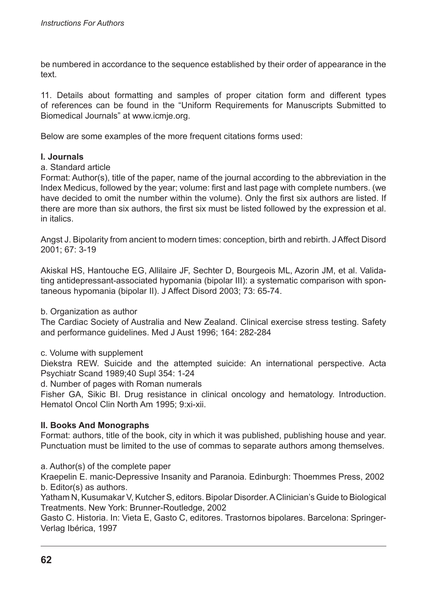be numbered in accordance to the sequence established by their order of appearance in the text.

11. Details about formatting and samples of proper citation form and different types of references can be found in the "Uniform Requirements for Manuscripts Submitted to Biomedical Journals" at www.icmje.org.

Below are some examples of the more frequent citations forms used:

### **I. Journals**

#### a. Standard article

Format: Author(s), title of the paper, name of the journal according to the abbreviation in the Index Medicus, followed by the year; volume: first and last page with complete numbers. (we have decided to omit the number within the volume). Only the first six authors are listed. If there are more than six authors, the first six must be listed followed by the expression et al. in italics.

Angst J. Bipolarity from ancient to modern times: conception, birth and rebirth. J Affect Disord 2001; 67: 3-19

Akiskal HS, Hantouche EG, Allilaire JF, Sechter D, Bourgeois ML, Azorin JM, et al. Validating antidepressant-associated hypomania (bipolar III): a systematic comparison with spontaneous hypomania (bipolar II). J Affect Disord 2003; 73: 65-74.

b. Organization as author

The Cardiac Society of Australia and New Zealand. Clinical exercise stress testing. Safety and performance guidelines. Med J Aust 1996; 164: 282-284

#### c. Volume with supplement

Diekstra REW. Suicide and the attempted suicide: An international perspective. Acta Psychiatr Scand 1989;40 Supl 354: 1-24

d. Number of pages with Roman numerals

Fisher GA, Sikic BI. Drug resistance in clinical oncology and hematology. Introduction. Hematol Oncol Clin North Am 1995; 9:xi-xii.

### **II. Books And Monographs**

Format: authors, title of the book, city in which it was published, publishing house and year. Punctuation must be limited to the use of commas to separate authors among themselves.

a. Author(s) of the complete paper

Kraepelin E. manic-Depressive Insanity and Paranoia. Edinburgh: Thoemmes Press, 2002 b. Editor(s) as authors.

Yatham N, Kusumakar V, Kutcher S, editors. Bipolar Disorder. A Clinician's Guide to Biological Treatments. New York: Brunner-Routledge, 2002

Gasto C. Historia. In: Vieta E, Gasto C, editores. Trastornos bipolares. Barcelona: Springer-Verlag Ibérica, 1997